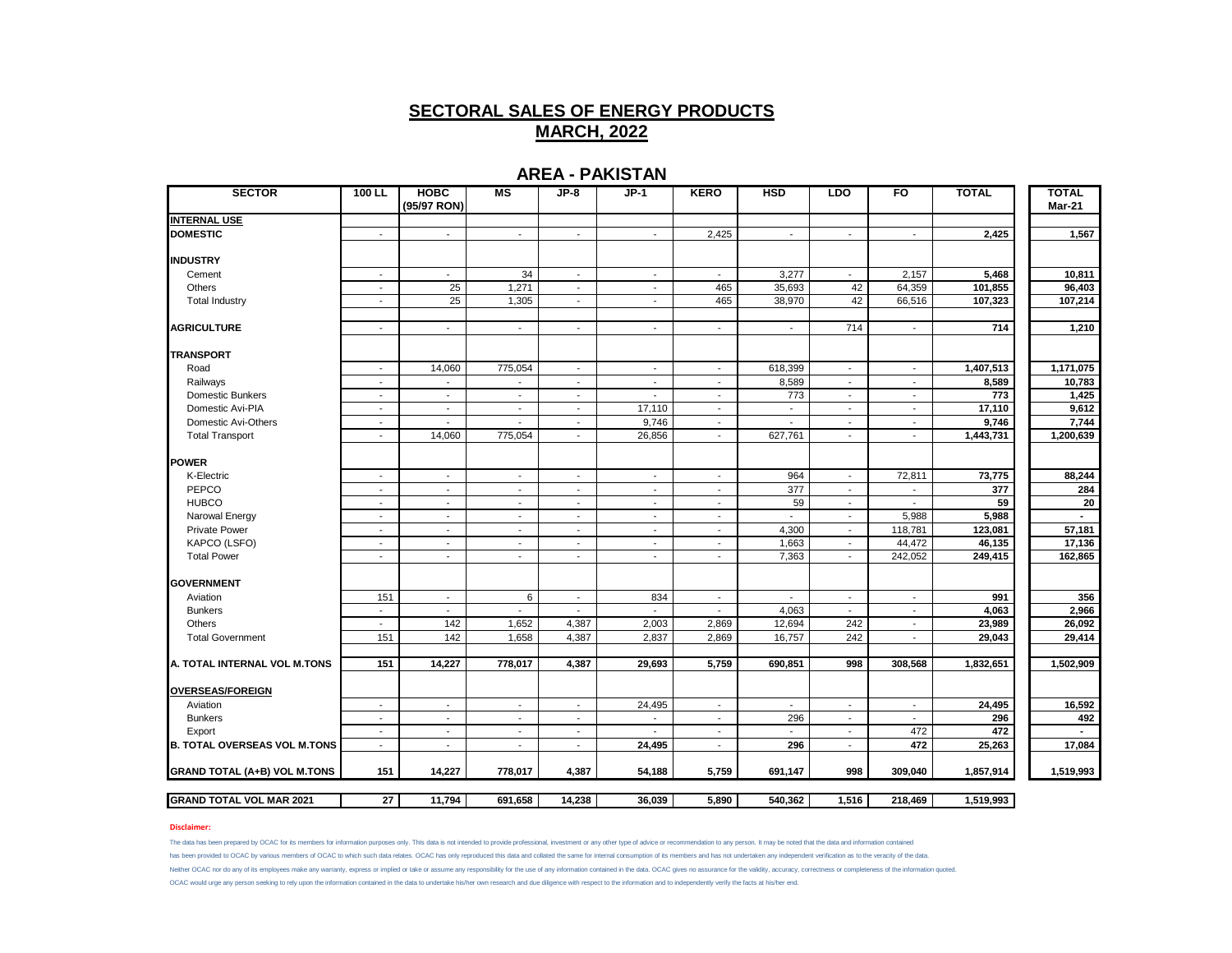## **AREA - PAKISTAN**

| <b>SECTOR</b>                       | $100$ LL                 | <b>HOBC</b><br>(95/97 RON) | M <sub>S</sub>           | JP-8                        | $JP-1$                   | <b>KERO</b>              | <b>HSD</b>                | <b>LDO</b>               | F <sub>O</sub>           | <b>TOTAL</b> | <b>TOTAL</b><br><b>Mar-21</b> |
|-------------------------------------|--------------------------|----------------------------|--------------------------|-----------------------------|--------------------------|--------------------------|---------------------------|--------------------------|--------------------------|--------------|-------------------------------|
| <b>INTERNAL USE</b>                 |                          |                            |                          |                             |                          |                          |                           |                          |                          |              |                               |
| <b>DOMESTIC</b>                     | $\sim$                   | $\overline{\phantom{a}}$   | $\blacksquare$           | $\sim$                      | $\sim$                   | 2,425                    | $\sim$                    | $\blacksquare$           | $\sim$                   | 2,425        | 1,567                         |
| <b>INDUSTRY</b>                     |                          |                            |                          |                             |                          |                          |                           |                          |                          |              |                               |
| Cement                              | $\sim$                   | $\mathbf{r}$               | 34                       | $\mathcal{L}_{\mathcal{A}}$ | $\mathbf{r}$             | $\sim$                   | 3,277                     | $\sim$                   | 2,157                    | 5,468        | 10,811                        |
| Others                              | $\overline{\phantom{a}}$ | 25                         | 1,271                    | $\blacksquare$              | $\overline{\phantom{a}}$ | 465                      | 35,693                    | 42                       | 64,359                   | 101,855      | 96,403                        |
| <b>Total Industry</b>               | $\overline{\phantom{a}}$ | 25                         | 1,305                    | $\blacksquare$              | $\blacksquare$           | 465                      | 38,970                    | 42                       | 66,516                   | 107,323      | 107,214                       |
| <b>AGRICULTURE</b>                  | $\sim$                   | $\mathbf{r}$               | $\mathbf{r}$             | $\mathcal{L}$               | $\mathbf{r}$             | $\overline{\phantom{a}}$ | $\sim$                    | 714                      | $\blacksquare$           | 714          | 1,210                         |
| <b>TRANSPORT</b>                    |                          |                            |                          |                             |                          |                          |                           |                          |                          |              |                               |
| Road                                | $\sim$                   | 14,060                     | 775,054                  | $\sim$                      | $\sim$                   | $\sim$                   | 618,399                   | $\blacksquare$           | $\sim$                   | 1,407,513    | 1,171,075                     |
| Railways                            | $\sim$                   | $\blacksquare$             | $\overline{\phantom{a}}$ | $\sim$                      | $\sim$                   | $\sim$                   | 8,589                     | $\sim$                   | $\sim$                   | 8,589        | 10,783                        |
| Domestic Bunkers                    | $\overline{\phantom{a}}$ | $\overline{\phantom{a}}$   | $\overline{\phantom{a}}$ | $\overline{\phantom{a}}$    | $\overline{\phantom{a}}$ | $\overline{\phantom{a}}$ | 773                       | $\overline{\phantom{a}}$ | $\sim$                   | 773          | 1,425                         |
| Domestic Avi-PIA                    | $\sim$                   | $\blacksquare$             | ٠                        | $\overline{\phantom{a}}$    | 17,110                   | $\blacksquare$           | $\overline{\phantom{a}}$  | $\overline{\phantom{a}}$ | $\overline{\phantom{a}}$ | 17,110       | 9,612                         |
| Domestic Avi-Others                 | $\sim$                   | $\overline{\phantom{a}}$   | $\overline{\phantom{a}}$ | $\blacksquare$              | 9,746                    | $\sim$                   | $\blacksquare$            | $\sim$                   | $\sim$                   | 9,746        | 7,744                         |
| <b>Total Transport</b>              | $\sim$                   | 14,060                     | 775,054                  | $\mathcal{L}$               | 26,856                   | $\overline{\phantom{a}}$ | 627,761                   | $\mathbf{r}$             | $\blacksquare$           | 1,443,731    | 1,200,639                     |
| <b>IPOWER</b>                       |                          |                            |                          |                             |                          |                          |                           |                          |                          |              |                               |
| K-Electric                          | $\overline{\phantom{a}}$ | $\overline{\phantom{a}}$   | $\overline{\phantom{a}}$ | $\sim$                      | $\sim$                   | $\overline{\phantom{a}}$ | 964                       | $\overline{\phantom{a}}$ | 72,811                   | 73,775       | 88,244                        |
| PEPCO                               | $\overline{\phantom{a}}$ | $\sim$                     | $\overline{\phantom{a}}$ | $\sim$                      | $\overline{\phantom{a}}$ | $\sim$                   | 377                       | $\sim$                   | $\sim$                   | 377          | 284                           |
| <b>HUBCO</b>                        | $\sim$                   | $\sim$                     | $\sim$                   | $\sim$                      | $\sim$                   | $\overline{\phantom{a}}$ | 59                        | $\sim$                   |                          | 59           | 20                            |
| Narowal Energy                      | $\sim$                   | $\overline{\phantom{a}}$   | $\mathbf{r}$             | $\overline{\phantom{a}}$    | $\sim$                   | $\sim$                   | L.                        | $\mathbf{r}$             | 5,988                    | 5,988        |                               |
| <b>Private Power</b>                | $\overline{\phantom{a}}$ | $\tilde{\phantom{a}}$      | $\sim$                   | $\blacksquare$              | $\overline{\phantom{a}}$ | $\overline{\phantom{a}}$ | 4,300                     | $\sim$                   | 118,781                  | 123,081      | 57,181                        |
| KAPCO (LSFO)                        | $\sim$                   | $\overline{\phantom{a}}$   | $\sim$                   | $\sim$                      | $\sim$                   | $\overline{\phantom{a}}$ | 1,663                     | $\overline{\phantom{a}}$ | 44,472                   | 46,135       | 17,136                        |
| <b>Total Power</b>                  | $\sim$                   | $\sim$                     | $\mathbf{r}$             | $\sim$                      | $\sim$                   | $\overline{\phantom{a}}$ | 7,363                     | $\sim$                   | 242,052                  | 249,415      | 162,865                       |
| <b>GOVERNMENT</b>                   |                          |                            |                          |                             |                          |                          |                           |                          |                          |              |                               |
| Aviation                            | 151                      | $\sim$                     | 6                        | $\sim$                      | 834                      | $\sim$                   | $\sim$                    | $\sim$                   | $\sim$                   | 991          | 356                           |
| <b>Bunkers</b>                      | $\overline{\phantom{a}}$ | $\sim$                     | $\blacksquare$           | $\sim$                      | $\sim$                   | $\blacksquare$           | 4,063                     | $\sim$                   | $\sim$                   | 4,063        | 2,966                         |
| Others                              | $\sim$                   | 142                        | 1,652                    | 4,387                       | 2,003                    | 2,869                    | 12,694                    | 242                      | $\mathbf{r}$             | 23,989       | 26,092                        |
| <b>Total Government</b>             | 151                      | 142                        | 1,658                    | 4,387                       | 2,837                    | 2,869                    | 16,757                    | 242                      | $\overline{\phantom{0}}$ | 29,043       | 29,414                        |
| A. TOTAL INTERNAL VOL M.TONS        | 151                      | 14,227                     | 778,017                  | 4,387                       | 29,693                   | 5,759                    | 690,851                   | 998                      | 308,568                  | 1,832,651    | 1,502,909                     |
| <b>OVERSEAS/FOREIGN</b>             |                          |                            |                          |                             |                          |                          |                           |                          |                          |              |                               |
| Aviation                            | $\sim$                   | $\sim$                     | $\sim$                   | $\sim$                      | 24,495                   | $\overline{\phantom{a}}$ | $\sim$                    | $\sim$                   | $\sim$                   | 24,495       | 16,592                        |
| <b>Bunkers</b>                      | $\overline{\phantom{a}}$ | $\overline{\phantom{a}}$   | $\blacksquare$           | $\sim$                      | $\tilde{\phantom{a}}$    | $\overline{\phantom{a}}$ | 296                       | $\overline{\phantom{a}}$ | $\sim$                   | 296          | 492                           |
| Export                              | $\mathbf{r}$             | $\sim$                     | $\sim$                   | $\mathcal{L}$               | $\overline{a}$           | $\overline{\phantom{a}}$ | $\mathbb{Z}^{\mathbb{Z}}$ | $\mathbf{r}$             | 472                      | 472          |                               |
| <b>B. TOTAL OVERSEAS VOL M.TONS</b> | $\mathbf{r}$             | $\blacksquare$             | $\overline{\phantom{a}}$ | $\overline{\phantom{a}}$    | 24,495                   | $\sim$                   | 296                       | $\mathbf{r}$             | 472                      | 25,263       | 17,084                        |
| <b>GRAND TOTAL (A+B) VOL M.TONS</b> | 151                      | 14,227                     | 778,017                  | 4,387                       | 54,188                   | 5,759                    | 691,147                   | 998                      | 309,040                  | 1,857,914    | 1,519,993                     |
| <b>GRAND TOTAL VOL MAR 2021</b>     | 27                       | 11,794                     | 691,658                  | 14,238                      | 36,039                   | 5,890                    | 540,362                   | 1,516                    | 218,469                  | 1,519,993    |                               |

## **Disclaimer:**

The data has been prepared by OCAC for its members for information purposes only. This data is not intended to provide professional, investment or any other type of advice or recommendation to any person. It may be noted t has been provided to OCAC by various members of OCAC to which such data relates. OCAC has only reproduced this data and collated the same for internal consumption of its members and has not undertaken any independent verif Neither OCAC nor do any of its employees make any warranty, express or implied or take or assume any responsibility for the use of any information contained in the data. OCAC gives no assurance for the validity, accuracy, OCAC would urge any person seeking to rely upon the information contained in the data to undertake his/her own research and due diligence with respect to the information and to independently verify the facts at his/her end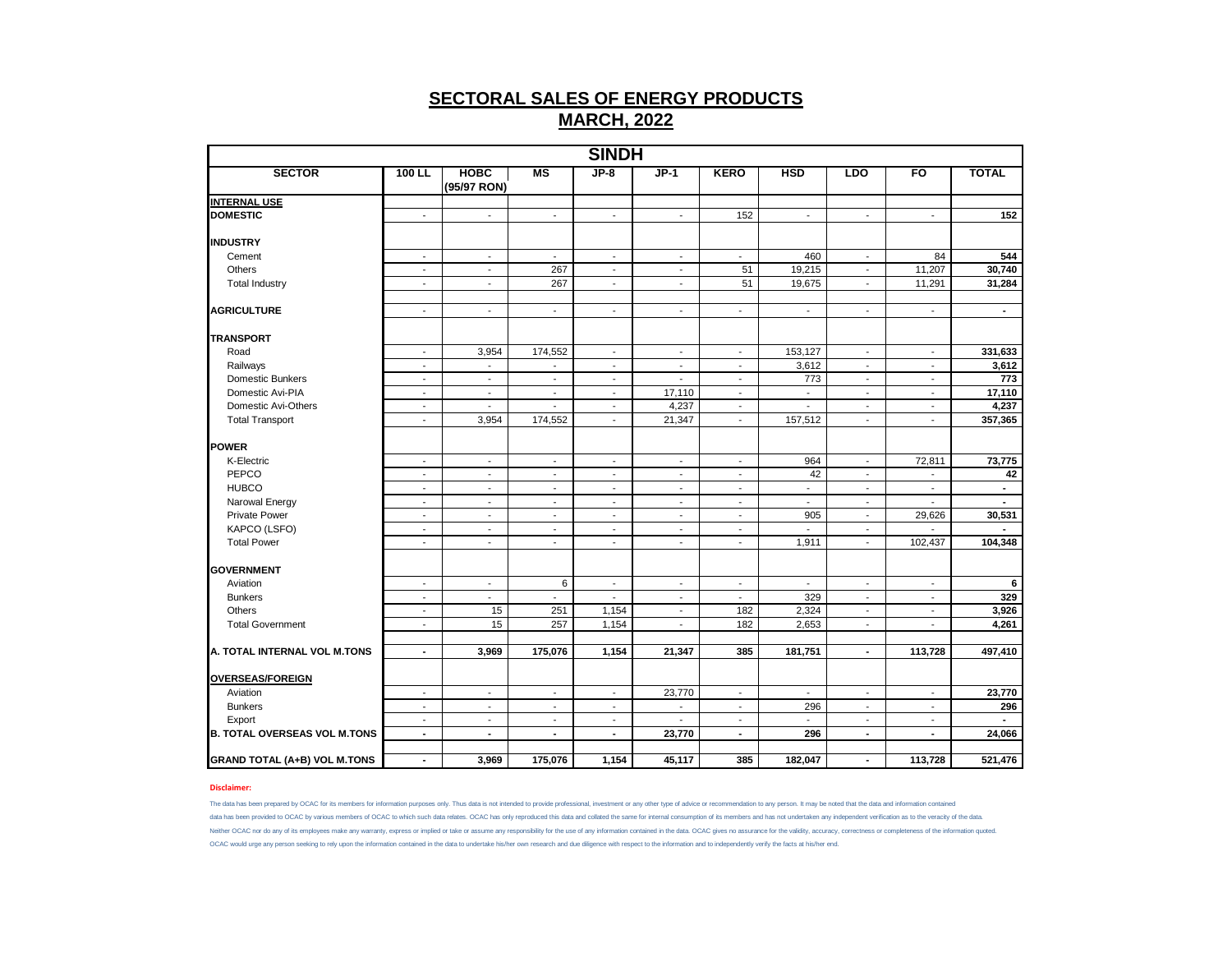|                                     |                          |                            |                          | <b>SINDH</b>             |                             |                          |                          |                          |                          |                |
|-------------------------------------|--------------------------|----------------------------|--------------------------|--------------------------|-----------------------------|--------------------------|--------------------------|--------------------------|--------------------------|----------------|
| <b>SECTOR</b>                       | $100$ LL                 | <b>HOBC</b><br>(95/97 RON) | MS                       | $JP-8$                   | $JP-1$                      | <b>KERO</b>              | <b>HSD</b>               | <b>LDO</b>               | FO                       | <b>TOTAL</b>   |
| <b>INTERNAL USE</b>                 |                          |                            |                          |                          |                             |                          |                          |                          |                          |                |
| <b>DOMESTIC</b>                     | $\blacksquare$           | $\blacksquare$             | $\blacksquare$           | $\blacksquare$           | $\blacksquare$              | 152                      | $\overline{\phantom{a}}$ | $\overline{\phantom{a}}$ | $\overline{\phantom{a}}$ | 152            |
| <b>INDUSTRY</b>                     |                          |                            |                          |                          |                             |                          |                          |                          |                          |                |
| Cement                              | $\overline{\phantom{a}}$ | $\blacksquare$             | $\blacksquare$           | $\overline{\phantom{a}}$ | $\overline{\phantom{a}}$    | $\overline{\phantom{a}}$ | 460                      | $\overline{\phantom{a}}$ | 84                       | 544            |
| Others                              | $\blacksquare$           | $\blacksquare$             | 267                      | $\overline{\phantom{a}}$ | $\blacksquare$              | 51                       | 19,215                   | $\overline{\phantom{a}}$ | 11,207                   | 30,740         |
| <b>Total Industry</b>               | $\sim$                   | $\blacksquare$             | 267                      | $\overline{\phantom{a}}$ | $\blacksquare$              | 51                       | 19,675                   | $\overline{\phantom{a}}$ | 11,291                   | 31,284         |
| <b>AGRICULTURE</b>                  | $\sim$                   | $\blacksquare$             | $\blacksquare$           | $\mathbf{r}$             | $\mathcal{L}_{\mathcal{A}}$ | $\blacksquare$           | $\overline{\phantom{a}}$ | $\blacksquare$           | $\blacksquare$           | $\blacksquare$ |
| <b>TRANSPORT</b>                    |                          |                            |                          |                          |                             |                          |                          |                          |                          |                |
| Road                                | $\overline{\phantom{a}}$ | 3,954                      | 174,552                  | $\blacksquare$           | $\overline{\phantom{a}}$    | $\overline{\phantom{a}}$ | 153,127                  | $\overline{\phantom{a}}$ | $\blacksquare$           | 331,633        |
| Railways                            | $\overline{\phantom{a}}$ | $\overline{\phantom{a}}$   | $\overline{\phantom{a}}$ | $\overline{\phantom{a}}$ | $\overline{\phantom{a}}$    | $\overline{\phantom{a}}$ | 3,612                    | $\overline{\phantom{a}}$ | $\overline{\phantom{a}}$ | 3,612          |
| <b>Domestic Bunkers</b>             | $\overline{\phantom{a}}$ | $\overline{\phantom{a}}$   | $\blacksquare$           | $\tilde{\phantom{a}}$    | $\blacksquare$              | $\overline{\phantom{a}}$ | 773                      | $\overline{\phantom{a}}$ | $\overline{\phantom{a}}$ | 773            |
| Domestic Avi-PIA                    | $\blacksquare$           | $\sim$                     | $\sim$                   | $\overline{\phantom{a}}$ | 17,110                      | $\blacksquare$           | $\blacksquare$           | $\overline{\phantom{a}}$ | $\overline{\phantom{a}}$ | 17,110         |
| Domestic Avi-Others                 | $\overline{\phantom{a}}$ | $\blacksquare$             | $\blacksquare$           | $\overline{\phantom{a}}$ | 4,237                       | $\overline{\phantom{a}}$ | $\overline{\phantom{a}}$ | $\overline{\phantom{a}}$ | $\overline{\phantom{a}}$ | 4,237          |
| <b>Total Transport</b>              | $\overline{\phantom{a}}$ | 3,954                      | 174,552                  | $\blacksquare$           | 21,347                      | $\blacksquare$           | 157,512                  | $\blacksquare$           | $\blacksquare$           | 357,365        |
| <b>POWER</b>                        |                          |                            |                          |                          |                             |                          |                          |                          |                          |                |
| K-Electric                          | $\overline{\phantom{a}}$ | $\overline{\phantom{a}}$   | $\overline{\phantom{a}}$ | $\overline{\phantom{a}}$ | $\overline{\phantom{a}}$    | $\overline{\phantom{a}}$ | 964                      | $\overline{\phantom{a}}$ | 72,811                   | 73,775         |
| PEPCO                               | $\overline{\phantom{a}}$ | $\overline{\phantom{a}}$   | $\overline{\phantom{a}}$ | $\overline{\phantom{a}}$ | $\overline{\phantom{a}}$    | $\overline{\phantom{a}}$ | 42                       | $\overline{\phantom{a}}$ | $\blacksquare$           | 42             |
| <b>HUBCO</b>                        | $\blacksquare$           | $\blacksquare$             | $\blacksquare$           | $\blacksquare$           | $\blacksquare$              | $\blacksquare$           | $\blacksquare$           | $\overline{\phantom{a}}$ | $\blacksquare$           | $\sim$         |
| Narowal Energy                      | $\sim$                   | $\blacksquare$             | $\blacksquare$           | $\blacksquare$           | $\blacksquare$              | $\blacksquare$           | $\overline{a}$           | $\blacksquare$           | $\overline{a}$           | $\mathbf{r}$   |
| <b>Private Power</b>                | $\overline{\phantom{a}}$ | $\overline{\phantom{a}}$   | $\overline{\phantom{a}}$ | $\overline{\phantom{a}}$ | $\overline{\phantom{a}}$    | $\overline{\phantom{a}}$ | 905                      | $\overline{\phantom{a}}$ | 29,626                   | 30,531         |
| KAPCO (LSFO)                        | $\sim$                   | $\overline{\phantom{a}}$   | $\overline{\phantom{a}}$ | $\overline{\phantom{a}}$ | $\blacksquare$              | $\sim$                   | $\sim$                   | $\sim$                   | $\blacksquare$           | $\sim$         |
| <b>Total Power</b>                  | $\sim$                   | $\sim$                     | $\sim$                   | $\blacksquare$           | $\blacksquare$              | $\blacksquare$           | 1,911                    | $\sim$                   | 102,437                  | 104,348        |
| <b>GOVERNMENT</b>                   |                          |                            |                          |                          |                             |                          |                          |                          |                          |                |
| Aviation                            | $\sim$                   | $\sim$                     | 6                        | $\sim$                   | $\blacksquare$              | $\overline{\phantom{a}}$ | $\blacksquare$           | $\overline{\phantom{a}}$ | $\sim$                   | 6              |
| <b>Bunkers</b>                      | $\overline{\phantom{a}}$ | $\sim$                     | $\sim$                   | $\tilde{\phantom{a}}$    | $\blacksquare$              | $\blacksquare$           | 329                      | $\overline{\phantom{a}}$ | $\sim$                   | 329            |
| <b>Others</b>                       | $\overline{\phantom{a}}$ | 15                         | 251                      | 1,154                    | $\blacksquare$              | 182                      | 2,324                    | $\overline{\phantom{a}}$ | $\blacksquare$           | 3,926          |
| <b>Total Government</b>             | $\sim$                   | 15                         | 257                      | 1,154                    | $\blacksquare$              | 182                      | 2,653                    | $\sim$                   | $\sim$                   | 4,261          |
|                                     |                          |                            |                          |                          |                             |                          |                          |                          |                          |                |
| A. TOTAL INTERNAL VOL M.TONS        | $\blacksquare$           | 3,969                      | 175,076                  | 1,154                    | 21,347                      | 385                      | 181,751                  | $\blacksquare$           | 113,728                  | 497,410        |
| <b>OVERSEAS/FOREIGN</b>             |                          |                            |                          |                          |                             |                          |                          |                          |                          |                |
| Aviation                            | $\blacksquare$           | $\mathbf{r}$               | $\blacksquare$           | $\mathbf{r}$             | 23,770                      | $\blacksquare$           | $\blacksquare$           | $\mathbf{r}$             | $\overline{\phantom{a}}$ | 23,770         |
| <b>Bunkers</b>                      | $\overline{\phantom{a}}$ | $\overline{\phantom{a}}$   | $\overline{\phantom{a}}$ | $\overline{\phantom{a}}$ | $\overline{\phantom{a}}$    | $\overline{\phantom{a}}$ | 296                      | $\overline{\phantom{a}}$ | $\overline{\phantom{a}}$ | 296            |
| Export                              | $\blacksquare$           | $\overline{\phantom{a}}$   | $\overline{\phantom{a}}$ | $\tilde{\phantom{a}}$    | $\overline{\phantom{a}}$    | $\overline{\phantom{a}}$ | $\blacksquare$           | $\overline{\phantom{a}}$ | $\overline{\phantom{a}}$ |                |
| <b>B. TOTAL OVERSEAS VOL M.TONS</b> | $\blacksquare$           | $\blacksquare$             | $\blacksquare$           | $\blacksquare$           | 23,770                      | $\blacksquare$           | 296                      | $\sim$                   | $\blacksquare$           | 24,066         |
| <b>GRAND TOTAL (A+B) VOL M.TONS</b> | $\blacksquare$           | 3,969                      | 175,076                  | 1,154                    | 45,117                      | 385                      | 182,047                  | ٠                        | 113,728                  | 521,476        |

### **Disclaimer:**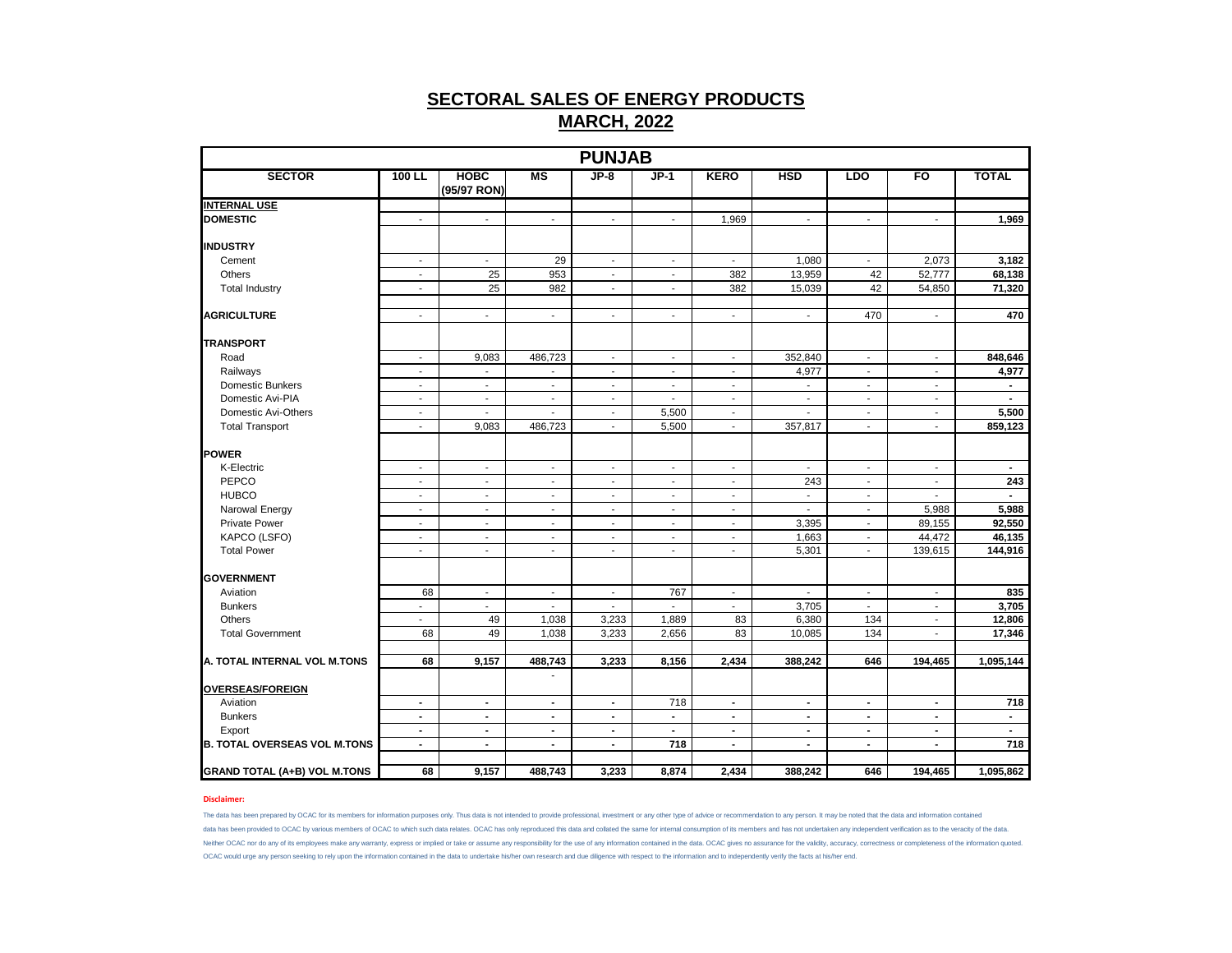|                                     |                          |                             |                          | <b>PUNJAB</b>            |                          |                          |                          |                          |                          |                |
|-------------------------------------|--------------------------|-----------------------------|--------------------------|--------------------------|--------------------------|--------------------------|--------------------------|--------------------------|--------------------------|----------------|
| <b>SECTOR</b>                       | $100$ LL                 | <b>HOBC</b><br>(95/97 RON)  | MS                       | $JP-8$                   | $JP-1$                   | <b>KERO</b>              | <b>HSD</b>               | <b>LDO</b>               | FO                       | <b>TOTAL</b>   |
| <b>INTERNAL USE</b>                 |                          |                             |                          |                          |                          |                          |                          |                          |                          |                |
| <b>DOMESTIC</b>                     | $\sim$                   | $\blacksquare$              | $\overline{\phantom{a}}$ | $\sim$                   | $\overline{\phantom{a}}$ | 1,969                    | $\overline{\phantom{a}}$ | $\sim$                   | $\blacksquare$           | 1,969          |
| <b>INDUSTRY</b>                     |                          |                             |                          |                          |                          |                          |                          |                          |                          |                |
| Cement                              | $\overline{\phantom{a}}$ | $\blacksquare$              | 29                       | $\sim$                   | $\overline{\phantom{a}}$ | $\overline{\phantom{a}}$ | 1,080                    | $\blacksquare$           | 2,073                    | 3,182          |
| Others                              | $\blacksquare$           | 25                          | 953                      | $\sim$                   | $\blacksquare$           | 382                      | 13,959                   | 42                       | 52,777                   | 68,138         |
| <b>Total Industry</b>               | $\sim$                   | 25                          | 982                      | $\blacksquare$           | $\blacksquare$           | 382                      | 15,039                   | 42                       | 54,850                   | 71,320         |
| <b>AGRICULTURE</b>                  | $\blacksquare$           | $\blacksquare$              | $\overline{\phantom{a}}$ | $\overline{\phantom{a}}$ | $\overline{\phantom{a}}$ | $\blacksquare$           | $\overline{\phantom{a}}$ | 470                      | $\overline{\phantom{a}}$ | 470            |
| <b>TRANSPORT</b>                    |                          |                             |                          |                          |                          |                          |                          |                          |                          |                |
| Road                                | $\sim$                   | 9,083                       | 486,723                  | $\blacksquare$           | $\blacksquare$           | $\blacksquare$           | 352,840                  | $\sim$                   | $\blacksquare$           | 848,646        |
| Railways                            | $\blacksquare$           | $\blacksquare$              | $\blacksquare$           | $\sim$                   | $\blacksquare$           | $\overline{\phantom{a}}$ | 4,977                    | $\sim$                   | $\blacksquare$           | 4,977          |
| <b>Domestic Bunkers</b>             | $\blacksquare$           | $\blacksquare$              | $\blacksquare$           | $\blacksquare$           | $\blacksquare$           | $\blacksquare$           | $\overline{\phantom{a}}$ | $\overline{\phantom{a}}$ | $\blacksquare$           | $\blacksquare$ |
| Domestic Avi-PIA                    | $\sim$                   | $\blacksquare$              | $\blacksquare$           | $\blacksquare$           |                          | ÷,                       | $\overline{\phantom{a}}$ | $\blacksquare$           | $\blacksquare$           |                |
| Domestic Avi-Others                 | $\overline{\phantom{a}}$ | $\overline{\phantom{a}}$    | $\overline{\phantom{a}}$ | $\sim$                   | 5,500                    | $\blacksquare$           | $\overline{\phantom{a}}$ | $\sim$                   | $\overline{\phantom{a}}$ | 5,500          |
| <b>Total Transport</b>              | $\blacksquare$           | 9,083                       | 486,723                  | $\blacksquare$           | 5,500                    | $\blacksquare$           | 357,817                  | $\sim$                   | $\blacksquare$           | 859,123        |
| <b>POWER</b>                        |                          |                             |                          |                          |                          |                          |                          |                          |                          |                |
| K-Electric                          | $\overline{\phantom{a}}$ | $\sim$                      | $\blacksquare$           | $\sim$                   | $\overline{\phantom{a}}$ | $\blacksquare$           | $\sim$                   | $\sim$                   | $\sim$                   | $\sim$         |
| PEPCO                               | $\mathcal{L}$            | $\mathcal{L}$               | L.                       | $\overline{a}$           | $\tilde{\phantom{a}}$    | $\overline{\phantom{a}}$ | 243                      | $\mathcal{L}$            | $\overline{\phantom{a}}$ | 243            |
| <b>HUBCO</b>                        | $\blacksquare$           | $\blacksquare$              | $\blacksquare$           | $\blacksquare$           | $\sim$                   | $\blacksquare$           | $\overline{\phantom{a}}$ | $\overline{\phantom{a}}$ | ÷,                       |                |
| Narowal Energy                      | $\blacksquare$           | $\blacksquare$              | $\blacksquare$           | $\blacksquare$           | $\blacksquare$           | $\overline{\phantom{a}}$ | $\blacksquare$           | $\overline{\phantom{a}}$ | 5,988                    | 5,988          |
| <b>Private Power</b>                | $\sim$                   | $\mathcal{L}^{\mathcal{A}}$ | $\sim$                   | $\blacksquare$           | $\sim$                   | $\overline{\phantom{a}}$ | 3,395                    | $\sim$                   | 89,155                   | 92,550         |
| KAPCO (LSFO)                        | $\overline{\phantom{a}}$ | $\sim$                      | $\overline{\phantom{a}}$ | $\overline{\phantom{a}}$ | $\overline{\phantom{a}}$ | $\blacksquare$           | 1,663                    | $\sim$                   | 44,472                   | 46,135         |
| <b>Total Power</b>                  | $\sim$                   | $\blacksquare$              | $\blacksquare$           | ÷,                       | $\blacksquare$           | $\overline{\phantom{m}}$ | 5,301                    | $\overline{\phantom{a}}$ | 139,615                  | 144,916        |
|                                     |                          |                             |                          |                          |                          |                          |                          |                          |                          |                |
| <b>GOVERNMENT</b>                   |                          |                             |                          |                          |                          |                          |                          |                          |                          |                |
| Aviation                            | 68                       | $\mathbf{r}$                | $\blacksquare$           | $\sim$                   | 767                      | $\blacksquare$           | $\mathbf{r}$             | $\sim$                   | $\mathbf{r}$             | 835            |
| <b>Bunkers</b>                      | $\overline{\phantom{a}}$ | $\blacksquare$              | $\blacksquare$           | $\overline{\phantom{a}}$ | $\blacksquare$           | $\overline{\phantom{a}}$ | 3,705                    | $\blacksquare$           | $\blacksquare$           | 3,705          |
| Others                              | $\blacksquare$           | 49                          | 1,038                    | 3,233                    | 1,889                    | 83                       | 6,380                    | 134                      | $\blacksquare$           | 12,806         |
| <b>Total Government</b>             | 68                       | 49                          | 1,038                    | 3,233                    | 2,656                    | 83                       | 10,085                   | 134                      | $\sim$                   | 17,346         |
| A. TOTAL INTERNAL VOL M.TONS        | 68                       | 9,157                       | 488,743                  | 3,233                    | 8,156                    | 2,434                    | 388,242                  | 646                      | 194,465                  | 1,095,144      |
| <b>OVERSEAS/FOREIGN</b>             |                          |                             |                          |                          |                          |                          |                          |                          |                          |                |
| Aviation                            | $\blacksquare$           | $\blacksquare$              | $\blacksquare$           | $\blacksquare$           | 718                      | $\blacksquare$           | $\blacksquare$           | $\blacksquare$           | $\blacksquare$           | 718            |
| <b>Bunkers</b>                      | $\sim$                   | $\sim$                      | $\blacksquare$           | $\sim$                   | $\mathbf{r}$             | $\blacksquare$           | $\blacksquare$           | $\blacksquare$           | $\sim$                   | $\sim$         |
| Export                              | $\blacksquare$           | $\blacksquare$              | $\blacksquare$           | $\overline{\phantom{a}}$ | $\blacksquare$           | $\blacksquare$           | $\overline{\phantom{a}}$ | $\blacksquare$           | $\blacksquare$           | $\sim$         |
| <b>B. TOTAL OVERSEAS VOL M.TONS</b> | $\blacksquare$           | $\blacksquare$              | $\blacksquare$           | $\blacksquare$           | 718                      | $\blacksquare$           | $\blacksquare$           | $\blacksquare$           | $\blacksquare$           | 718            |
|                                     |                          |                             |                          |                          |                          |                          |                          |                          |                          |                |
| <b>GRAND TOTAL (A+B) VOL M.TONS</b> | 68                       | 9,157                       | 488,743                  | 3,233                    | 8,874                    | 2,434                    | 388,242                  | 646                      | 194,465                  | 1,095,862      |

### **Disclaimer:**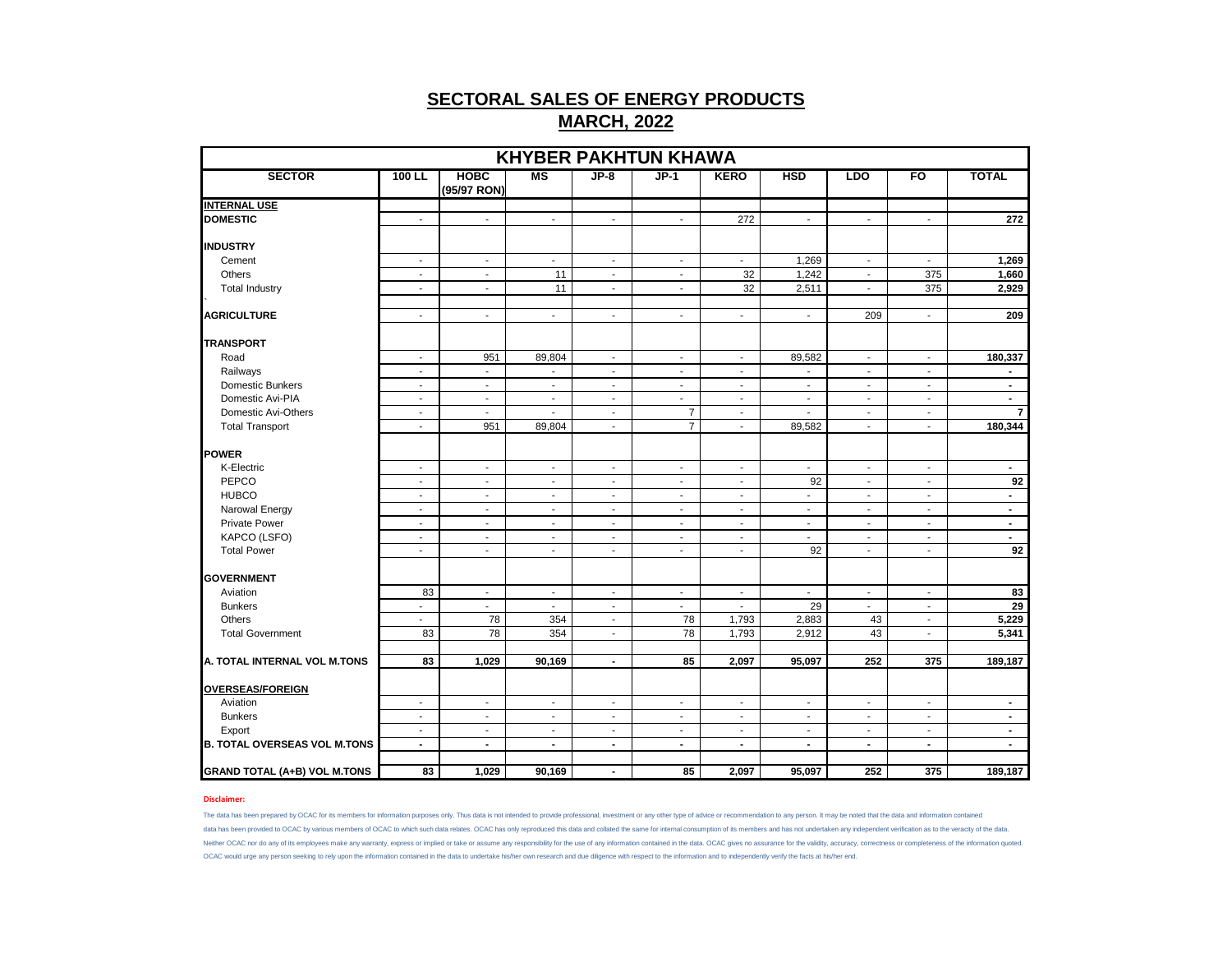|                                     |                          |                            |                          |                          | <b>KHYBER PAKHTUN KHAWA</b> |                          |                          |                          |                          |                |
|-------------------------------------|--------------------------|----------------------------|--------------------------|--------------------------|-----------------------------|--------------------------|--------------------------|--------------------------|--------------------------|----------------|
| <b>SECTOR</b>                       | 100 LL                   | <b>HOBC</b><br>(95/97 RON) | <b>MS</b>                | $JP-8$                   | $JP-1$                      | <b>KERO</b>              | <b>HSD</b>               | <b>LDO</b>               | FO                       | <b>TOTAL</b>   |
| <b>INTERNAL USE</b>                 |                          |                            |                          |                          |                             |                          |                          |                          |                          |                |
| <b>DOMESTIC</b>                     | $\sim$                   | $\sim$                     | $\sim$                   | $\blacksquare$           | $\sim$                      | 272                      | $\blacksquare$           | $\blacksquare$           | $\mathbf{r}$             | 272            |
|                                     |                          |                            |                          |                          |                             |                          |                          |                          |                          |                |
| <b>INDUSTRY</b>                     |                          |                            |                          |                          |                             |                          |                          |                          |                          |                |
| Cement                              | $\sim$                   | $\sim$                     | $\sim$                   | $\sim$                   | $\sim$                      | $\sim$                   | 1,269                    | $\sim$                   | $\sim$                   | 1,269          |
| Others                              | $\sim$                   | $\blacksquare$             | 11                       | $\blacksquare$           | $\blacksquare$              | 32                       | 1,242                    | $\sim$                   | 375                      | 1,660          |
| <b>Total Industry</b>               | $\sim$                   | $\blacksquare$             | 11                       | $\blacksquare$           | $\blacksquare$              | 32                       | 2,511                    | $\blacksquare$           | 375                      | 2,929          |
| <b>AGRICULTURE</b>                  | $\sim$                   | $\sim$                     | $\sim$                   | $\blacksquare$           | $\blacksquare$              | $\blacksquare$           | $\sim$                   | 209                      | $\sim$                   | 209            |
| <b>TRANSPORT</b>                    |                          |                            |                          |                          |                             |                          |                          |                          |                          |                |
| Road                                | $\overline{\phantom{a}}$ | 951                        | 89,804                   | $\overline{\phantom{a}}$ | $\overline{\phantom{a}}$    | $\blacksquare$           | 89,582                   | $\overline{\phantom{a}}$ | $\blacksquare$           | 180,337        |
| Railways                            | $\blacksquare$           | $\mathcal{L}$              | $\mathcal{L}$            | $\blacksquare$           | $\mathbf{r}$                | $\blacksquare$           | $\mathbf{r}$             | $\blacksquare$           | $\sim$                   | $\blacksquare$ |
| Domestic Bunkers                    | $\sim$                   | $\overline{\phantom{a}}$   | $\sim$                   | $\blacksquare$           | $\blacksquare$              | $\sim$                   | $\overline{\phantom{a}}$ | $\sim$                   | $\overline{\phantom{a}}$ | $\blacksquare$ |
| Domestic Avi-PIA                    | $\sim$                   | $\blacksquare$             | $\overline{\phantom{a}}$ | $\blacksquare$           | $\blacksquare$              | $\blacksquare$           | $\blacksquare$           | $\sim$                   | $\overline{\phantom{a}}$ | $\sim$         |
| Domestic Avi-Others                 | $\blacksquare$           | $\blacksquare$             | $\sim$                   | $\blacksquare$           | $\overline{7}$              | $\blacksquare$           | $\blacksquare$           | $\sim$                   | $\blacksquare$           | $\overline{7}$ |
| <b>Total Transport</b>              | $\sim$                   | 951                        | 89,804                   | $\blacksquare$           | $\overline{7}$              | $\blacksquare$           | 89,582                   | $\blacksquare$           | $\overline{\phantom{a}}$ | 180,344        |
| <b>POWER</b>                        |                          |                            |                          |                          |                             |                          |                          |                          |                          |                |
| K-Electric                          | $\overline{\phantom{a}}$ | $\overline{\phantom{a}}$   | $\blacksquare$           | $\overline{\phantom{a}}$ | $\overline{\phantom{a}}$    | $\overline{\phantom{a}}$ | $\overline{\phantom{a}}$ | $\blacksquare$           | $\overline{\phantom{a}}$ | $\blacksquare$ |
| PEPCO                               | $\overline{\phantom{a}}$ | $\overline{\phantom{a}}$   | $\overline{\phantom{a}}$ | $\overline{\phantom{a}}$ | $\overline{\phantom{a}}$    | $\overline{\phantom{a}}$ | 92                       | $\blacksquare$           | $\overline{\phantom{a}}$ | 92             |
| <b>HUBCO</b>                        | $\sim$                   | $\overline{\phantom{a}}$   | $\overline{\phantom{a}}$ | $\overline{\phantom{a}}$ | $\overline{\phantom{a}}$    | $\blacksquare$           | $\sim$                   | $\overline{\phantom{a}}$ | $\overline{\phantom{a}}$ | $\blacksquare$ |
| Narowal Energy                      | $\sim$                   | $\sim$                     | $\sim$                   | $\sim$                   | $\overline{\phantom{a}}$    | $\blacksquare$           | $\sim$                   | $\sim$                   | $\sim$                   | $\sim$         |
| <b>Private Power</b>                | $\sim$                   | $\blacksquare$             | $\sim$                   | $\blacksquare$           | $\sim$                      | $\sim$                   | $\sim$                   | $\blacksquare$           | $\blacksquare$           | $\sim$         |
| KAPCO (LSFO)                        | $\overline{\phantom{a}}$ | $\overline{\phantom{a}}$   | $\overline{\phantom{a}}$ | $\overline{\phantom{a}}$ | $\overline{\phantom{a}}$    | $\overline{\phantom{a}}$ | $\overline{\phantom{a}}$ | $\overline{\phantom{a}}$ | $\overline{\phantom{a}}$ | $\blacksquare$ |
| <b>Total Power</b>                  | $\sim$                   | $\overline{\phantom{a}}$   | $\overline{\phantom{a}}$ | $\overline{\phantom{a}}$ | $\overline{\phantom{a}}$    | $\blacksquare$           | 92                       | $\sim$                   | $\blacksquare$           | 92             |
|                                     |                          |                            |                          |                          |                             |                          |                          |                          |                          |                |
| <b>GOVERNMENT</b>                   |                          |                            |                          |                          |                             |                          |                          |                          |                          |                |
| Aviation                            | 83                       | $\overline{\phantom{a}}$   | $\overline{\phantom{a}}$ | $\overline{\phantom{a}}$ | $\overline{\phantom{a}}$    | $\overline{\phantom{a}}$ | $\overline{\phantom{a}}$ | $\blacksquare$           | $\overline{\phantom{a}}$ | 83             |
| <b>Bunkers</b>                      | $\sim$                   | $\sim$                     | $\sim$                   | $\overline{\phantom{a}}$ | $\overline{\phantom{a}}$    | $\blacksquare$           | 29                       | $\blacksquare$           | $\overline{\phantom{a}}$ | 29             |
| Others                              | $\sim$                   | 78                         | 354                      | $\blacksquare$           | 78                          | 1,793                    | 2,883                    | 43                       | $\blacksquare$           | 5,229          |
| <b>Total Government</b>             | 83                       | 78                         | 354                      | $\overline{\phantom{a}}$ | 78                          | 1,793                    | 2,912                    | 43                       | $\blacksquare$           | 5,341          |
| A. TOTAL INTERNAL VOL M.TONS        | 83                       | 1,029                      | 90,169                   | $\blacksquare$           | 85                          | 2,097                    | 95,097                   | 252                      | 375                      | 189,187        |
|                                     |                          |                            |                          |                          |                             |                          |                          |                          |                          |                |
| <b>OVERSEAS/FOREIGN</b>             |                          |                            |                          |                          |                             |                          |                          |                          |                          |                |
| Aviation                            | $\sim$                   | $\overline{\phantom{a}}$   | $\sim$                   | $\overline{\phantom{a}}$ | $\sim$                      | $\blacksquare$           | $\overline{\phantom{a}}$ | $\sim$                   | $\overline{\phantom{a}}$ | $\blacksquare$ |
| <b>Bunkers</b>                      | $\mathbf{r}$             | $\mathbf{r}$               | $\sim$                   | $\overline{a}$           | $\sim$                      | $\overline{a}$           | $\sim$                   | $\sim$                   | $\overline{a}$           | $\blacksquare$ |
| Export                              | $\blacksquare$           | $\blacksquare$             | $\overline{\phantom{a}}$ | $\overline{\phantom{a}}$ | $\overline{\phantom{a}}$    | $\blacksquare$           | $\blacksquare$           | $\blacksquare$           | $\overline{\phantom{a}}$ | $\blacksquare$ |
| <b>B. TOTAL OVERSEAS VOL M.TONS</b> | $\blacksquare$           | $\sim$                     | $\blacksquare$           | $\blacksquare$           | $\overline{\phantom{a}}$    | $\blacksquare$           | $\overline{\phantom{a}}$ | $\sim$                   | $\blacksquare$           | $\blacksquare$ |
| <b>GRAND TOTAL (A+B) VOL M.TONS</b> | 83                       | 1,029                      | 90,169                   | $\blacksquare$           | 85                          | 2,097                    | 95,097                   | 252                      | 375                      | 189,187        |

### **Disclaimer:**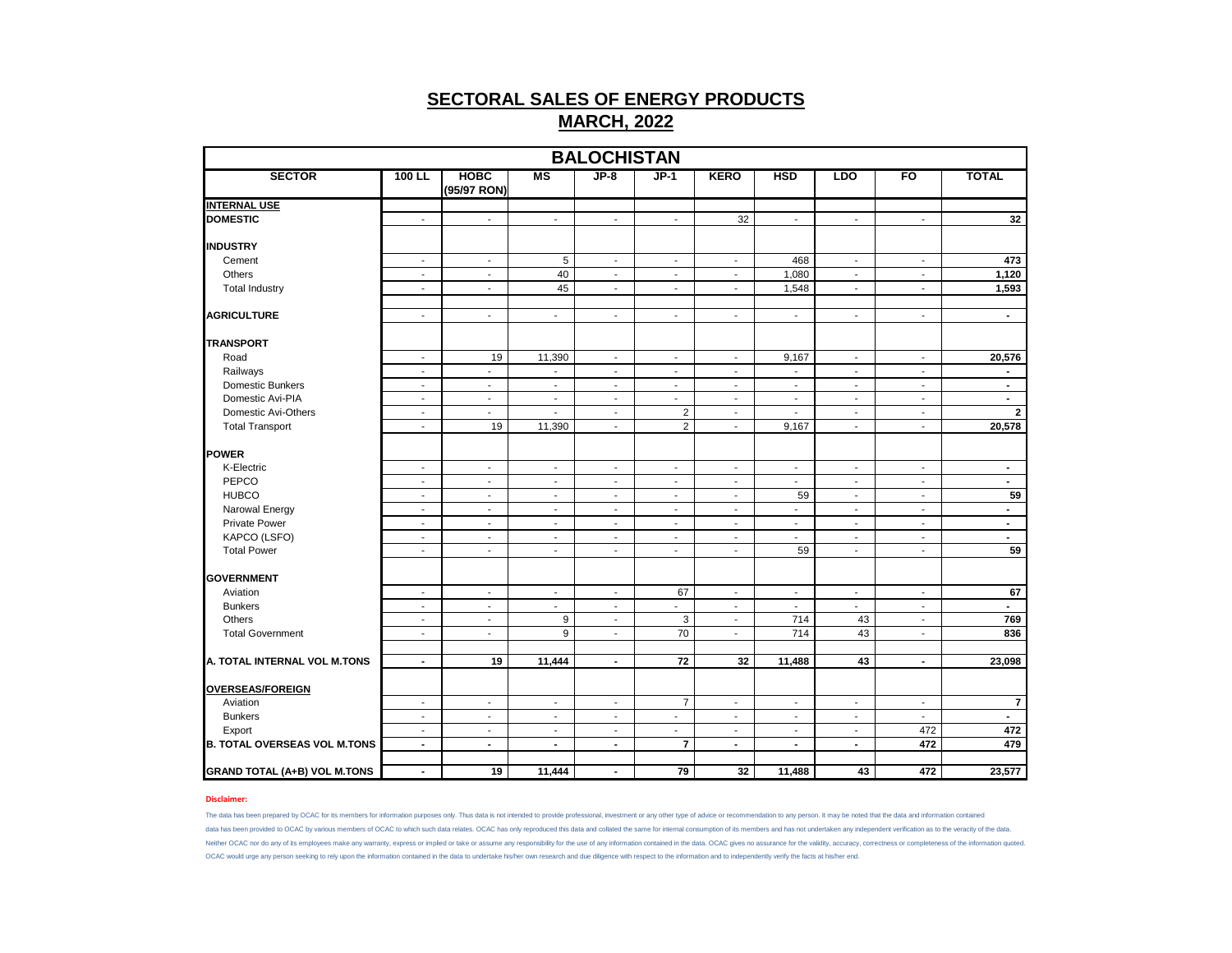|                                     |                          |                            |                          | <b>BALOCHISTAN</b>       |                          |                          |                          |                          |                          |                |
|-------------------------------------|--------------------------|----------------------------|--------------------------|--------------------------|--------------------------|--------------------------|--------------------------|--------------------------|--------------------------|----------------|
| <b>SECTOR</b>                       | 100 LL                   | <b>HOBC</b><br>(95/97 RON) | <b>MS</b>                | $JP-8$                   | $JP-1$                   | <b>KERO</b>              | <b>HSD</b>               | <b>LDO</b>               | FO                       | <b>TOTAL</b>   |
| <b>INTERNAL USE</b>                 |                          |                            |                          |                          |                          |                          |                          |                          |                          |                |
| <b>DOMESTIC</b>                     | $\blacksquare$           | $\blacksquare$             | $\sim$                   | $\mathbf{r}$             | $\sim$                   | 32                       | $\mathbf{r}$             | $\mathbf{r}$             | $\mathbf{r}$             | 32             |
| <b>INDUSTRY</b>                     |                          |                            |                          |                          |                          |                          |                          |                          |                          |                |
| Cement                              | $\sim$                   | $\sim$                     | 5                        | $\sim$                   | $\sim$                   | $\sim$                   | 468                      | $\sim$                   | $\sim$                   | 473            |
| Others                              | $\blacksquare$           | $\blacksquare$             | 40                       | $\sim$                   | $\blacksquare$           | $\sim$                   | 1,080                    | $\blacksquare$           | $\blacksquare$           | 1,120          |
| <b>Total Industry</b>               | $\blacksquare$           | $\blacksquare$             | 45                       | $\blacksquare$           | $\sim$                   | $\sim$                   | 1,548                    | $\mathbf{r}$             | $\overline{\phantom{a}}$ | 1,593          |
| <b>AGRICULTURE</b>                  | $\overline{\phantom{a}}$ | $\overline{\phantom{a}}$   | $\blacksquare$           | $\blacksquare$           | $\sim$                   | $\blacksquare$           | $\blacksquare$           | $\blacksquare$           | $\sim$                   | $\blacksquare$ |
| <b>TRANSPORT</b>                    |                          |                            |                          |                          |                          |                          |                          |                          |                          |                |
| Road                                | $\overline{\phantom{a}}$ | 19                         | 11,390                   | $\overline{\phantom{a}}$ | $\sim$                   | $\sim$                   | 9,167                    | $\overline{\phantom{a}}$ | $\overline{\phantom{a}}$ | 20,576         |
| Railways                            | $\overline{\phantom{a}}$ | $\blacksquare$             | $\overline{\phantom{a}}$ | $\blacksquare$           | $\sim$                   | $\blacksquare$           | $\blacksquare$           | $\overline{\phantom{a}}$ | $\overline{\phantom{a}}$ | $\blacksquare$ |
| Domestic Bunkers                    | $\overline{\phantom{a}}$ | $\overline{\phantom{a}}$   | $\overline{\phantom{a}}$ | $\blacksquare$           | $\sim$                   | $\sim$                   | $\sim$                   | $\blacksquare$           | $\blacksquare$           | $\blacksquare$ |
| Domestic Avi-PIA                    | $\sim$                   | $\overline{\phantom{a}}$   | $\blacksquare$           | $\overline{\phantom{a}}$ | $\blacksquare$           | $\blacksquare$           | $\overline{\phantom{a}}$ | $\blacksquare$           | $\blacksquare$           | $\blacksquare$ |
| Domestic Avi-Others                 | $\overline{\phantom{a}}$ | $\blacksquare$             | $\blacksquare$           | $\blacksquare$           | $\overline{c}$           | $\sim$                   | $\blacksquare$           | $\blacksquare$           | $\blacksquare$           | $\overline{2}$ |
| <b>Total Transport</b>              | $\overline{\phantom{a}}$ | 19                         | 11,390                   | $\sim$                   | $\overline{2}$           | $\sim$                   | 9,167                    | $\blacksquare$           | $\sim$                   | 20,578         |
| POWER                               |                          |                            |                          |                          |                          |                          |                          |                          |                          |                |
| K-Electric                          | $\overline{\phantom{a}}$ | $\overline{\phantom{a}}$   | $\blacksquare$           | $\blacksquare$           | $\blacksquare$           | $\blacksquare$           | $\overline{\phantom{a}}$ | $\overline{\phantom{a}}$ | $\blacksquare$           | $\blacksquare$ |
| PEPCO                               | $\overline{\phantom{a}}$ | $\overline{\phantom{a}}$   | $\overline{\phantom{a}}$ | $\blacksquare$           | $\overline{\phantom{a}}$ | $\sim$                   | $\blacksquare$           | $\blacksquare$           | $\blacksquare$           | $\blacksquare$ |
| <b>HUBCO</b>                        | $\sim$                   | $\sim$                     | $\sim$                   | ٠                        | $\sim$                   | $\sim$                   | 59                       | $\overline{\phantom{a}}$ | $\sim$                   | 59             |
| Narowal Energy                      | $\sim$                   | $\sim$                     | $\blacksquare$           | $\blacksquare$           | $\sim$                   | $\sim$                   | $\sim$                   | $\sim$                   | $\overline{\phantom{a}}$ | $\blacksquare$ |
| <b>Private Power</b>                | $\blacksquare$           | $\blacksquare$             | $\sim$                   | $\sim$                   | $\sim$                   | $\sim$                   | $\blacksquare$           | $\blacksquare$           | $\mathbf{r}$             | $\sim$         |
| KAPCO (LSFO)                        | $\overline{\phantom{a}}$ | $\blacksquare$             | $\blacksquare$           | $\overline{\phantom{a}}$ | $\overline{\phantom{a}}$ | $\overline{\phantom{a}}$ | $\overline{\phantom{a}}$ | $\overline{\phantom{a}}$ | $\sim$                   | $\blacksquare$ |
| <b>Total Power</b>                  | $\sim$                   | $\sim$                     | $\sim$                   | $\sim$                   | $\sim$                   | $\overline{a}$           | 59                       | $\overline{a}$           | $\overline{\phantom{a}}$ | 59             |
| <b>GOVERNMENT</b>                   |                          |                            |                          |                          |                          |                          |                          |                          |                          |                |
| Aviation                            | $\overline{\phantom{a}}$ | $\overline{\phantom{a}}$   | $\overline{\phantom{a}}$ | $\overline{\phantom{a}}$ | 67                       | $\blacksquare$           | $\overline{\phantom{a}}$ | $\overline{\phantom{a}}$ | $\blacksquare$           | 67             |
| <b>Bunkers</b>                      | $\overline{\phantom{a}}$ | $\sim$                     | $\sim$                   | $\overline{\phantom{a}}$ | $\overline{\phantom{a}}$ | $\sim$                   | $\sim$                   | $\overline{\phantom{a}}$ | $\overline{\phantom{a}}$ | $\sim$         |
| Others                              | $\overline{\phantom{a}}$ | $\sim$                     | 9                        | $\sim$                   | 3                        | $\sim$                   | 714                      | 43                       | $\blacksquare$           | 769            |
| <b>Total Government</b>             | $\overline{\phantom{a}}$ | $\overline{\phantom{a}}$   | $\overline{9}$           | $\overline{a}$           | 70                       | $\overline{\phantom{a}}$ | 714                      | 43                       | $\blacksquare$           | 836            |
|                                     |                          |                            |                          |                          |                          |                          |                          |                          |                          |                |
| A. TOTAL INTERNAL VOL M.TONS        | $\blacksquare$           | 19                         | 11,444                   | $\blacksquare$           | 72                       | 32                       | 11,488                   | 43                       | $\blacksquare$           | 23,098         |
| <b>OVERSEAS/FOREIGN</b>             |                          |                            |                          |                          |                          |                          |                          |                          |                          |                |
| Aviation                            | $\overline{\phantom{a}}$ | $\overline{\phantom{a}}$   | $\overline{\phantom{a}}$ | $\overline{\phantom{a}}$ | $\overline{7}$           | $\sim$                   | $\overline{\phantom{a}}$ | $\overline{\phantom{a}}$ | $\overline{\phantom{a}}$ | $\overline{7}$ |
| <b>Bunkers</b>                      | $\overline{\phantom{a}}$ | $\blacksquare$             | $\sim$                   | $\sim$                   | $\blacksquare$           | $\sim$                   | $\blacksquare$           | $\blacksquare$           | $\mathbf{r}$             | $\mathbf{r}$   |
| Export                              | $\overline{\phantom{a}}$ | $\blacksquare$             | $\blacksquare$           | $\overline{\phantom{a}}$ | $\overline{\phantom{a}}$ | $\overline{\phantom{a}}$ | $\overline{\phantom{a}}$ | $\overline{\phantom{a}}$ | 472                      | 472            |
| <b>B. TOTAL OVERSEAS VOL M.TONS</b> | $\blacksquare$           | $\blacksquare$             | $\sim$                   | $\blacksquare$           | $\overline{7}$           | $\overline{\phantom{a}}$ | $\blacksquare$           | $\blacksquare$           | 472                      | 479            |
| <b>GRAND TOTAL (A+B) VOL M.TONS</b> | $\blacksquare$           | 19                         | 11,444                   | $\blacksquare$           | 79                       | 32                       | 11,488                   | 43                       | 472                      | 23,577         |

### **Disclaimer:**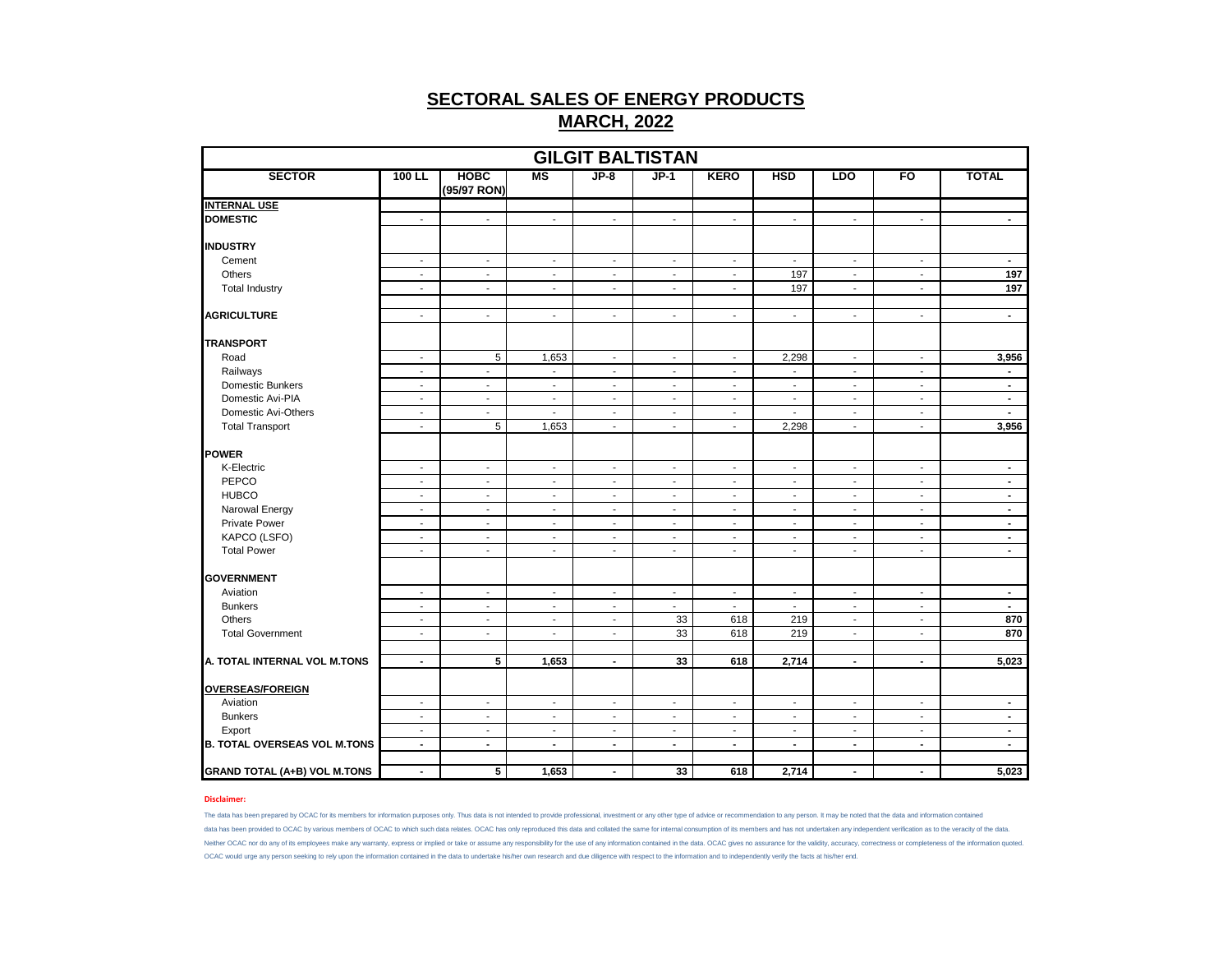|                                     |                          |                            |                          |                          | <b>GILGIT BALTISTAN</b>  |                          |                          |                          |                          |                |
|-------------------------------------|--------------------------|----------------------------|--------------------------|--------------------------|--------------------------|--------------------------|--------------------------|--------------------------|--------------------------|----------------|
| <b>SECTOR</b>                       | 100 LL                   | <b>HOBC</b><br>(95/97 RON) | $\overline{\text{MS}}$   | $JP-8$                   | $JP-1$                   | <b>KERO</b>              | <b>HSD</b>               | <b>LDO</b>               | FO                       | <b>TOTAL</b>   |
| <b>INTERNAL USE</b>                 |                          |                            |                          |                          |                          |                          |                          |                          |                          |                |
| <b>DOMESTIC</b>                     | $\mathbf{r}$             | $\sim$                     | $\sim$                   | $\mathbf{r}$             | $\mathbf{r}$             | $\sim$                   | L.                       | $\mathbf{r}$             | $\mathbf{r}$             | $\blacksquare$ |
| <b>INDUSTRY</b>                     |                          |                            |                          |                          |                          |                          |                          |                          |                          |                |
| Cement                              | $\sim$                   | $\sim$                     | $\sim$                   | $\overline{\phantom{a}}$ | $\sim$                   | $\sim$                   | $\overline{\phantom{a}}$ | $\sim$                   | $\sim$                   | $\sim$         |
| Others                              | $\blacksquare$           | $\overline{\phantom{a}}$   | $\overline{\phantom{a}}$ | $\overline{\phantom{a}}$ | $\overline{\phantom{a}}$ | $\sim$                   | 197                      | $\blacksquare$           | $\blacksquare$           | 197            |
| <b>Total Industry</b>               | $\blacksquare$           | $\blacksquare$             | $\blacksquare$           | $\blacksquare$           | $\blacksquare$           | $\sim$                   | 197                      | $\blacksquare$           | $\blacksquare$           | 197            |
| <b>AGRICULTURE</b>                  | $\mathbf{r}$             | $\mathbf{r}$               | $\mathbf{r}$             | $\blacksquare$           | L.                       | $\mathbf{r}$             | $\blacksquare$           | $\blacksquare$           | $\mathbf{r}$             | $\blacksquare$ |
| <b>TRANSPORT</b>                    |                          |                            |                          |                          |                          |                          |                          |                          |                          |                |
| Road                                | $\sim$                   | $5\phantom{.0}$            | 1,653                    | $\overline{\phantom{a}}$ | $\overline{\phantom{a}}$ | $\sim$                   | 2,298                    | $\overline{\phantom{a}}$ | $\blacksquare$           | 3,956          |
| Railways                            | $\sim$                   | $\mathcal{L}$              | $\mathbf{r}$             | $\blacksquare$           | $\blacksquare$           | $\sim$                   |                          | $\mathbf{r}$             | $\blacksquare$           | $\blacksquare$ |
| Domestic Bunkers                    | $\sim$                   | $\overline{\phantom{a}}$   | $\overline{\phantom{a}}$ | $\overline{\phantom{a}}$ | $\overline{\phantom{a}}$ | $\sim$                   | $\overline{\phantom{a}}$ | $\overline{\phantom{a}}$ | $\overline{\phantom{a}}$ | $\blacksquare$ |
| Domestic Avi-PIA                    | $\overline{\phantom{a}}$ | $\sim$                     | $\overline{\phantom{a}}$ | $\overline{\phantom{a}}$ | $\overline{\phantom{a}}$ | $\overline{\phantom{a}}$ | $\overline{\phantom{a}}$ | $\overline{\phantom{a}}$ | $\overline{\phantom{a}}$ | $\blacksquare$ |
| Domestic Avi-Others                 | $\sim$                   | $\sim$                     | $\sim$                   | $\overline{\phantom{a}}$ | $\overline{\phantom{a}}$ | $\sim$                   | $\blacksquare$           | $\blacksquare$           | $\sim$                   | $\sim$         |
| <b>Total Transport</b>              | $\sim$                   | 5                          | 1,653                    | $\overline{\phantom{a}}$ | $\overline{\phantom{a}}$ | $\sim$                   | 2,298                    | $\overline{\phantom{a}}$ | $\overline{\phantom{a}}$ | 3,956          |
| <b>POWER</b>                        |                          |                            |                          |                          |                          |                          |                          |                          |                          |                |
| K-Electric                          | $\sim$                   | $\sim$                     | $\sim$                   | $\blacksquare$           | $\sim$                   | $\sim$                   | $\blacksquare$           | $\mathbf{r}$             | $\blacksquare$           | $\blacksquare$ |
| PEPCO                               | $\overline{\phantom{a}}$ | $\overline{\phantom{a}}$   | $\overline{\phantom{a}}$ | $\overline{\phantom{a}}$ | $\overline{\phantom{a}}$ | $\overline{\phantom{a}}$ | $\overline{\phantom{a}}$ | $\overline{\phantom{a}}$ | $\overline{\phantom{a}}$ | $\blacksquare$ |
| <b>HUBCO</b>                        | $\blacksquare$           | $\sim$                     | $\overline{\phantom{a}}$ | $\overline{\phantom{a}}$ | $\sim$                   | $\sim$                   | $\overline{\phantom{a}}$ | $\overline{\phantom{a}}$ | $\blacksquare$           | $\sim$         |
| Narowal Energy                      | $\blacksquare$           | $\blacksquare$             | $\overline{\phantom{a}}$ | $\overline{\phantom{a}}$ | $\blacksquare$           | $\sim$                   | $\overline{\phantom{a}}$ | $\overline{\phantom{a}}$ | $\overline{\phantom{a}}$ | $\blacksquare$ |
| <b>Private Power</b>                | $\overline{\phantom{a}}$ | $\blacksquare$             | $\overline{\phantom{a}}$ | $\overline{\phantom{a}}$ | $\blacksquare$           | $\sim$                   | $\blacksquare$           | $\overline{\phantom{a}}$ | $\overline{\phantom{a}}$ | $\blacksquare$ |
| KAPCO (LSFO)                        | $\blacksquare$           | $\blacksquare$             | $\overline{\phantom{a}}$ | $\overline{\phantom{a}}$ | $\overline{\phantom{a}}$ | $\sim$                   | $\blacksquare$           | $\overline{\phantom{a}}$ | $\blacksquare$           | $\blacksquare$ |
| <b>Total Power</b>                  | $\sim$                   | $\sim$                     | $\overline{\phantom{a}}$ | $\overline{\phantom{a}}$ | $\overline{\phantom{a}}$ | $\overline{\phantom{a}}$ | $\overline{\phantom{a}}$ | $\blacksquare$           | $\overline{\phantom{a}}$ | $\blacksquare$ |
| <b>GOVERNMENT</b>                   |                          |                            |                          |                          |                          |                          |                          |                          |                          |                |
| Aviation                            | $\blacksquare$           | $\blacksquare$             | $\blacksquare$           | $\overline{\phantom{a}}$ | $\overline{\phantom{a}}$ | $\blacksquare$           | $\blacksquare$           | $\blacksquare$           | $\overline{\phantom{a}}$ | $\blacksquare$ |
| <b>Bunkers</b>                      | $\sim$                   | $\blacksquare$             | $\sim$                   | $\overline{\phantom{a}}$ | $\sim$                   | $\sim$                   | $\overline{\phantom{a}}$ | $\overline{\phantom{a}}$ | $\blacksquare$           | $\blacksquare$ |
| Others                              | $\sim$                   | $\overline{\phantom{a}}$   | $\sim$                   | $\overline{\phantom{a}}$ | 33                       | 618                      | 219                      | $\overline{\phantom{a}}$ | $\overline{\phantom{a}}$ | 870            |
| <b>Total Government</b>             | $\overline{\phantom{a}}$ | $\overline{\phantom{a}}$   | $\overline{a}$           | $\overline{\phantom{a}}$ | 33                       | 618                      | 219                      | $\overline{\phantom{a}}$ | $\overline{\phantom{a}}$ | 870            |
|                                     |                          |                            |                          |                          |                          |                          |                          |                          |                          |                |
| A. TOTAL INTERNAL VOL M.TONS        | $\blacksquare$           | 5                          | 1,653                    | $\blacksquare$           | 33                       | 618                      | 2,714                    | $\blacksquare$           | $\blacksquare$           | 5,023          |
| <b>OVERSEAS/FOREIGN</b>             |                          |                            |                          |                          |                          |                          |                          |                          |                          |                |
| Aviation                            | $\sim$                   | $\overline{\phantom{a}}$   | $\overline{\phantom{a}}$ | $\overline{\phantom{a}}$ | $\overline{\phantom{a}}$ | $\sim$                   | $\overline{\phantom{a}}$ | $\overline{\phantom{a}}$ | $\overline{\phantom{a}}$ | $\blacksquare$ |
| <b>Bunkers</b>                      | $\mathbf{r}$             | $\mathbf{r}$               | $\mathbf{r}$             | $\overline{\phantom{a}}$ | $\mathbf{r}$             | $\mathbf{r}$             | $\overline{a}$           | $\blacksquare$           | $\mathbf{r}$             | $\blacksquare$ |
| Export                              | $\sim$                   | $\overline{\phantom{a}}$   | $\overline{\phantom{a}}$ | $\overline{\phantom{a}}$ | $\overline{\phantom{a}}$ | $\sim$                   | $\overline{\phantom{a}}$ | $\overline{\phantom{a}}$ | $\overline{\phantom{a}}$ | $\blacksquare$ |
| <b>B. TOTAL OVERSEAS VOL M.TONS</b> | $\blacksquare$           | $\blacksquare$             | $\blacksquare$           | $\blacksquare$           | $\blacksquare$           | $\blacksquare$           | $\blacksquare$           | $\blacksquare$           | $\blacksquare$           | $\blacksquare$ |
| <b>GRAND TOTAL (A+B) VOL M.TONS</b> | $\blacksquare$           | 5                          | 1,653                    | $\overline{\phantom{a}}$ | 33                       | 618                      | 2,714                    | $\blacksquare$           | $\blacksquare$           | 5,023          |

### **Disclaimer:**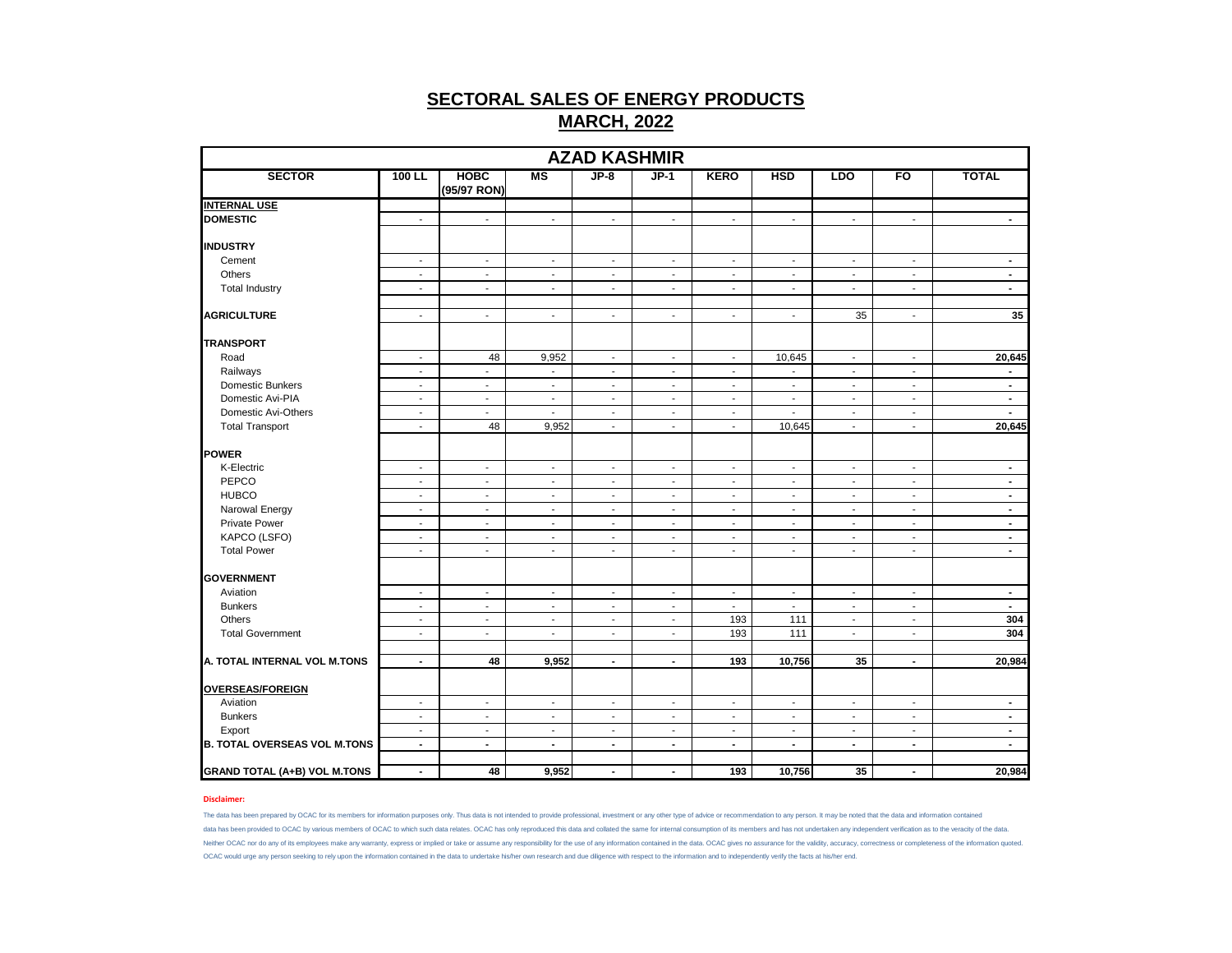|                                     |                                    |                            |                          | <b>AZAD KASHMIR</b>         |                          |                             |                                       |                          |                                    |                          |
|-------------------------------------|------------------------------------|----------------------------|--------------------------|-----------------------------|--------------------------|-----------------------------|---------------------------------------|--------------------------|------------------------------------|--------------------------|
| <b>SECTOR</b>                       | 100 LL                             | <b>HOBC</b><br>(95/97 RON) | <b>MS</b>                | $JP-8$                      | $JP-1$                   | <b>KERO</b>                 | <b>HSD</b>                            | <b>LDO</b>               | FO                                 | <b>TOTAL</b>             |
| <b>INTERNAL USE</b>                 |                                    |                            |                          |                             |                          |                             |                                       |                          |                                    |                          |
| <b>DOMESTIC</b>                     | $\sim$                             | $\mathbf{r}$               | $\sim$                   | $\sim$                      | $\blacksquare$           | $\blacksquare$              | $\mathbf{r}$                          | $\sim$                   | $\mathbf{r}$                       | $\blacksquare$           |
| <b>INDUSTRY</b>                     |                                    |                            |                          |                             |                          |                             |                                       |                          |                                    |                          |
| Cement                              | $\sim$                             | $\sim$                     | $\overline{\phantom{a}}$ | $\sim$                      | $\sim$                   | $\overline{\phantom{a}}$    | $\sim$                                | $\sim$                   | $\sim$                             | $\blacksquare$           |
| Others                              | $\mathbf{r}$                       | $\mathbf{r}$               | $\blacksquare$           | $\mathcal{L}_{\mathcal{A}}$ | $\sim$                   | $\mathcal{L}_{\mathcal{A}}$ | $\blacksquare$                        | $\sim$                   | $\blacksquare$                     | $\blacksquare$           |
| <b>Total Industry</b>               | $\mathbf{r}$                       | $\sim$                     | $\mathbf{r}$             | $\sim$                      | $\sim$                   | $\blacksquare$              | $\blacksquare$                        | $\sim$                   | $\mathbf{r}$                       | $\mathbf{r}$             |
| <b>AGRICULTURE</b>                  | $\sim$                             | $\blacksquare$             | $\sim$                   | $\sim$                      | $\overline{\phantom{a}}$ | $\blacksquare$              | $\blacksquare$                        | 35                       | $\overline{\phantom{a}}$           | 35                       |
|                                     |                                    |                            |                          |                             |                          |                             |                                       |                          |                                    |                          |
| <b>TRANSPORT</b>                    |                                    |                            |                          |                             |                          |                             |                                       |                          |                                    |                          |
| Road<br>Railways                    | $\overline{\phantom{a}}$<br>$\sim$ | 48<br>$\mathbf{r}$         | 9,952<br>$\blacksquare$  | $\sim$<br>$\blacksquare$    | $\sim$<br>$\blacksquare$ | $\sim$<br>$\blacksquare$    | 10,645<br>$\mathcal{L}_{\mathcal{A}}$ | $\sim$<br>$\sim$         | $\sim$<br>$\overline{\phantom{a}}$ | 20,645<br>$\blacksquare$ |
|                                     |                                    |                            |                          |                             |                          |                             |                                       |                          |                                    |                          |
| Domestic Bunkers                    | $\sim$                             | $\overline{\phantom{a}}$   | $\overline{\phantom{a}}$ | $\overline{\phantom{a}}$    | $\overline{\phantom{a}}$ | $\blacksquare$              | $\overline{\phantom{a}}$              | $\overline{\phantom{a}}$ | $\overline{\phantom{a}}$           | $\blacksquare$           |
| Domestic Avi-PIA                    | $\overline{\phantom{a}}$           | $\blacksquare$             | $\overline{\phantom{a}}$ | $\sim$                      | $\overline{\phantom{a}}$ | $\sim$                      | $\blacksquare$<br>$\mathcal{L}$       | $\overline{\phantom{a}}$ | $\blacksquare$                     | $\blacksquare$<br>$\sim$ |
| Domestic Avi-Others                 | $\sim$                             | $\blacksquare$             | $\blacksquare$           | $\mathcal{L}_{\mathcal{A}}$ | $\sim$                   | $\blacksquare$              |                                       | $\sim$                   | $\blacksquare$                     |                          |
| <b>Total Transport</b>              | $\sim$                             | 48                         | 9,952                    | $\blacksquare$              | $\blacksquare$           | $\blacksquare$              | 10,645                                | $\sim$                   | $\sim$                             | 20,645                   |
| POWER                               |                                    |                            |                          |                             |                          |                             |                                       |                          |                                    |                          |
| K-Electric                          | $\blacksquare$                     | $\blacksquare$             | $\blacksquare$           | $\blacksquare$              | $\overline{\phantom{a}}$ | $\blacksquare$              | $\blacksquare$                        | $\blacksquare$           | $\overline{\phantom{a}}$           | $\blacksquare$           |
| PEPCO                               | $\sim$                             | $\overline{\phantom{a}}$   | $\overline{\phantom{a}}$ | $\blacksquare$              | $\overline{\phantom{a}}$ | $\blacksquare$              | $\overline{\phantom{a}}$              | $\overline{\phantom{a}}$ | $\overline{\phantom{a}}$           | $\blacksquare$           |
| <b>HUBCO</b>                        | $\sim$                             | $\sim$                     | $\sim$                   | $\overline{\phantom{a}}$    | $\sim$                   | $\overline{\phantom{a}}$    | $\overline{\phantom{a}}$              | $\sim$                   | $\overline{\phantom{a}}$           | $\blacksquare$           |
| Narowal Energy                      | $\sim$                             | $\sim$                     | $\sim$                   | $\sim$                      | $\sim$                   | $\blacksquare$              | $\blacksquare$                        | $\sim$                   | $\overline{\phantom{a}}$           | $\blacksquare$           |
| <b>Private Power</b>                | $\sim$                             | $\mathbf{r}$               | $\sim$                   | $\mathbf{r}$                | $\sim$                   | $\blacksquare$              | $\sim$                                | $\sim$                   | $\blacksquare$                     | $\sim$                   |
| KAPCO (LSFO)                        | $\blacksquare$                     | $\overline{\phantom{a}}$   | $\blacksquare$           | $\blacksquare$              | $\overline{\phantom{a}}$ | $\blacksquare$              | $\overline{\phantom{a}}$              | $\blacksquare$           | $\overline{\phantom{a}}$           | $\blacksquare$           |
| <b>Total Power</b>                  | $\overline{\phantom{a}}$           | $\sim$                     | $\sim$                   | $\sim$                      | $\sim$                   | $\sim$                      | $\blacksquare$                        | $\sim$                   | $\blacksquare$                     | $\blacksquare$           |
| <b>GOVERNMENT</b>                   |                                    |                            |                          |                             |                          |                             |                                       |                          |                                    |                          |
| Aviation                            | $\overline{\phantom{a}}$           | $\overline{\phantom{a}}$   | $\overline{\phantom{a}}$ | $\blacksquare$              | $\overline{\phantom{a}}$ | $\overline{\phantom{a}}$    | $\overline{\phantom{a}}$              | $\overline{\phantom{a}}$ | $\overline{\phantom{a}}$           | $\blacksquare$           |
| <b>Bunkers</b>                      | $\sim$                             | $\sim$                     | $\overline{\phantom{a}}$ | $\blacksquare$              | $\sim$                   | $\sim$                      | $\sim$                                | $\sim$                   | $\overline{\phantom{a}}$           | $\sim$                   |
| Others                              | $\sim$                             | $\blacksquare$             | $\sim$                   | $\mathbf{r}$                | $\sim$                   | 193                         | 111                                   | $\sim$                   | $\sim$                             | 304                      |
| <b>Total Government</b>             | $\blacksquare$                     | $\overline{\phantom{a}}$   | $\overline{\phantom{a}}$ | $\overline{\phantom{a}}$    | $\overline{\phantom{a}}$ | 193                         | 111                                   | $\overline{\phantom{a}}$ | $\overline{\phantom{a}}$           | 304                      |
|                                     |                                    |                            |                          |                             |                          |                             |                                       |                          |                                    |                          |
| A. TOTAL INTERNAL VOL M.TONS        | $\blacksquare$                     | 48                         | 9,952                    | $\blacksquare$              | $\blacksquare$           | 193                         | 10,756                                | 35                       | $\blacksquare$                     | 20,984                   |
| <b>OVERSEAS/FOREIGN</b>             |                                    |                            |                          |                             |                          |                             |                                       |                          |                                    |                          |
| Aviation                            | $\sim$                             | $\sim$                     | $\overline{\phantom{a}}$ | $\sim$                      | $\sim$                   | $\blacksquare$              | $\sim$                                | $\sim$                   | $\overline{\phantom{a}}$           | $\blacksquare$           |
| <b>Bunkers</b>                      | $\blacksquare$                     | $\mathbf{r}$               | $\sim$                   | $\blacksquare$              | $\sim$                   | $\blacksquare$              | $\sim$                                | $\sim$                   | $\sim$                             | $\blacksquare$           |
| Export                              | $\blacksquare$                     | $\blacksquare$             | $\overline{\phantom{a}}$ | $\blacksquare$              | $\overline{\phantom{a}}$ | $\overline{\phantom{a}}$    | $\overline{\phantom{a}}$              | $\overline{\phantom{a}}$ | $\overline{\phantom{a}}$           | $\blacksquare$           |
| <b>B. TOTAL OVERSEAS VOL M.TONS</b> | $\blacksquare$                     | $\blacksquare$             | $\blacksquare$           | $\sim$                      | $\blacksquare$           | $\blacksquare$              | $\blacksquare$                        | $\sim$                   | $\blacksquare$                     | $\blacksquare$           |
|                                     |                                    |                            |                          |                             |                          |                             |                                       |                          |                                    |                          |
| <b>GRAND TOTAL (A+B) VOL M.TONS</b> | $\blacksquare$                     | 48                         | 9,952                    | $\blacksquare$              | $\blacksquare$           | 193                         | 10,756                                | 35                       | $\blacksquare$                     | 20,984                   |

## **Disclaimer:**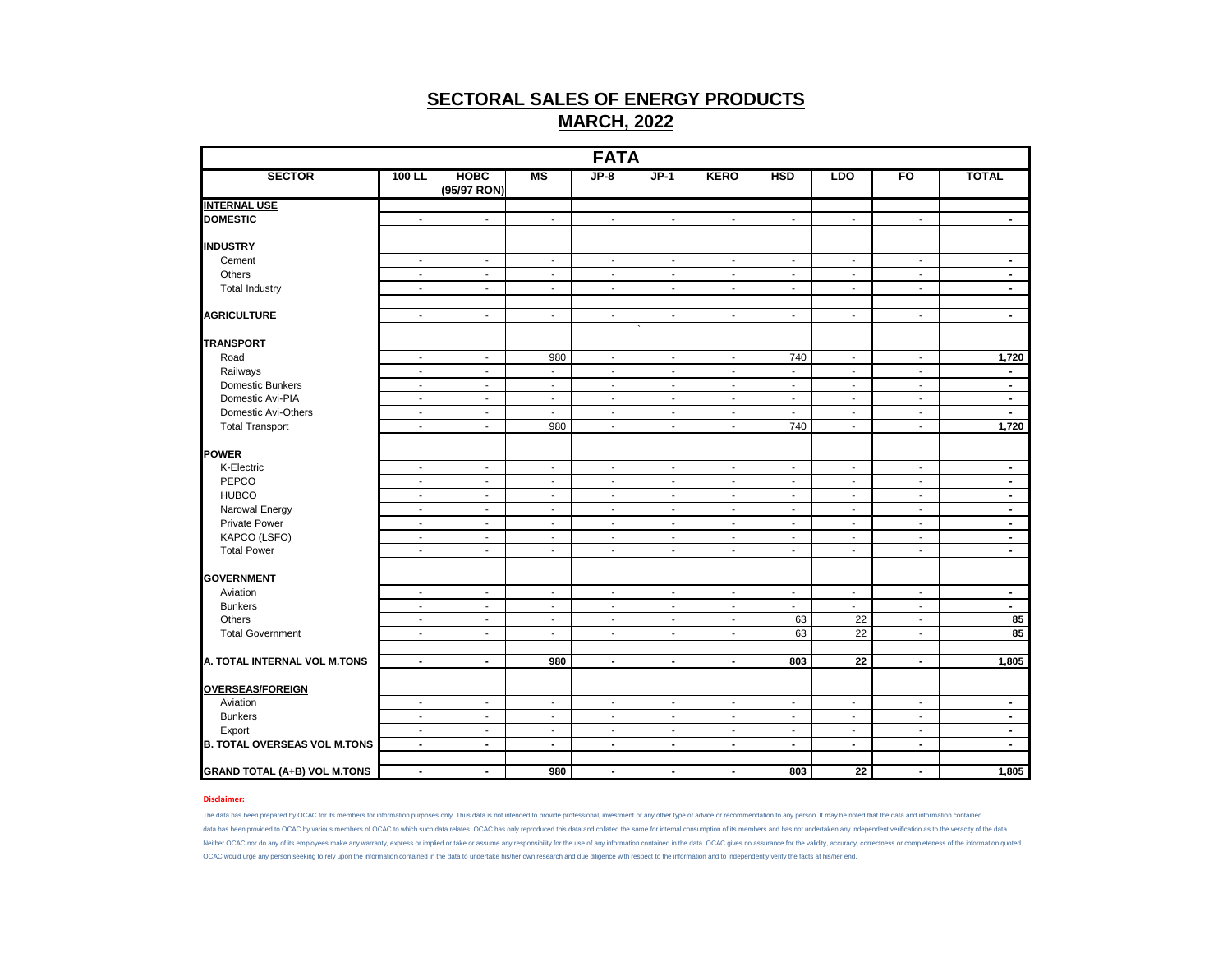|                                     |                                            |                                            |                                                      | <b>FATA</b>                                          |                                                      |                                                      |                                                      |                                  |                                                      |                                  |
|-------------------------------------|--------------------------------------------|--------------------------------------------|------------------------------------------------------|------------------------------------------------------|------------------------------------------------------|------------------------------------------------------|------------------------------------------------------|----------------------------------|------------------------------------------------------|----------------------------------|
| <b>SECTOR</b>                       | 100 LL                                     | <b>HOBC</b><br>(95/97 RON)                 | MS                                                   | $JP-8$                                               | $JP-1$                                               | <b>KERO</b>                                          | <b>HSD</b>                                           | <b>LDO</b>                       | FO                                                   | <b>TOTAL</b>                     |
| <b>INTERNAL USE</b>                 |                                            |                                            |                                                      |                                                      |                                                      |                                                      |                                                      |                                  |                                                      |                                  |
| <b>DOMESTIC</b>                     | $\sim$                                     | $\overline{\phantom{a}}$                   | $\overline{\phantom{a}}$                             | $\sim$                                               | $\overline{\phantom{a}}$                             | $\overline{\phantom{a}}$                             | $\overline{\phantom{a}}$                             | $\sim$                           | $\blacksquare$                                       | $\sim$                           |
| <b>INDUSTRY</b>                     |                                            |                                            |                                                      |                                                      |                                                      |                                                      |                                                      |                                  |                                                      |                                  |
| Cement                              | $\sim$                                     | $\blacksquare$                             | $\blacksquare$                                       | $\blacksquare$                                       | $\sim$                                               | $\blacksquare$                                       | $\blacksquare$                                       | $\sim$                           | $\blacksquare$                                       | $\sim$                           |
| Others                              | $\blacksquare$                             | $\blacksquare$                             | $\overline{\phantom{a}}$                             | $\blacksquare$                                       | $\overline{\phantom{a}}$                             | $\overline{\phantom{a}}$                             | $\overline{\phantom{a}}$                             | $\sim$                           | $\sim$                                               | $\blacksquare$                   |
| <b>Total Industry</b>               | $\sim$                                     | $\blacksquare$                             | $\overline{\phantom{a}}$                             | $\blacksquare$                                       | $\blacksquare$                                       | $\blacksquare$                                       | $\blacksquare$                                       | $\mathcal{L}$                    | $\mathbf{r}$                                         | $\blacksquare$                   |
| <b>AGRICULTURE</b>                  | $\sim$                                     | $\sim$                                     | $\overline{\phantom{a}}$                             | $\sim$                                               | $\overline{\phantom{a}}$                             | $\overline{\phantom{a}}$                             | $\overline{\phantom{a}}$                             | $\sim$                           | $\sim$                                               | $\blacksquare$                   |
| <b>TRANSPORT</b>                    |                                            |                                            |                                                      |                                                      |                                                      |                                                      |                                                      |                                  |                                                      |                                  |
| Road                                | $\overline{\phantom{a}}$                   | $\sim$                                     | 980                                                  | $\sim$                                               | $\overline{\phantom{a}}$                             | $\overline{\phantom{a}}$                             | 740                                                  | $\sim$                           | $\overline{\phantom{a}}$                             | 1,720                            |
| Railways                            | $\sim$                                     | $\blacksquare$                             | $\blacksquare$                                       | $\sim$                                               | $\blacksquare$                                       | $\overline{\phantom{a}}$                             | $\mathbb{Z}^2$                                       | $\mathbb{Z}^{\mathbb{Z}}$        | $\sim$                                               | $\sim$                           |
| Domestic Bunkers                    | $\sim$                                     | $\sim$                                     | $\overline{\phantom{a}}$                             | $\sim$                                               | $\blacksquare$                                       | $\overline{\phantom{a}}$                             | $\overline{\phantom{a}}$                             | $\sim$                           | $\overline{\phantom{a}}$                             | $\blacksquare$                   |
| Domestic Avi-PIA                    | $\blacksquare$                             | $\blacksquare$                             | $\overline{\phantom{a}}$                             | $\blacksquare$                                       | $\blacksquare$                                       | $\blacksquare$                                       | $\blacksquare$                                       | $\blacksquare$                   | $\blacksquare$                                       | $\blacksquare$                   |
| Domestic Avi-Others                 | $\sim$                                     | $\blacksquare$                             | $\blacksquare$                                       | $\blacksquare$                                       | $\blacksquare$                                       | $\blacksquare$                                       | $\blacksquare$                                       | $\blacksquare$                   | $\sim$                                               | $\sim$                           |
| <b>Total Transport</b>              | $\blacksquare$                             | $\blacksquare$                             | 980                                                  | $\blacksquare$                                       | $\blacksquare$                                       | $\blacksquare$                                       | 740                                                  | $\blacksquare$                   | $\mathbf{r}$                                         | 1,720                            |
|                                     |                                            |                                            |                                                      |                                                      |                                                      |                                                      |                                                      |                                  |                                                      |                                  |
| POWER                               |                                            |                                            |                                                      |                                                      |                                                      |                                                      |                                                      |                                  |                                                      |                                  |
| K-Electric                          | $\sim$                                     | $\blacksquare$                             | $\overline{\phantom{a}}$                             | $\blacksquare$                                       | $\overline{\phantom{a}}$                             | $\overline{\phantom{a}}$                             | $\blacksquare$                                       | $\blacksquare$                   | $\sim$                                               | $\blacksquare$                   |
| PEPCO                               | $\overline{\phantom{a}}$                   | $\sim$                                     | $\overline{\phantom{a}}$                             | $\sim$                                               | $\overline{\phantom{a}}$                             | $\overline{\phantom{a}}$                             | $\overline{\phantom{a}}$                             | $\overline{\phantom{a}}$         | $\overline{\phantom{a}}$                             | $\blacksquare$                   |
| <b>HUBCO</b><br>Narowal Energy      | $\blacksquare$<br>$\sim$                   | $\blacksquare$<br>$\sim$                   | $\overline{\phantom{a}}$<br>$\overline{\phantom{a}}$ | $\overline{\phantom{a}}$<br>$\sim$                   | $\blacksquare$<br>$\blacksquare$                     | $\overline{\phantom{a}}$<br>$\sim$                   | $\overline{\phantom{a}}$<br>$\overline{\phantom{a}}$ | $\blacksquare$<br>$\sim$         | $\blacksquare$<br>$\overline{\phantom{a}}$           | $\blacksquare$                   |
| <b>Private Power</b>                | $\mathbf{r}$                               | $\blacksquare$                             | $\blacksquare$                                       | $\mathbf{r}$                                         | $\blacksquare$                                       | $\blacksquare$                                       | $\mathbf{r}$                                         | $\mathcal{L}$                    | $\mathbf{r}$                                         | $\sim$<br>$\blacksquare$         |
|                                     |                                            |                                            |                                                      |                                                      |                                                      |                                                      |                                                      |                                  |                                                      |                                  |
| KAPCO (LSFO)<br><b>Total Power</b>  | $\overline{\phantom{a}}$<br>$\sim$         | $\blacksquare$<br>$\overline{\phantom{a}}$ | $\overline{\phantom{a}}$<br>$\overline{\phantom{a}}$ | $\overline{\phantom{a}}$<br>$\overline{\phantom{a}}$ | $\overline{\phantom{a}}$<br>$\overline{\phantom{a}}$ | $\overline{\phantom{a}}$<br>$\overline{\phantom{a}}$ | $\overline{\phantom{a}}$<br>$\blacksquare$           | $\blacksquare$<br>$\sim$         | $\overline{\phantom{a}}$<br>$\overline{\phantom{a}}$ | $\blacksquare$<br>$\sim$         |
|                                     |                                            |                                            |                                                      |                                                      |                                                      |                                                      |                                                      |                                  |                                                      |                                  |
| <b>GOVERNMENT</b>                   |                                            |                                            |                                                      |                                                      |                                                      |                                                      |                                                      |                                  |                                                      |                                  |
| Aviation                            | $\overline{\phantom{a}}$                   | $\overline{\phantom{a}}$                   | $\overline{\phantom{a}}$                             | $\blacksquare$                                       | $\overline{\phantom{a}}$                             | $\overline{\phantom{a}}$                             | $\overline{\phantom{a}}$                             | $\blacksquare$                   | $\overline{\phantom{a}}$                             | $\blacksquare$                   |
| <b>Bunkers</b>                      | $\sim$                                     | $\overline{\phantom{a}}$                   | $\overline{\phantom{a}}$                             | $\sim$                                               | $\overline{\phantom{a}}$                             | $\sim$                                               | $\overline{\phantom{a}}$                             | $\sim$                           | $\sim$                                               | $\sim$                           |
| Others                              | $\sim$                                     | $\blacksquare$                             | $\overline{\phantom{a}}$                             | $\overline{\phantom{a}}$                             | $\blacksquare$                                       | $\overline{\phantom{a}}$                             | 63                                                   | 22                               | $\overline{\phantom{a}}$                             | 85                               |
| <b>Total Government</b>             | $\mathcal{L}$                              | $\mathbf{r}$                               | $\mathbf{r}$                                         | $\mathcal{L}$                                        | $\tilde{\phantom{a}}$                                | $\blacksquare$                                       | 63                                                   | $\overline{22}$                  | $\mathcal{L}$                                        | 85                               |
| A. TOTAL INTERNAL VOL M.TONS        | $\blacksquare$                             | $\blacksquare$                             | 980                                                  | $\blacksquare$                                       | $\blacksquare$                                       | $\blacksquare$                                       | 803                                                  | 22                               | $\blacksquare$                                       | 1,805                            |
| <b>OVERSEAS/FOREIGN</b>             |                                            |                                            |                                                      |                                                      |                                                      |                                                      |                                                      |                                  |                                                      |                                  |
| Aviation                            |                                            |                                            |                                                      |                                                      |                                                      |                                                      |                                                      |                                  |                                                      |                                  |
| <b>Bunkers</b>                      | $\sim$<br>$\sim$                           | $\overline{\phantom{a}}$<br>$\sim$         | $\overline{\phantom{a}}$<br>$\sim$                   | $\sim$<br>$\sim$                                     | $\overline{\phantom{a}}$<br>$\ddot{\phantom{a}}$     | $\overline{\phantom{a}}$<br>$\blacksquare$           | $\overline{\phantom{a}}$<br>$\mathbf{r}$             | $\sim$<br>$\mathcal{L}$          | $\sim$<br>$\sim$                                     | $\blacksquare$<br>$\blacksquare$ |
| Export                              |                                            |                                            |                                                      |                                                      |                                                      |                                                      |                                                      |                                  |                                                      |                                  |
| <b>B. TOTAL OVERSEAS VOL M.TONS</b> | $\blacksquare$<br>$\overline{\phantom{a}}$ | $\overline{\phantom{a}}$<br>$\blacksquare$ | $\blacksquare$<br>$\blacksquare$                     | $\blacksquare$                                       | $\overline{\phantom{a}}$                             | $\blacksquare$                                       | $\overline{\phantom{a}}$<br>$\blacksquare$           | $\blacksquare$<br>$\blacksquare$ | $\blacksquare$<br>$\overline{\phantom{a}}$           | $\blacksquare$<br>$\blacksquare$ |
|                                     |                                            |                                            |                                                      | $\blacksquare$                                       | $\blacksquare$                                       | $\blacksquare$                                       |                                                      |                                  |                                                      |                                  |
| <b>GRAND TOTAL (A+B) VOL M.TONS</b> | $\blacksquare$                             | $\sim$                                     | 980                                                  | $\blacksquare$                                       | $\blacksquare$                                       | $\blacksquare$                                       | 803                                                  | 22                               | $\overline{\phantom{a}}$                             | 1,805                            |

### **Disclaimer:**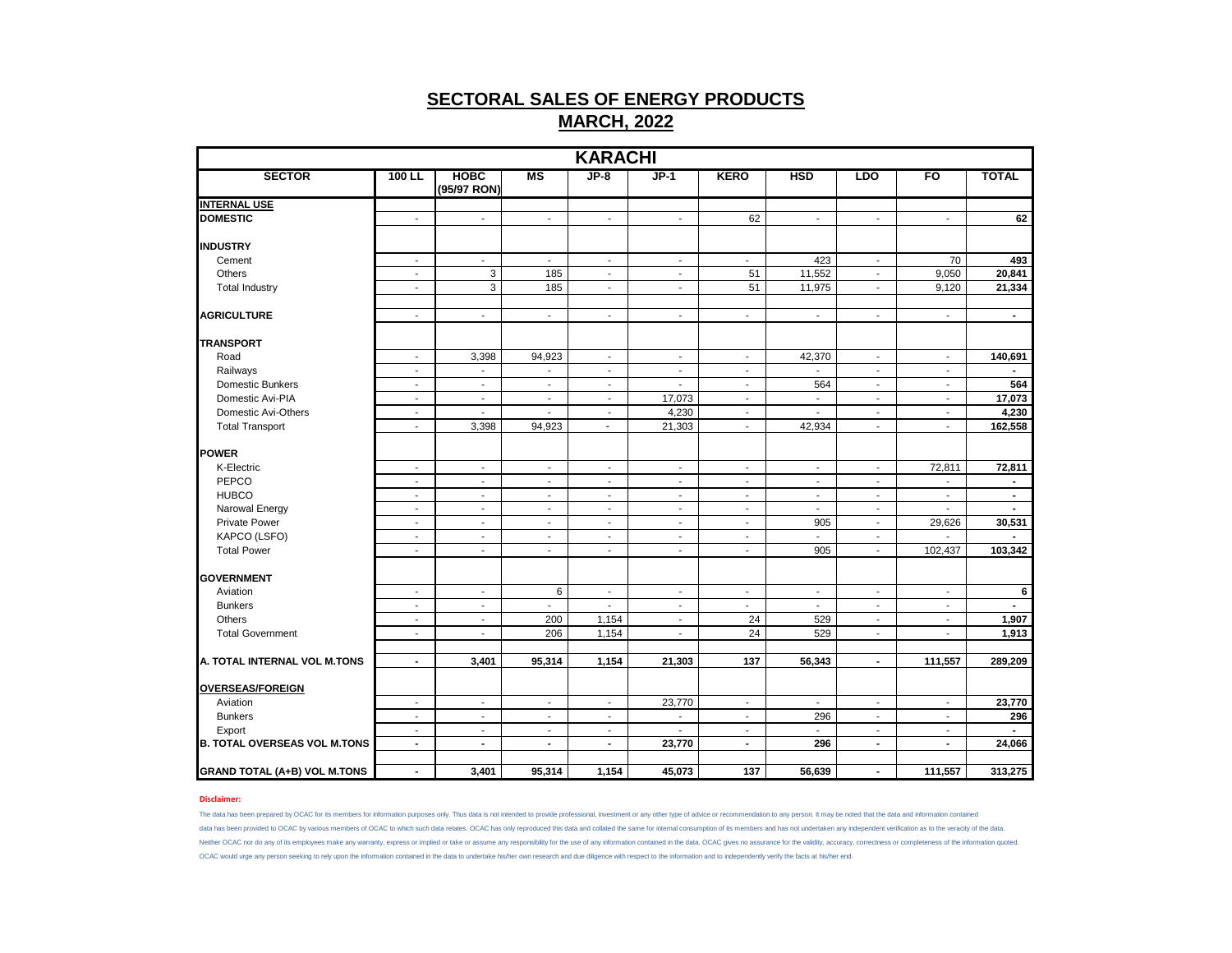|                                     |                          |                            |                          | <b>KARACHI</b>           |                          |                          |                          |                          |                          |                |
|-------------------------------------|--------------------------|----------------------------|--------------------------|--------------------------|--------------------------|--------------------------|--------------------------|--------------------------|--------------------------|----------------|
| <b>SECTOR</b>                       | 100 LL                   | <b>HOBC</b><br>(95/97 RON) | MS                       | $JP-8$                   | $JP-1$                   | <b>KERO</b>              | <b>HSD</b>               | <b>LDO</b>               | F <sub>O</sub>           | <b>TOTAL</b>   |
| <b>INTERNAL USE</b>                 |                          |                            |                          |                          |                          |                          |                          |                          |                          |                |
| <b>DOMESTIC</b>                     | $\sim$                   | $\overline{\phantom{a}}$   | $\overline{\phantom{a}}$ | $\blacksquare$           | $\sim$                   | 62                       | $\overline{\phantom{a}}$ | $\sim$                   | $\sim$                   | 62             |
| <b>INDUSTRY</b>                     |                          |                            |                          |                          |                          |                          |                          |                          |                          |                |
| Cement                              | $\sim$                   | $\overline{\phantom{a}}$   | $\overline{\phantom{a}}$ | $\overline{\phantom{a}}$ | $\blacksquare$           | $\blacksquare$           | 423                      | $\overline{\phantom{a}}$ | 70                       | 493            |
| Others                              | $\sim$                   | $\mathsf 3$                | 185                      | $\sim$                   | $\sim$                   | 51                       | 11,552                   | $\sim$                   | 9,050                    | 20,841         |
| <b>Total Industry</b>               | $\sim$                   | 3                          | 185                      | $\sim$                   | $\sim$                   | 51                       | 11,975                   | $\sim$                   | 9,120                    | 21,334         |
| <b>AGRICULTURE</b>                  | $\overline{\phantom{a}}$ | $\overline{\phantom{a}}$   | $\overline{\phantom{a}}$ | $\overline{\phantom{a}}$ | $\overline{\phantom{a}}$ | $\overline{\phantom{a}}$ | $\blacksquare$           | $\sim$                   | $\overline{\phantom{a}}$ | $\blacksquare$ |
|                                     |                          |                            |                          |                          |                          |                          |                          |                          |                          |                |
| <b>TRANSPORT</b>                    |                          |                            |                          |                          |                          |                          |                          |                          |                          |                |
| Road                                | ÷,                       | 3,398                      | 94,923                   | $\sim$                   | $\blacksquare$           | $\blacksquare$           | 42,370                   | $\blacksquare$           | $\blacksquare$           | 140,691        |
| Railways                            | $\blacksquare$           | $\overline{\phantom{a}}$   | $\overline{\phantom{a}}$ | $\sim$                   | $\blacksquare$           | $\blacksquare$           | $\blacksquare$           | $\sim$                   | $\blacksquare$           | $\blacksquare$ |
| Domestic Bunkers                    | $\blacksquare$           | $\blacksquare$             | $\blacksquare$           | $\sim$                   | $\mathbf{r}$             | $\blacksquare$           | 564                      | $\sim$                   | $\mathbf{r}$             | 564            |
| Domestic Avi-PIA                    | $\overline{\phantom{a}}$ | $\blacksquare$             | $\overline{\phantom{a}}$ | $\overline{\phantom{a}}$ | 17,073                   | $\overline{\phantom{a}}$ | ÷,                       | $\sim$                   | $\sim$                   | 17,073         |
| Domestic Avi-Others                 | $\sim$                   | $\overline{\phantom{a}}$   | $\overline{\phantom{a}}$ | $\sim$                   | 4,230                    | $\sim$                   | $\blacksquare$           | $\sim$                   | $\sim$                   | 4,230          |
| <b>Total Transport</b>              | $\blacksquare$           | 3,398                      | 94,923                   | $\overline{\phantom{a}}$ | 21,303                   | $\blacksquare$           | 42,934                   | $\sim$                   | $\blacksquare$           | 162,558        |
| <b>POWER</b>                        |                          |                            |                          |                          |                          |                          |                          |                          |                          |                |
| K-Electric                          | $\overline{\phantom{a}}$ | $\overline{\phantom{a}}$   | $\overline{\phantom{a}}$ | $\sim$                   | $\sim$                   | $\sim$                   | $\overline{\phantom{a}}$ | $\sim$                   | 72,811                   | 72,811         |
| PEPCO                               | $\blacksquare$           | $\blacksquare$             | $\blacksquare$           | $\sim$                   | $\sim$                   | $\sim$                   | $\blacksquare$           | $\sim$                   | $\sim$                   | $\blacksquare$ |
| <b>HUBCO</b>                        | $\blacksquare$           | $\overline{\phantom{a}}$   | $\overline{\phantom{a}}$ | $\sim$                   | $\overline{\phantom{a}}$ | $\overline{\phantom{a}}$ | $\overline{\phantom{a}}$ | $\overline{\phantom{a}}$ | $\overline{\phantom{a}}$ | $\blacksquare$ |
| Narowal Energy                      | $\blacksquare$           | $\blacksquare$             | $\overline{\phantom{a}}$ | $\overline{\phantom{a}}$ | $\sim$                   | $\sim$                   | $\blacksquare$           | $\sim$                   | $\sim$                   | $\blacksquare$ |
| Private Power                       | $\sim$                   | $\overline{\phantom{a}}$   | $\overline{\phantom{a}}$ | $\sim$                   | $\sim$                   | $\sim$                   | 905                      | $\sim$                   | 29,626                   | 30,531         |
| KAPCO (LSFO)                        | $\overline{a}$           | $\overline{a}$             | $\blacksquare$           | $\blacksquare$           | $\overline{a}$           | $\sim$                   |                          | $\sim$                   |                          |                |
| <b>Total Power</b>                  | $\blacksquare$           | $\blacksquare$             | $\blacksquare$           | $\overline{\phantom{a}}$ | $\blacksquare$           | $\blacksquare$           | 905                      | $\blacksquare$           | 102,437                  | 103,342        |
| <b>GOVERNMENT</b>                   |                          |                            |                          |                          |                          |                          |                          |                          |                          |                |
| Aviation                            | $\blacksquare$           | $\blacksquare$             | 6                        | $\blacksquare$           | $\overline{\phantom{a}}$ | $\sim$                   | $\blacksquare$           | $\blacksquare$           | $\sim$                   | 6              |
| <b>Bunkers</b>                      | $\overline{\phantom{a}}$ | $\overline{\phantom{a}}$   | $\overline{\phantom{a}}$ | $\overline{\phantom{a}}$ | $\overline{\phantom{a}}$ | $\overline{\phantom{a}}$ | $\overline{\phantom{a}}$ | $\overline{\phantom{a}}$ | $\overline{\phantom{a}}$ | $\blacksquare$ |
| Others                              | $\sim$                   | $\blacksquare$             | 200                      | 1,154                    | $\overline{\phantom{a}}$ | 24                       | 529                      | $\sim$                   | $\sim$                   | 1,907          |
| <b>Total Government</b>             | $\blacksquare$           | $\blacksquare$             | 206                      | 1,154                    | ÷.                       | 24                       | 529                      | $\sim$                   | $\mathbf{r}$             | 1,913          |
|                                     |                          |                            |                          |                          |                          |                          |                          |                          |                          |                |
| A. TOTAL INTERNAL VOL M.TONS        | $\blacksquare$           | 3,401                      | 95,314                   | 1,154                    | 21,303                   | 137                      | 56,343                   | $\blacksquare$           | 111,557                  | 289,209        |
| <b>OVERSEAS/FOREIGN</b>             |                          |                            |                          |                          |                          |                          |                          |                          |                          |                |
| Aviation                            | $\overline{\phantom{a}}$ | $\overline{\phantom{a}}$   | $\overline{\phantom{a}}$ | $\overline{\phantom{a}}$ | 23,770                   | $\overline{\phantom{a}}$ | $\blacksquare$           | $\overline{\phantom{a}}$ | $\overline{\phantom{a}}$ | 23,770         |
| <b>Bunkers</b>                      | $\sim$                   | $\overline{\phantom{a}}$   | $\overline{\phantom{a}}$ | $\sim$                   | $\blacksquare$           | $\sim$                   | 296                      | $\sim$                   | $\sim$                   | 296            |
| Export                              | $\sim$                   | $\blacksquare$             | $\overline{\phantom{a}}$ | $\blacksquare$           | ÷.                       | $\blacksquare$           |                          | $\blacksquare$           | $\sim$                   |                |
| <b>B. TOTAL OVERSEAS VOL M.TONS</b> | $\blacksquare$           | $\overline{a}$             | $\blacksquare$           | $\blacksquare$           | 23,770                   | $\blacksquare$           | 296                      | $\mathbf{r}$             | $\blacksquare$           | 24,066         |
| <b>GRAND TOTAL (A+B) VOL M.TONS</b> | $\blacksquare$           | 3,401                      | 95,314                   | 1,154                    | 45,073                   | 137                      | 56,639                   | $\blacksquare$           | 111,557                  | 313,275        |
|                                     |                          |                            |                          |                          |                          |                          |                          |                          |                          |                |

## **Disclaimer:**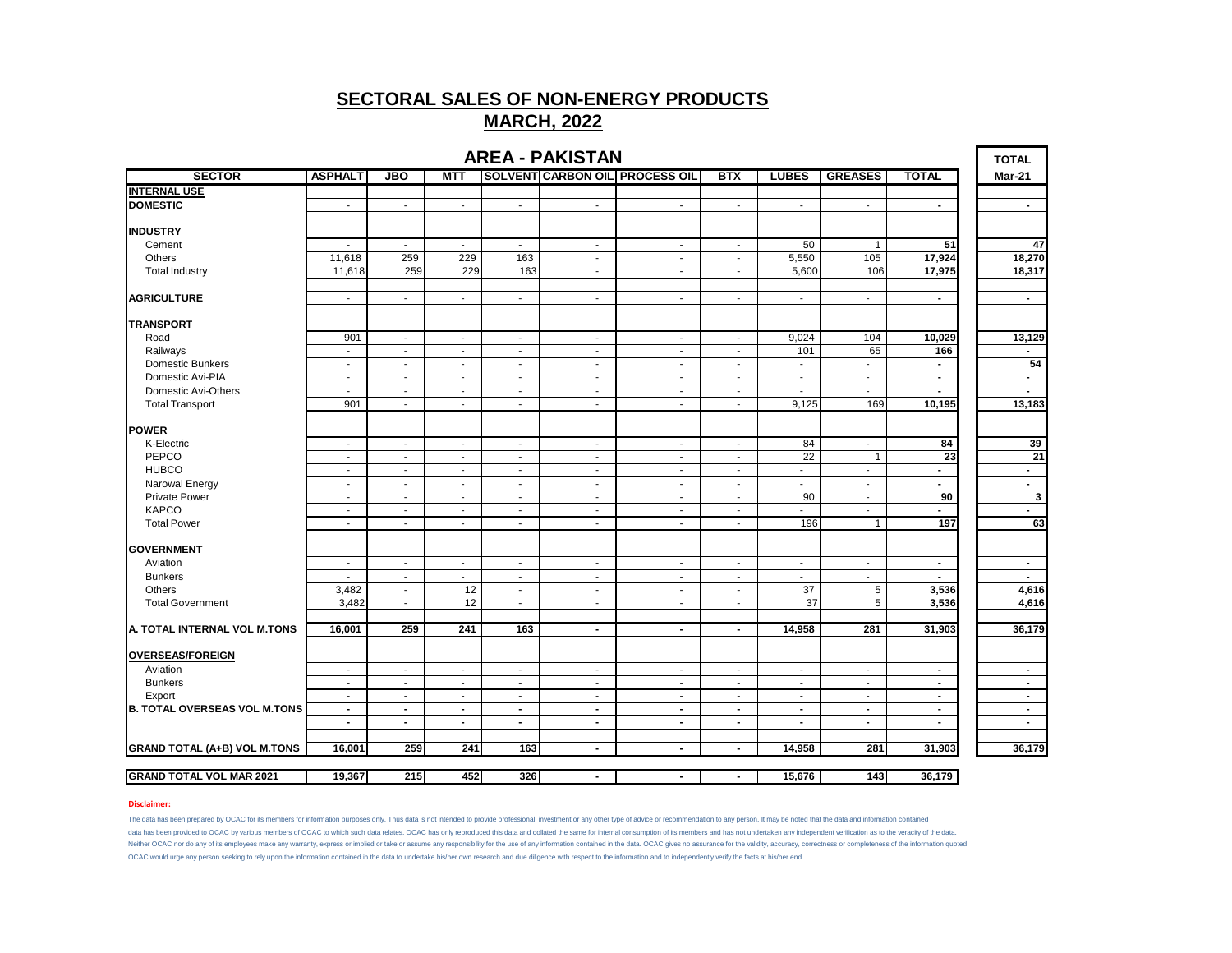|                                     |                          |                          |                          |                          | <b>AREA - PAKISTAN</b>   |                                       |                          |                          |                             |                | <b>TOTAL</b>   |
|-------------------------------------|--------------------------|--------------------------|--------------------------|--------------------------|--------------------------|---------------------------------------|--------------------------|--------------------------|-----------------------------|----------------|----------------|
| <b>SECTOR</b>                       | <b>ASPHALT</b>           | <b>JBO</b>               | <b>MTT</b>               |                          |                          | <b>SOLVENT CARBON OIL PROCESS OIL</b> | <b>BTX</b>               | <b>LUBES</b>             | <b>GREASES</b>              | <b>TOTAL</b>   | Mar-21         |
| <b>INTERNAL USE</b>                 |                          |                          |                          |                          |                          |                                       |                          |                          |                             |                |                |
| <b>DOMESTIC</b>                     | $\mathbf{r}$             | ÷                        | $\omega$                 | $\mathbf{r}$             | $\sim$                   | $\mathbf{r}$                          | ÷.                       | $\mathbf{r}$             | $\omega$                    | $\blacksquare$ | $\blacksquare$ |
| <b>INDUSTRY</b>                     |                          |                          |                          |                          |                          |                                       |                          |                          |                             |                |                |
| Cement                              | $\blacksquare$           | $\overline{\phantom{a}}$ | $\sim$                   | $\overline{\phantom{a}}$ | $\sim$                   | $\overline{\phantom{a}}$              | $\overline{\phantom{a}}$ | 50                       | $\mathbf{1}$                | 51             | 47             |
| Others                              | 11,618                   | 259                      | 229                      | 163                      | $\overline{\phantom{a}}$ | $\overline{\phantom{a}}$              | $\overline{\phantom{a}}$ | 5,550                    | 105                         | 17,924         | 18,270         |
| <b>Total Industry</b>               | 11,618                   | 259                      | 229                      | 163                      | $\sim$                   | $\blacksquare$                        | $\blacksquare$           | 5,600                    | 106                         | 17,975         | 18,317         |
| <b>AGRICULTURE</b>                  | $\sim$                   | $\blacksquare$           | $\blacksquare$           | $\sim$                   | $\sim$                   | $\blacksquare$                        | $\blacksquare$           | $\sim$                   | $\sim$                      | $\blacksquare$ | $\sim$         |
| <b>TRANSPORT</b>                    |                          |                          |                          |                          |                          |                                       |                          |                          |                             |                |                |
| Road                                | 901                      | ÷,                       | ÷.                       | $\sim$                   | $\sim$                   | $\mathbf{r}$                          | $\sim$                   | 9,024                    | 104                         | 10,029         | 13,129         |
| Railways                            | $\sim$                   | $\mathbf{r}$             | $\sim$                   | $\mathbf{r}$             | $\sim$                   | $\mathbf{r}$                          | $\sim$                   | 101                      | 65                          | 166            | $\blacksquare$ |
| <b>Domestic Bunkers</b>             | $\sim$                   | $\overline{\phantom{a}}$ | $\overline{\phantom{a}}$ | $\overline{\phantom{a}}$ | $\blacksquare$           | $\overline{\phantom{a}}$              | $\blacksquare$           | $\blacksquare$           | $\blacksquare$              | $\blacksquare$ | 54             |
| Domestic Avi-PIA                    | $\mathbf{r}$             | $\sim$                   | $\blacksquare$           | $\mathbf{r}$             | ÷.                       | $\mathbf{r}$                          | $\sim$                   | $\mathbf{r}$             | $\mathcal{L}_{\mathcal{A}}$ | $\blacksquare$ | $\blacksquare$ |
| Domestic Avi-Others                 | $\blacksquare$           | $\overline{\phantom{a}}$ | $\blacksquare$           | $\overline{\phantom{a}}$ | $\blacksquare$           | $\overline{\phantom{a}}$              | $\overline{\phantom{a}}$ | $\overline{\phantom{a}}$ | $\sim$                      |                | $\blacksquare$ |
| <b>Total Transport</b>              | 901                      | $\blacksquare$           | $\sim$                   | $\overline{\phantom{a}}$ | $\sim$                   | $\blacksquare$                        | $\blacksquare$           | 9,125                    | 169                         | 10,195         | 13,183         |
| <b>POWER</b>                        |                          |                          |                          |                          |                          |                                       |                          |                          |                             |                |                |
| K-Electric                          | $\sim$                   | $\sim$                   | $\sim$                   | $\sim$                   | $\sim$                   | $\sim$                                | $\blacksquare$           | 84                       | $\sim$                      | 84             | 39             |
| PEPCO                               | $\sim$                   | $\overline{a}$           | $\sim$                   | $\overline{\phantom{a}}$ | $\sim$                   | $\overline{\phantom{a}}$              | $\blacksquare$           | 22                       | $\mathbf{1}$                | 23             | 21             |
| <b>HUBCO</b>                        | $\sim$                   | $\blacksquare$           | $\blacksquare$           | $\blacksquare$           | $\sim$                   | $\blacksquare$                        | $\blacksquare$           | $\sim$                   | $\blacksquare$              | $\blacksquare$ | $\blacksquare$ |
| Narowal Energy                      | $\sim$                   | $\blacksquare$           | $\sim$                   | $\sim$                   | $\sim$                   |                                       | $\overline{\phantom{a}}$ | $\blacksquare$           | $\sim$                      | $\overline{a}$ |                |
|                                     |                          |                          |                          |                          |                          | $\sim$                                |                          | 90                       |                             | 90             | $\blacksquare$ |
| <b>Private Power</b>                | $\blacksquare$           | $\blacksquare$           | $\blacksquare$           | $\blacksquare$           | $\blacksquare$           | $\blacksquare$                        | $\blacksquare$           |                          | $\blacksquare$              |                | $\mathbf{3}$   |
| <b>KAPCO</b>                        | $\sim$                   | $\blacksquare$           | $\blacksquare$           | $\sim$                   | $\blacksquare$           | $\sim$                                | $\blacksquare$           | ä,                       | $\blacksquare$              | $\blacksquare$ | $\blacksquare$ |
| <b>Total Power</b>                  | $\sim$                   | $\overline{a}$           | $\blacksquare$           | $\overline{\phantom{a}}$ | $\sim$                   | $\blacksquare$                        | $\overline{\phantom{a}}$ | 196                      | $\mathbf{1}$                | 197            | 63             |
| <b>GOVERNMENT</b>                   |                          |                          |                          |                          |                          |                                       |                          |                          |                             |                |                |
| Aviation                            | $\sim$                   | $\sim$                   | $\sim$                   | $\sim$                   | $\sim$                   | $\sim$                                | $\blacksquare$           | $\sim$                   | $\sim$                      | $\blacksquare$ | $\sim$         |
| <b>Bunkers</b>                      | $\sim$                   | $\sim$                   | $\sim$                   | $\sim$                   | $\sim$                   | $\sim$                                | $\overline{\phantom{a}}$ | $\blacksquare$           | $\sim$                      | $\sim$         | $\sim$         |
| Others                              | 3,482                    | $\blacksquare$           | 12                       | $\blacksquare$           | $\sim$                   | $\blacksquare$                        | $\blacksquare$           | 37                       | 5                           | 3,536          | 4,616          |
| <b>Total Government</b>             | 3,482                    | $\sim$                   | 12                       | $\sim$                   | $\sim$                   | $\sim$                                | $\blacksquare$           | 37                       | 5                           | 3,536          | 4,616          |
| A. TOTAL INTERNAL VOL M.TONS        | 16,001                   | 259                      | 241                      | 163                      | $\blacksquare$           | $\blacksquare$                        | $\blacksquare$           | 14,958                   | 281                         | 31,903         | 36,179         |
| <b>OVERSEAS/FOREIGN</b>             |                          |                          |                          |                          |                          |                                       |                          |                          |                             |                |                |
| Aviation                            | $\overline{\phantom{a}}$ | $\blacksquare$           | $\blacksquare$           | $\overline{\phantom{a}}$ | $\sim$                   | $\blacksquare$                        | $\overline{\phantom{a}}$ | $\overline{\phantom{a}}$ | $\blacksquare$              | $\blacksquare$ | $\blacksquare$ |
| <b>Bunkers</b>                      | $\sim$                   | $\blacksquare$           | $\blacksquare$           | $\blacksquare$           | $\sim$                   | $\blacksquare$                        | $\blacksquare$           | $\blacksquare$           | $\sim$                      | $\blacksquare$ | $\blacksquare$ |
| Export                              | $\sim$                   | $\overline{\phantom{a}}$ | $\sim$                   | $\sim$                   | $\sim$                   | $\blacksquare$                        | $\blacksquare$           | $\blacksquare$           | $\sim$                      | $\blacksquare$ | $\blacksquare$ |
| <b>B. TOTAL OVERSEAS VOL M.TONS</b> | $\blacksquare$           | $\blacksquare$           | $\blacksquare$           | $\blacksquare$           | $\blacksquare$           | $\blacksquare$                        | $\blacksquare$           | $\blacksquare$           | $\blacksquare$              | $\blacksquare$ | $\blacksquare$ |
|                                     | $\blacksquare$           | $\blacksquare$           | $\blacksquare$           | $\blacksquare$           | $\blacksquare$           | $\blacksquare$                        | $\blacksquare$           | $\blacksquare$           | $\blacksquare$              | $\blacksquare$ | $\blacksquare$ |
| <b>GRAND TOTAL (A+B) VOL M.TONS</b> | 16,001                   | 259                      | 241                      | 163                      | $\blacksquare$           | $\blacksquare$                        | $\blacksquare$           | 14,958                   | 281                         | 31,903         | 36,179         |
|                                     |                          |                          |                          |                          |                          |                                       |                          |                          |                             |                |                |
| <b>GRAND TOTAL VOL MAR 2021</b>     | 19,367                   | 215                      | 452                      | 326                      | $\blacksquare$           | $\overline{\phantom{a}}$              | $\blacksquare$           | 15,676                   | 143                         | 36,179         |                |

### **Disclaimer:**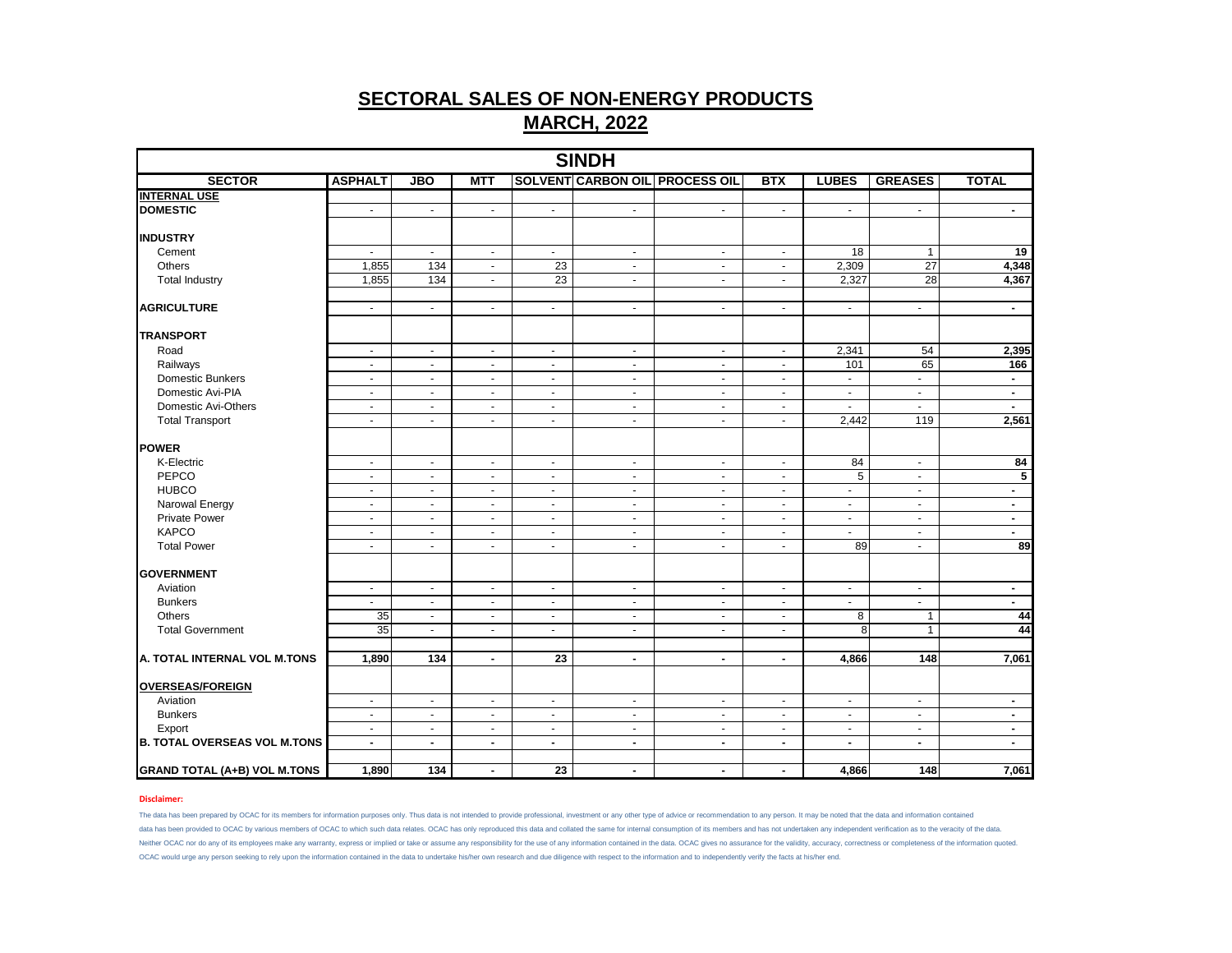| <b>SINDH</b><br><b>SOLVENT CARBON OIL PROCESS OIL</b> |                          |                |                          |                             |                       |                          |                          |                |                 |                         |  |  |  |
|-------------------------------------------------------|--------------------------|----------------|--------------------------|-----------------------------|-----------------------|--------------------------|--------------------------|----------------|-----------------|-------------------------|--|--|--|
| <b>SECTOR</b>                                         | <b>ASPHALT</b>           | <b>JBO</b>     | <b>MTT</b>               |                             |                       |                          | <b>BTX</b>               | <b>LUBES</b>   | <b>GREASES</b>  | <b>TOTAL</b>            |  |  |  |
| <b>INTERNAL USE</b>                                   |                          |                |                          |                             |                       |                          |                          |                |                 |                         |  |  |  |
| <b>DOMESTIC</b>                                       | $\blacksquare$           | $\sim$         | $\blacksquare$           | $\blacksquare$              | $\sim$                | $\blacksquare$           | $\blacksquare$           | $\blacksquare$ | $\blacksquare$  | $\sim$                  |  |  |  |
| <b>INDUSTRY</b>                                       |                          |                |                          |                             |                       |                          |                          |                |                 |                         |  |  |  |
| Cement                                                | $\blacksquare$           | $\blacksquare$ | $\sim$                   | $\mathcal{L}_{\mathcal{A}}$ | $\blacksquare$        | $\blacksquare$           | $\blacksquare$           | 18             | $\mathbf{1}$    | 19                      |  |  |  |
| <b>Others</b>                                         | 1,855                    | 134            | $\overline{\phantom{a}}$ | 23                          | $\sim$                | $\omega$                 | $\omega$                 | 2,309          | $\overline{27}$ | 4,348                   |  |  |  |
| <b>Total Industry</b>                                 | 1.855                    | 134            | $\blacksquare$           | 23                          | $\blacksquare$        | $\blacksquare$           | $\overline{\phantom{a}}$ | 2,327          | 28              | 4,367                   |  |  |  |
| <b>AGRICULTURE</b>                                    | $\sim$                   | $\blacksquare$ | $\blacksquare$           | $\blacksquare$              | $\blacksquare$        | $\mathbf{r}$             | $\omega$                 | $\blacksquare$ | $\blacksquare$  | $\sim$                  |  |  |  |
| <b>TRANSPORT</b>                                      |                          |                |                          |                             |                       |                          |                          |                |                 |                         |  |  |  |
| Road                                                  | $\blacksquare$           | $\blacksquare$ | $\blacksquare$           | $\sim$                      | $\sim$                | $\sim$                   | $\sim$                   | 2,341          | 54              | 2,395                   |  |  |  |
| Railways                                              | $\blacksquare$           | $\blacksquare$ | $\blacksquare$           | $\blacksquare$              | $\blacksquare$        | $\blacksquare$           | $\blacksquare$           | 101            | 65              | 166                     |  |  |  |
| <b>Domestic Bunkers</b>                               | $\overline{\phantom{a}}$ | $\sim$         | $\overline{\phantom{a}}$ | $\sim$                      | $\blacksquare$        | $\sim$                   | $\sim$                   | $\blacksquare$ | $\blacksquare$  | $\sim$                  |  |  |  |
| Domestic Avi-PIA                                      | $\blacksquare$           | $\blacksquare$ | $\blacksquare$           | $\blacksquare$              | $\blacksquare$        | $\sim$                   | $\sim$                   | $\blacksquare$ | $\blacksquare$  | $\sim$                  |  |  |  |
| Domestic Avi-Others                                   | $\blacksquare$           | $\blacksquare$ | $\blacksquare$           | $\blacksquare$              | $\blacksquare$        | $\blacksquare$           | $\blacksquare$           | $\overline{a}$ | $\mathbf{r}$    | $\sim$                  |  |  |  |
| <b>Total Transport</b>                                | $\overline{\phantom{a}}$ | $\sim$         | $\blacksquare$           | $\sim$                      | $\blacksquare$        | $\sim$                   | $\sim$                   | 2,442          | 119             | 2,561                   |  |  |  |
| <b>POWER</b>                                          |                          |                |                          |                             |                       |                          |                          |                |                 |                         |  |  |  |
| K-Electric                                            | $\blacksquare$           | $\blacksquare$ | $\blacksquare$           | $\blacksquare$              | $\blacksquare$        | $\bullet$                | $\blacksquare$           | 84             | $\bullet$       | 84                      |  |  |  |
| PEPCO                                                 | $\blacksquare$           | $\blacksquare$ | $\blacksquare$           | $\blacksquare$              | $\blacksquare$        | $\sim$                   | $\blacksquare$           | 5              | $\blacksquare$  | $\overline{\mathbf{5}}$ |  |  |  |
| <b>HUBCO</b>                                          | $\sim$                   | $\omega$       | $\omega$                 | $\sim$                      | $\tilde{\phantom{a}}$ | $\mathbf{r}$             | $\mathbf{r}$             | ä,             | $\mathbf{r}$    | $\sim$                  |  |  |  |
| Narowal Energy                                        | $\blacksquare$           | $\blacksquare$ | $\sim$                   | $\blacksquare$              | $\blacksquare$        | $\sim$                   | $\blacksquare$           | $\blacksquare$ | $\sim$          | $\sim$                  |  |  |  |
| <b>Private Power</b>                                  | $\blacksquare$           | $\blacksquare$ | $\blacksquare$           | $\blacksquare$              | $\blacksquare$        | $\blacksquare$           | $\blacksquare$           | $\blacksquare$ | $\blacksquare$  | $\sim$                  |  |  |  |
| <b>KAPCO</b>                                          | $\sim$                   | $\blacksquare$ | $\mathbf{r}$             | $\omega$                    | $\tilde{\phantom{a}}$ | $\blacksquare$           | $\mathbf{r}$             | ÷.             | $\mathbf{r}$    | $\sim$                  |  |  |  |
| <b>Total Power</b>                                    | $\blacksquare$           | $\sim$         | $\sim$                   | $\sim$                      | $\blacksquare$        | $\sim$                   | $\sim$                   | 89             | $\blacksquare$  | 89                      |  |  |  |
| <b>GOVERNMENT</b>                                     |                          |                |                          |                             |                       |                          |                          |                |                 |                         |  |  |  |
| Aviation                                              | $\blacksquare$           | $\blacksquare$ | $\blacksquare$           | $\blacksquare$              | $\blacksquare$        | $\blacksquare$           | $\sim$                   | $\blacksquare$ | $\sim$          | $\sim$                  |  |  |  |
| <b>Bunkers</b>                                        | $\blacksquare$           | $\blacksquare$ | $\overline{\phantom{a}}$ | $\blacksquare$              | $\blacksquare$        | $\blacksquare$           | $\blacksquare$           | $\blacksquare$ | $\blacksquare$  | $\sim$                  |  |  |  |
| Others                                                | 35                       | $\omega$       | $\mathbf{r}$             | $\omega$                    | $\omega$              | $\mathbf{r}$             | $\sim$                   | 8              | $\mathbf{1}$    | 44                      |  |  |  |
| <b>Total Government</b>                               | 35                       | $\blacksquare$ | $\sim$                   | $\sim$                      | $\blacksquare$        | $\sim$                   | $\sim$                   | 8              | $\mathbf{1}$    | 44                      |  |  |  |
| A. TOTAL INTERNAL VOL M.TONS                          | 1,890                    | 134            | $\blacksquare$           | $\overline{23}$             | $\blacksquare$        | $\overline{\phantom{a}}$ | $\blacksquare$           | 4,866          | 148             | 7,061                   |  |  |  |
|                                                       |                          |                |                          |                             |                       |                          |                          |                |                 |                         |  |  |  |
| <b>OVERSEAS/FOREIGN</b>                               |                          |                |                          |                             |                       |                          |                          |                |                 |                         |  |  |  |
| Aviation                                              | $\blacksquare$           | $\blacksquare$ | $\blacksquare$           | $\blacksquare$              | $\blacksquare$        | $\sim$                   | $\sim$                   | $\blacksquare$ | $\blacksquare$  | $\sim$                  |  |  |  |
| <b>Bunkers</b>                                        | $\blacksquare$           | $\blacksquare$ | $\blacksquare$           | $\blacksquare$              | $\blacksquare$        | $\sim$                   | $\sim$                   | $\blacksquare$ | $\blacksquare$  | $\sim$                  |  |  |  |
| Export                                                | $\sim$                   | $\mathbf{r}$   | $\overline{\phantom{a}}$ | $\sim$                      | $\sim$                | $\blacksquare$           | $\blacksquare$           | $\blacksquare$ | $\blacksquare$  | $\sim$                  |  |  |  |
| <b>B. TOTAL OVERSEAS VOL M.TONS</b>                   | $\blacksquare$           | $\sim$         | $\blacksquare$           | $\blacksquare$              | $\blacksquare$        | $\blacksquare$           | $\blacksquare$           | $\blacksquare$ | $\blacksquare$  | $\sim$                  |  |  |  |
| <b>GRAND TOTAL (A+B) VOL M.TONS</b>                   | 1,890                    | 134            | $\blacksquare$           | 23                          | $\blacksquare$        | $\blacksquare$           | $\blacksquare$           | 4,866          | 148             | 7,061                   |  |  |  |

## **Disclaimer:**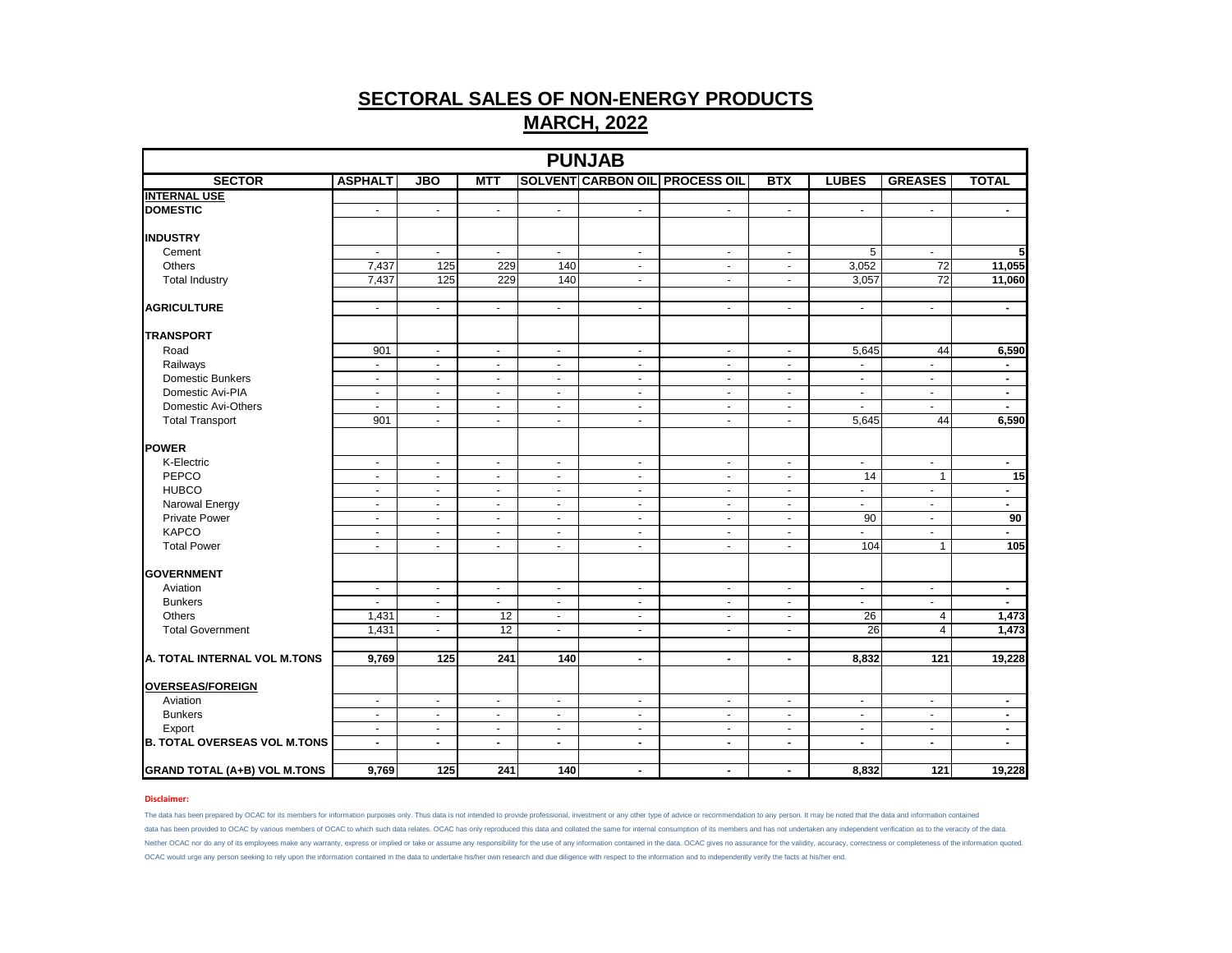|                                     |                |                |                  |                          | <b>PUNJAB</b>  |                                       |                          |                          |                          |                |
|-------------------------------------|----------------|----------------|------------------|--------------------------|----------------|---------------------------------------|--------------------------|--------------------------|--------------------------|----------------|
| <b>SECTOR</b>                       | <b>ASPHALT</b> | <b>JBO</b>     | <b>MTT</b>       |                          |                | <b>SOLVENT CARBON OIL PROCESS OIL</b> | <b>BTX</b>               | <b>LUBES</b>             | <b>GREASES</b>           | <b>TOTAL</b>   |
| <b>INTERNAL USE</b>                 |                |                |                  |                          |                |                                       |                          |                          |                          |                |
| <b>DOMESTIC</b>                     | $\blacksquare$ | $\mathbf{r}$   | $\sim$           | $\blacksquare$           | $\omega$       | $\omega$                              | $\blacksquare$           | $\sim$                   | $\omega$                 | $\sim$         |
|                                     |                |                |                  |                          |                |                                       |                          |                          |                          |                |
| <b>INDUSTRY</b>                     |                |                |                  |                          |                |                                       |                          |                          |                          |                |
| Cement                              | $\sim$         | $\sim$         | $\sim$           | $\blacksquare$           | $\sim$         | $\sim$                                | $\blacksquare$           | 5                        | $\sim$                   | 5              |
| Others                              | 7,437          | 125            | 229              | 140                      | $\blacksquare$ | $\blacksquare$                        | $\overline{\phantom{a}}$ | 3,052                    | $\overline{72}$          | 11,055         |
| <b>Total Industry</b>               | 7,437          | 125            | 229              | 140                      | $\blacksquare$ | ÷,                                    | $\blacksquare$           | 3,057                    | $\overline{72}$          | 11,060         |
|                                     |                |                |                  |                          |                |                                       |                          |                          |                          |                |
| <b>AGRICULTURE</b>                  | $\omega$       | $\omega$       | $\omega$         | $\blacksquare$           | $\sim$         | $\omega$                              | $\omega$                 | $\sim$                   | $\omega$                 | $\blacksquare$ |
| <b>TRANSPORT</b>                    |                |                |                  |                          |                |                                       |                          |                          |                          |                |
| Road                                | 901            | $\blacksquare$ | $\sim$           | $\blacksquare$           | $\blacksquare$ | $\blacksquare$                        | $\blacksquare$           | 5,645                    | 44                       | 6,590          |
| Railways                            | $\blacksquare$ | $\blacksquare$ | $\blacksquare$   | $\overline{\phantom{a}}$ | $\blacksquare$ | $\blacksquare$                        | $\overline{\phantom{a}}$ | $\blacksquare$           | $\blacksquare$           | $\blacksquare$ |
| <b>Domestic Bunkers</b>             | $\sim$         | $\sim$         | $\sim$           | $\blacksquare$           | $\sim$         | $\blacksquare$                        | $\overline{\phantom{a}}$ | $\sim$                   | $\blacksquare$           | $\blacksquare$ |
| Domestic Avi-PIA                    | $\sim$         | $\blacksquare$ | $\blacksquare$   | $\blacksquare$           | $\blacksquare$ | $\blacksquare$                        | $\blacksquare$           | $\sim$                   | $\blacksquare$           | $\blacksquare$ |
| Domestic Avi-Others                 | ÷.             | $\omega$       | $\sim$           | $\blacksquare$           | $\mathbf{r}$   | $\sim$                                | $\blacksquare$           | $\sim$                   | ÷.                       | $\blacksquare$ |
| <b>Total Transport</b>              | 901            | $\blacksquare$ | $\sim$           | $\blacksquare$           | $\sim$         | $\sim$                                | $\blacksquare$           | 5,645                    | 44                       | 6,590          |
| <b>POWER</b>                        |                |                |                  |                          |                |                                       |                          |                          |                          |                |
| K-Electric                          | $\sim$         | $\blacksquare$ |                  | $\blacksquare$           | $\blacksquare$ | $\blacksquare$                        | $\blacksquare$           | $\sim$                   | $\blacksquare$           | $\blacksquare$ |
| PEPCO                               | $\blacksquare$ | $\blacksquare$ | $\sim$<br>$\sim$ | $\blacksquare$           | $\blacksquare$ | $\blacksquare$                        | $\blacksquare$           | $\overline{14}$          | $\overline{1}$           | 15             |
| <b>HUBCO</b>                        | $\blacksquare$ | $\blacksquare$ | $\blacksquare$   | $\blacksquare$           | $\blacksquare$ | $\omega$                              | $\blacksquare$           | $\sim$                   | $\mathbf{u}$             | $\blacksquare$ |
| Narowal Energy                      | $\sim$         | $\blacksquare$ | $\sim$           | $\blacksquare$           | $\sim$         | $\blacksquare$                        | $\blacksquare$           | $\sim$                   | $\blacksquare$           | $\blacksquare$ |
| <b>Private Power</b>                | $\sim$         | $\blacksquare$ |                  | $\blacksquare$           | $\sim$         | $\sim$                                |                          | 90                       | $\blacksquare$           | 90             |
| <b>KAPCO</b>                        | $\omega$       | ÷.             | $\sim$<br>$\sim$ | $\sim$                   | $\omega$       | ÷.                                    | $\blacksquare$<br>÷      | $\blacksquare$           | $\mathbf{r}$             | $\blacksquare$ |
| <b>Total Power</b>                  | $\blacksquare$ | $\blacksquare$ | $\blacksquare$   | $\overline{\phantom{a}}$ | $\blacksquare$ | $\blacksquare$                        | $\blacksquare$           | 104                      | $\mathbf{1}$             | 105            |
|                                     |                |                |                  |                          |                |                                       |                          |                          |                          |                |
| <b>GOVERNMENT</b>                   |                |                |                  |                          |                |                                       |                          |                          |                          |                |
| Aviation                            | $\blacksquare$ | $\blacksquare$ | $\blacksquare$   | $\blacksquare$           | $\blacksquare$ | $\blacksquare$                        | $\blacksquare$           | $\blacksquare$           | $\blacksquare$           | $\blacksquare$ |
| <b>Bunkers</b>                      | $\sim$         | $\blacksquare$ | $\sim$           | $\blacksquare$           | $\sim$         | $\blacksquare$                        | $\blacksquare$           | $\sim$                   | $\sim$                   | $\blacksquare$ |
| Others                              | 1,431          | $\blacksquare$ | 12               | $\blacksquare$           | $\blacksquare$ | $\sim$                                | $\blacksquare$           | $\overline{26}$          | $\overline{4}$           | 1,473          |
| <b>Total Government</b>             | 1,431          | $\blacksquare$ | 12               | $\blacksquare$           | $\blacksquare$ | $\sim$                                | $\blacksquare$           | 26                       | $\overline{4}$           | 1,473          |
|                                     |                |                |                  |                          |                |                                       |                          |                          |                          |                |
| A. TOTAL INTERNAL VOL M.TONS        | 9,769          | 125            | 241              | 140                      | $\blacksquare$ | $\blacksquare$                        | $\blacksquare$           | 8,832                    | 121                      | 19,228         |
| <b>OVERSEAS/FOREIGN</b>             |                |                |                  |                          |                |                                       |                          |                          |                          |                |
| Aviation                            | $\omega$       | $\omega$       | $\omega$         | $\mathbf{r}$             | $\sim$         | $\omega$                              | $\omega$                 | $\omega$                 | $\omega$                 | $\blacksquare$ |
| <b>Bunkers</b>                      | $\blacksquare$ | $\blacksquare$ | $\sim$           | $\blacksquare$           | $\blacksquare$ | $\blacksquare$                        | $\blacksquare$           | $\overline{\phantom{a}}$ | $\blacksquare$           | $\blacksquare$ |
| Export                              | $\sim$         | $\sim$         | $\sim$           | $\blacksquare$           | $\sim$         | $\sim$                                | $\blacksquare$           | $\overline{\phantom{a}}$ | $\overline{\phantom{a}}$ | $\sim$         |
| <b>B. TOTAL OVERSEAS VOL M.TONS</b> | $\blacksquare$ | $\blacksquare$ | $\sim$           | $\blacksquare$           | $\sim$         | $\blacksquare$                        | $\blacksquare$           | $\blacksquare$           | $\blacksquare$           | $\sim$         |
|                                     |                |                |                  |                          |                |                                       |                          |                          |                          |                |
| <b>GRAND TOTAL (A+B) VOL M.TONS</b> | 9,769          | 125            | 241              | 140                      | $\blacksquare$ | $\blacksquare$                        | $\blacksquare$           | 8,832                    | 121                      | 19,228         |

## **Disclaimer:**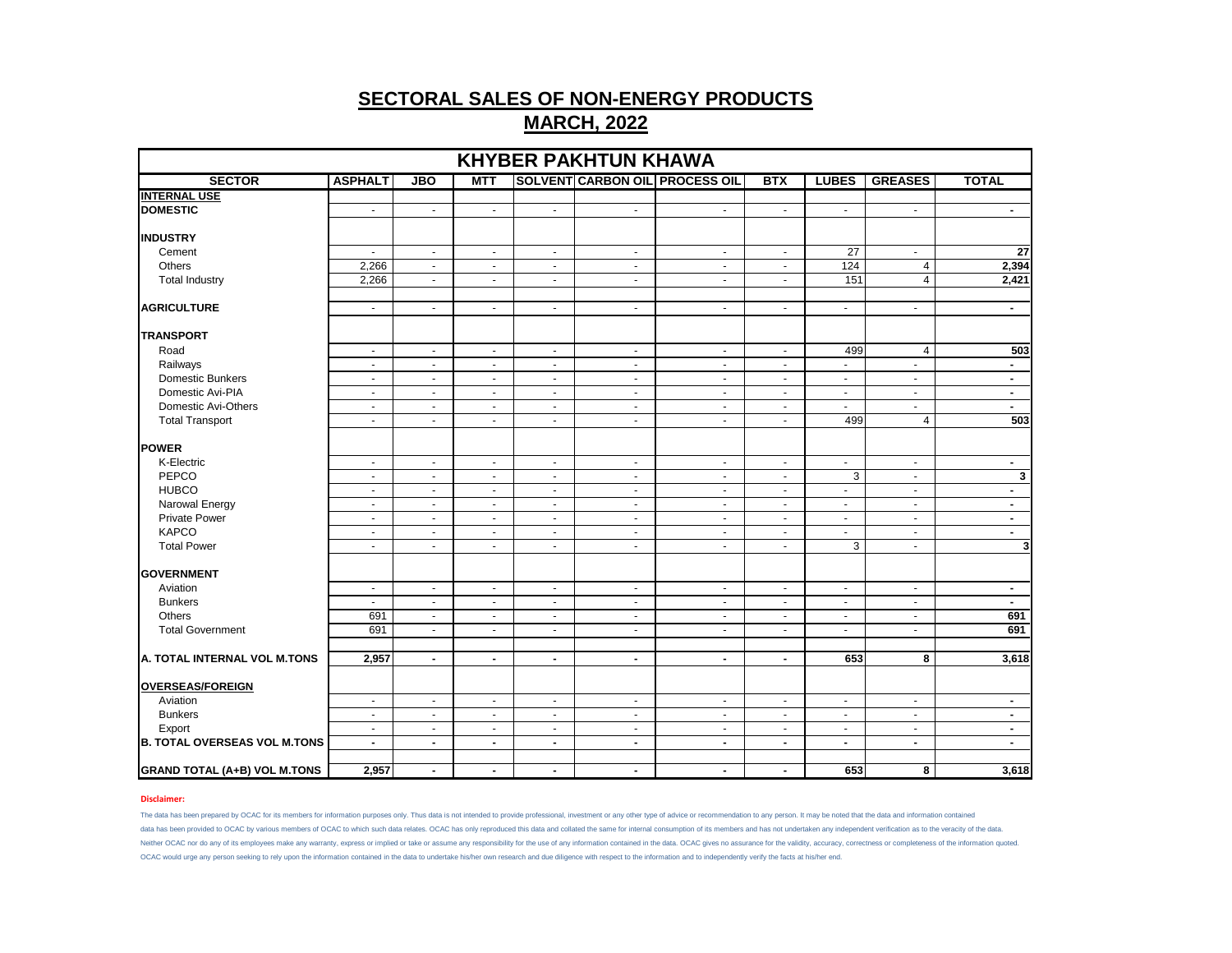| <b>KHYBER PAKHTUN KHAWA</b>         |                          |                |                |                |                |                                       |                |                |                |                |  |
|-------------------------------------|--------------------------|----------------|----------------|----------------|----------------|---------------------------------------|----------------|----------------|----------------|----------------|--|
| <b>SECTOR</b>                       | <b>ASPHALT</b>           | <b>JBO</b>     | <b>MTT</b>     |                |                | <b>SOLVENT CARBON OIL PROCESS OIL</b> | <b>BTX</b>     | <b>LUBES</b>   | <b>GREASES</b> | <b>TOTAL</b>   |  |
| <b>INTERNAL USE</b>                 |                          |                |                |                |                |                                       |                |                |                |                |  |
| <b>DOMESTIC</b>                     | $\blacksquare$           | $\blacksquare$ | $\blacksquare$ | $\blacksquare$ | $\blacksquare$ | $\blacksquare$                        | $\blacksquare$ | $\blacksquare$ | $\blacksquare$ | $\blacksquare$ |  |
| <b>INDUSTRY</b>                     |                          |                |                |                |                |                                       |                |                |                |                |  |
| Cement                              | $\blacksquare$           | $\blacksquare$ | $\blacksquare$ | $\blacksquare$ | $\blacksquare$ | $\blacksquare$                        | $\blacksquare$ | 27             | $\blacksquare$ | 27             |  |
| Others                              | 2,266                    | $\sim$         | $\sim$         | $\sim$         | $\sim$         | $\sim$                                | $\sim$         | 124            | $\overline{4}$ | 2,394          |  |
| <b>Total Industry</b>               | 2.266                    | $\sim$         | $\sim$         | $\sim$         | $\blacksquare$ | $\omega$                              | $\sim$         | 151            | $\overline{4}$ | 2,421          |  |
| <b>AGRICULTURE</b>                  | $\sim$                   | $\sim$         | $\sim$         | $\sim$         | $\sim$         | $\sim$                                | $\sim$         | $\sim$         | $\mathbf{r}$   | $\blacksquare$ |  |
| <b>TRANSPORT</b>                    |                          |                |                |                |                |                                       |                |                |                |                |  |
| Road                                | $\sim$                   | $\sim$         | $\sim$         | $\sim$         | $\sim$         | $\sim$                                | $\sim$         | 499            | 4              | 503            |  |
| Railways                            | $\overline{\phantom{a}}$ | $\sim$         | $\sim$         | $\sim$         | $\blacksquare$ | $\omega$                              | $\sim$         | $\blacksquare$ | $\omega$       | $\blacksquare$ |  |
| <b>Domestic Bunkers</b>             | $\blacksquare$           | $\blacksquare$ | $\blacksquare$ | $\blacksquare$ | $\blacksquare$ | $\blacksquare$                        | $\blacksquare$ | $\blacksquare$ | $\blacksquare$ | $\blacksquare$ |  |
| Domestic Avi-PIA                    | $\sim$                   | $\sim$         | $\sim$         | $\sim$         | $\sim$         | $\sim$                                | $\sim$         | $\sim$         | $\sim$         | $\blacksquare$ |  |
| Domestic Avi-Others                 | $\sim$                   | $\sim$         | $\sim$         | $\sim$         | $\blacksquare$ | $\sim$                                | $\sim$         | $\omega$       | $\omega$       | $\blacksquare$ |  |
| <b>Total Transport</b>              | $\blacksquare$           | $\sim$         | $\blacksquare$ | $\blacksquare$ | $\blacksquare$ | $\blacksquare$                        | $\blacksquare$ | 499            | $\overline{4}$ | 503            |  |
| <b>POWER</b>                        |                          |                |                |                |                |                                       |                |                |                |                |  |
| K-Electric                          | $\blacksquare$           | $\blacksquare$ | $\blacksquare$ | $\blacksquare$ | $\blacksquare$ | $\blacksquare$                        | $\blacksquare$ | $\blacksquare$ | $\blacksquare$ | $\blacksquare$ |  |
| PEPCO                               | $\sim$                   | $\sim$         | $\sim$         | $\sim$         | $\blacksquare$ | $\sim$                                | $\sim$         | 3              | $\sim$         | 3              |  |
| <b>HUBCO</b>                        | $\sim$                   | $\sim$         | $\sim$         | $\sim$         | $\blacksquare$ | $\omega$                              | $\sim$         | $\blacksquare$ | $\sim$         | $\blacksquare$ |  |
| Narowal Energy                      | $\blacksquare$           | $\blacksquare$ | $\blacksquare$ | $\blacksquare$ | $\blacksquare$ | $\blacksquare$                        | $\blacksquare$ | $\blacksquare$ | $\blacksquare$ | $\blacksquare$ |  |
| <b>Private Power</b>                | $\sim$                   | $\sim$         | $\sim$         | $\sim$         | $\sim$         | $\sim$                                | $\sim$         | $\sim$         | $\sim$         | $\blacksquare$ |  |
| <b>KAPCO</b>                        | $\blacksquare$           | $\sim$         | $\sim$         | $\sim$         | $\blacksquare$ | $\sim$                                | $\sim$         | $\omega$       | $\sim$         | $\blacksquare$ |  |
| <b>Total Power</b>                  | $\blacksquare$           | $\sim$         | $\blacksquare$ | $\blacksquare$ | $\blacksquare$ | $\blacksquare$                        | $\blacksquare$ | 3              | $\blacksquare$ | $\mathbf{3}$   |  |
|                                     |                          |                |                |                |                |                                       |                |                |                |                |  |
| <b>GOVERNMENT</b>                   |                          |                |                |                |                |                                       |                |                |                |                |  |
| Aviation                            | $\blacksquare$           | $\blacksquare$ | $\blacksquare$ | $\blacksquare$ | $\blacksquare$ | $\blacksquare$                        | $\blacksquare$ | $\blacksquare$ | $\blacksquare$ | $\blacksquare$ |  |
| <b>Bunkers</b>                      | $\sim$                   | $\sim$         | $\sim$         | $\sim$         | $\sim$         | $\sim$                                | $\sim$         | $\sim$         | $\sim$         | $\blacksquare$ |  |
| Others                              | 691                      | $\blacksquare$ | $\sim$         | $\sim$         | $\blacksquare$ | $\sim$                                | $\sim$         | $\sim$         | $\sim$         | 691            |  |
| <b>Total Government</b>             | 691                      | $\blacksquare$ | $\blacksquare$ | $\blacksquare$ | $\blacksquare$ | $\blacksquare$                        | $\blacksquare$ | $\blacksquare$ | $\blacksquare$ | 691            |  |
| A. TOTAL INTERNAL VOL M.TONS        | 2,957                    | $\sim$         | $\sim$         | $\blacksquare$ | $\blacksquare$ | $\blacksquare$                        | $\blacksquare$ | 653            | 8              | 3,618          |  |
|                                     |                          |                |                |                |                |                                       |                |                |                |                |  |
| <b>OVERSEAS/FOREIGN</b>             |                          |                |                |                |                |                                       |                |                |                |                |  |
| Aviation                            | $\sim$                   | $\sim$         | $\sim$         | $\sim$         | $\sim$         | $\omega$                              | $\sim$         | $\sim$         | $\blacksquare$ | $\blacksquare$ |  |
| <b>Bunkers</b>                      | $\blacksquare$           | $\blacksquare$ | $\blacksquare$ | $\blacksquare$ | $\blacksquare$ | $\blacksquare$                        | $\blacksquare$ | $\blacksquare$ | $\blacksquare$ | $\blacksquare$ |  |
| Export                              | $\sim$                   | $\sim$         | $\sim$         | $\sim$         | $\sim$         | $\sim$                                | $\sim$         | $\sim$         | $\sim$         | $\blacksquare$ |  |
| <b>B. TOTAL OVERSEAS VOL M.TONS</b> | $\blacksquare$           | $\blacksquare$ | $\sim$         | $\blacksquare$ | $\blacksquare$ | $\sim$                                | $\sim$         | $\blacksquare$ | $\blacksquare$ | $\blacksquare$ |  |
| <b>GRAND TOTAL (A+B) VOL M.TONS</b> | 2,957                    | $\blacksquare$ | $\sim$         | $\blacksquare$ | $\blacksquare$ | $\blacksquare$                        | $\sim$         | 653            | 8              | 3,618          |  |

## **Disclaimer:**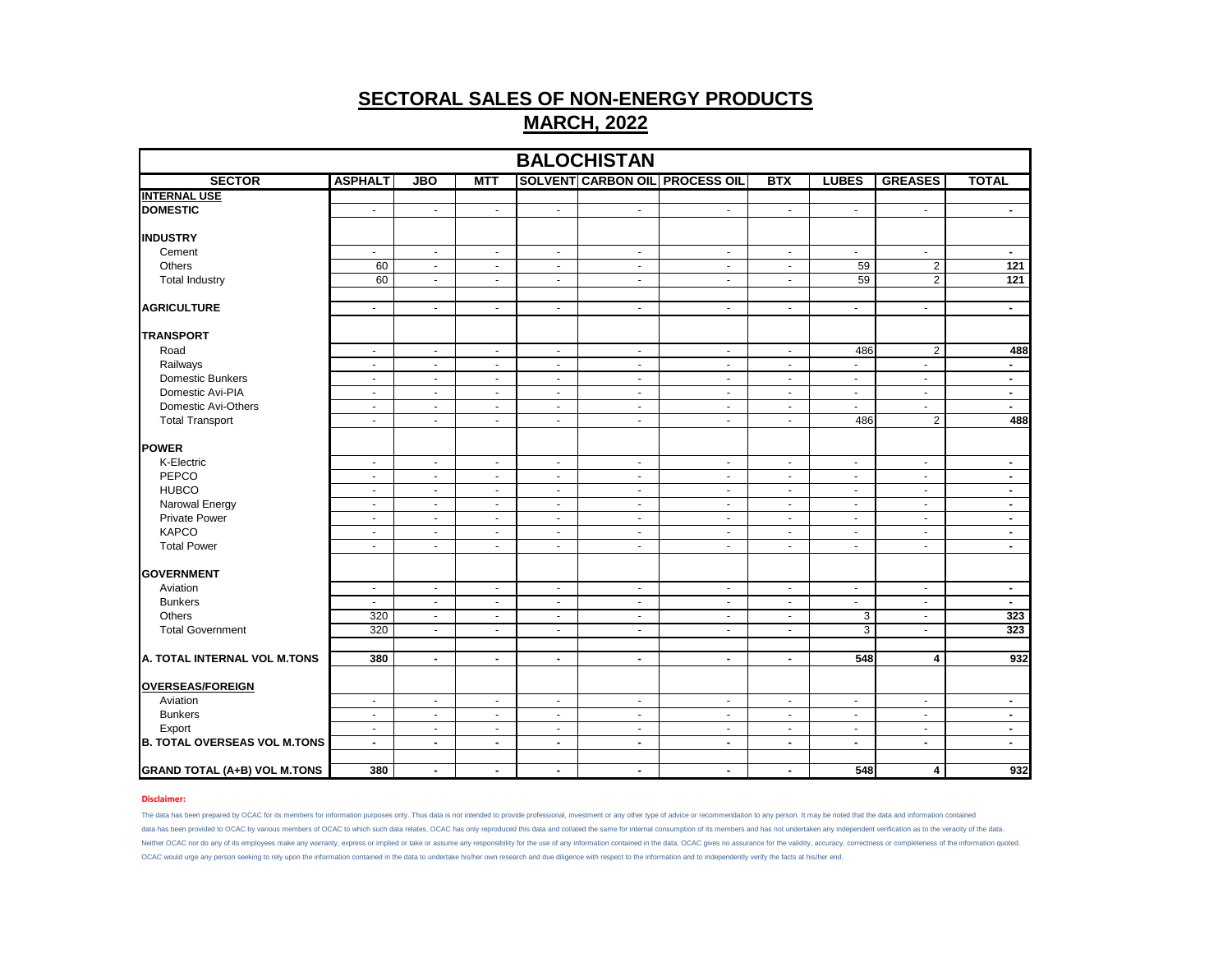|                                               |                |                          |                |                |                |                                       |                          |                | <b>BALOCHISTAN</b>      |                          |  |  |  |  |  |  |  |  |  |
|-----------------------------------------------|----------------|--------------------------|----------------|----------------|----------------|---------------------------------------|--------------------------|----------------|-------------------------|--------------------------|--|--|--|--|--|--|--|--|--|
| <b>SECTOR</b>                                 | <b>ASPHALT</b> | <b>JBO</b>               | <b>MTT</b>     |                |                | <b>SOLVENT CARBON OIL PROCESS OIL</b> | <b>BTX</b>               | <b>LUBES</b>   | <b>GREASES</b>          | <b>TOTAL</b>             |  |  |  |  |  |  |  |  |  |
| <b>INTERNAL USE</b>                           |                |                          |                |                |                |                                       |                          |                |                         |                          |  |  |  |  |  |  |  |  |  |
| <b>DOMESTIC</b>                               | $\blacksquare$ | $\blacksquare$           | $\blacksquare$ | $\sim$         | $\blacksquare$ | $\blacksquare$                        | $\blacksquare$           | $\bullet$      | $\blacksquare$          | $\blacksquare$           |  |  |  |  |  |  |  |  |  |
| <b>INDUSTRY</b>                               |                |                          |                |                |                |                                       |                          |                |                         |                          |  |  |  |  |  |  |  |  |  |
| Cement                                        | $\sim$         | $\blacksquare$           | $\blacksquare$ | $\sim$         | $\blacksquare$ | $\blacksquare$                        | $\blacksquare$           | $\bullet$      | $\blacksquare$          | $\blacksquare$           |  |  |  |  |  |  |  |  |  |
| Others                                        | 60             | $\omega$                 | $\mathbf{r}$   | $\omega$       | $\omega$       | $\mathbf{u}$                          | $\sim$                   | 59             | $\overline{2}$          | 121                      |  |  |  |  |  |  |  |  |  |
| <b>Total Industry</b>                         | 60             | $\omega$                 | $\mathbf{r}$   | $\sim$         | $\blacksquare$ | $\mathbf{u}$                          | $\blacksquare$           | 59             | $\overline{2}$          | 121                      |  |  |  |  |  |  |  |  |  |
|                                               |                |                          |                |                |                |                                       |                          |                |                         |                          |  |  |  |  |  |  |  |  |  |
| <b>AGRICULTURE</b>                            | $\sim$         | ÷.                       | $\mathbf{r}$   | $\sim$         | $\blacksquare$ | $\blacksquare$                        | $\sim$                   | $\omega$       | $\blacksquare$          | $\blacksquare$           |  |  |  |  |  |  |  |  |  |
| <b>TRANSPORT</b>                              |                |                          |                |                |                |                                       |                          |                |                         |                          |  |  |  |  |  |  |  |  |  |
| Road                                          | $\sim$         | $\blacksquare$           | $\sim$         | $\sim$         | $\blacksquare$ | $\sim$                                | $\blacksquare$           | 486            | $\overline{2}$          | 488                      |  |  |  |  |  |  |  |  |  |
| Railways                                      | $\sim$         | $\omega$                 | $\mathbf{r}$   | $\omega$       | $\omega$       | $\blacksquare$                        | $\blacksquare$           | $\omega$       | $\omega$                | $\overline{\phantom{a}}$ |  |  |  |  |  |  |  |  |  |
| Domestic Bunkers                              | $\sim$         | $\blacksquare$           | $\blacksquare$ | $\sim$         | $\blacksquare$ | $\blacksquare$                        | $\overline{\phantom{a}}$ | $\sim$         | $\blacksquare$          | $\blacksquare$           |  |  |  |  |  |  |  |  |  |
| Domestic Avi-PIA                              | $\sim$         | $\blacksquare$           | $\blacksquare$ | $\blacksquare$ | $\blacksquare$ | $\blacksquare$                        | $\blacksquare$           | $\sim$         | $\sim$                  | $\blacksquare$           |  |  |  |  |  |  |  |  |  |
| Domestic Avi-Others                           | $\blacksquare$ | $\blacksquare$           | $\blacksquare$ | $\omega$       | $\blacksquare$ | $\blacksquare$                        | $\overline{\phantom{a}}$ | $\omega$       | $\blacksquare$          | $\blacksquare$           |  |  |  |  |  |  |  |  |  |
| <b>Total Transport</b>                        | $\blacksquare$ | $\blacksquare$           | $\blacksquare$ | $\sim$         | $\blacksquare$ | $\sim$                                | $\overline{\phantom{a}}$ | 486            | $\overline{2}$          | 488                      |  |  |  |  |  |  |  |  |  |
|                                               |                |                          |                |                |                |                                       |                          |                |                         |                          |  |  |  |  |  |  |  |  |  |
| POWER                                         |                |                          |                |                |                |                                       |                          |                |                         |                          |  |  |  |  |  |  |  |  |  |
| K-Electric                                    | $\sim$         | $\blacksquare$           | $\blacksquare$ | $\sim$         | $\blacksquare$ | $\blacksquare$                        | $\blacksquare$           | $\sim$         | $\blacksquare$          | $\blacksquare$           |  |  |  |  |  |  |  |  |  |
| PEPCO                                         | $\omega$       | $\omega$                 | $\mathbf{r}$   | $\sim$         | $\omega$       | $\blacksquare$                        | $\blacksquare$           | $\omega$       | $\mathbf{r}$            | $\blacksquare$           |  |  |  |  |  |  |  |  |  |
| <b>HUBCO</b>                                  | $\blacksquare$ | $\blacksquare$           | $\blacksquare$ | $\blacksquare$ | $\blacksquare$ | $\blacksquare$                        | $\overline{\phantom{a}}$ | $\blacksquare$ | $\blacksquare$          | $\overline{\phantom{a}}$ |  |  |  |  |  |  |  |  |  |
| Narowal Energy                                | $\blacksquare$ | $\blacksquare$           | $\blacksquare$ | $\sim$         | $\blacksquare$ | $\blacksquare$                        | $\overline{\phantom{a}}$ | $\sim$         | $\sim$                  | $\blacksquare$           |  |  |  |  |  |  |  |  |  |
| <b>Private Power</b>                          | $\sim$         | $\blacksquare$           | $\mathbf{r}$   | $\sim$         | $\omega$       | $\blacksquare$                        | $\sim$                   | $\omega$       | $\omega$                | $\blacksquare$           |  |  |  |  |  |  |  |  |  |
| <b>KAPCO</b>                                  | $\omega$       | $\blacksquare$           | $\mathbf{r}$   | $\omega$       | $\blacksquare$ | $\sim$                                | $\blacksquare$           | $\omega$       | $\sim$                  | $\blacksquare$           |  |  |  |  |  |  |  |  |  |
| <b>Total Power</b>                            | $\blacksquare$ | $\blacksquare$           | $\sim$         | $\sim$         | $\blacksquare$ | $\blacksquare$                        | $\overline{\phantom{a}}$ | $\sim$         | $\blacksquare$          | $\blacksquare$           |  |  |  |  |  |  |  |  |  |
|                                               |                |                          |                |                |                |                                       |                          |                |                         |                          |  |  |  |  |  |  |  |  |  |
| <b>GOVERNMENT</b>                             |                |                          |                |                |                |                                       |                          |                |                         |                          |  |  |  |  |  |  |  |  |  |
| Aviation                                      | $\blacksquare$ | $\blacksquare$           | $\blacksquare$ | $\sim$         | $\blacksquare$ | $\blacksquare$                        | $\blacksquare$           | $\blacksquare$ | $\blacksquare$          | $\blacksquare$           |  |  |  |  |  |  |  |  |  |
| <b>Bunkers</b>                                | $\omega$       | $\omega$                 | $\blacksquare$ | $\blacksquare$ | $\blacksquare$ | $\blacksquare$                        | $\sim$                   | $\omega$       | $\blacksquare$          | $\blacksquare$           |  |  |  |  |  |  |  |  |  |
| Others                                        | 320            | $\blacksquare$           | $\mathbf{r}$   | $\omega$       | $\omega$       | $\sim$                                | $\omega$                 | $\overline{3}$ | $\sim$                  | 323                      |  |  |  |  |  |  |  |  |  |
| <b>Total Government</b>                       | 320            | $\blacksquare$           | $\sim$         | $\sim$         | $\blacksquare$ | $\blacksquare$                        | $\blacksquare$           | 3              | $\sim$                  | 323                      |  |  |  |  |  |  |  |  |  |
|                                               |                |                          |                |                |                |                                       |                          |                |                         |                          |  |  |  |  |  |  |  |  |  |
| A. TOTAL INTERNAL VOL M.TONS                  | 380            | $\blacksquare$           | $\blacksquare$ | $\blacksquare$ | $\blacksquare$ | $\blacksquare$                        | $\blacksquare$           | 548            | 4                       | 932                      |  |  |  |  |  |  |  |  |  |
| <b>OVERSEAS/FOREIGN</b>                       |                |                          |                |                |                |                                       |                          |                |                         |                          |  |  |  |  |  |  |  |  |  |
| Aviation                                      | $\blacksquare$ | $\blacksquare$           | $\blacksquare$ | $\omega$       | $\blacksquare$ | $\sim$                                | $\blacksquare$           | $\blacksquare$ | $\blacksquare$          | $\overline{\phantom{a}}$ |  |  |  |  |  |  |  |  |  |
| <b>Bunkers</b>                                | $\blacksquare$ | $\blacksquare$           | $\blacksquare$ | $\sim$         | $\blacksquare$ | $\blacksquare$                        | $\overline{\phantom{a}}$ | $\sim$         | $\blacksquare$          | $\blacksquare$           |  |  |  |  |  |  |  |  |  |
|                                               | $\sim$         | $\blacksquare$           | $\blacksquare$ | $\blacksquare$ | $\blacksquare$ | $\blacksquare$                        | $\blacksquare$           | $\sim$         | $\blacksquare$          |                          |  |  |  |  |  |  |  |  |  |
| Export<br><b>B. TOTAL OVERSEAS VOL M.TONS</b> |                |                          |                |                |                |                                       |                          |                |                         | $\blacksquare$           |  |  |  |  |  |  |  |  |  |
|                                               | $\blacksquare$ | $\overline{\phantom{a}}$ | $\blacksquare$ | $\blacksquare$ | $\blacksquare$ | $\blacksquare$                        | $\blacksquare$           | $\blacksquare$ | $\blacksquare$          | $\overline{\phantom{a}}$ |  |  |  |  |  |  |  |  |  |
| <b>GRAND TOTAL (A+B) VOL M.TONS</b>           | 380            | $\blacksquare$           | $\blacksquare$ | $\blacksquare$ | $\blacksquare$ | $\blacksquare$                        | $\blacksquare$           | 548            | $\overline{\mathbf{4}}$ | 932                      |  |  |  |  |  |  |  |  |  |

## **Disclaimer:**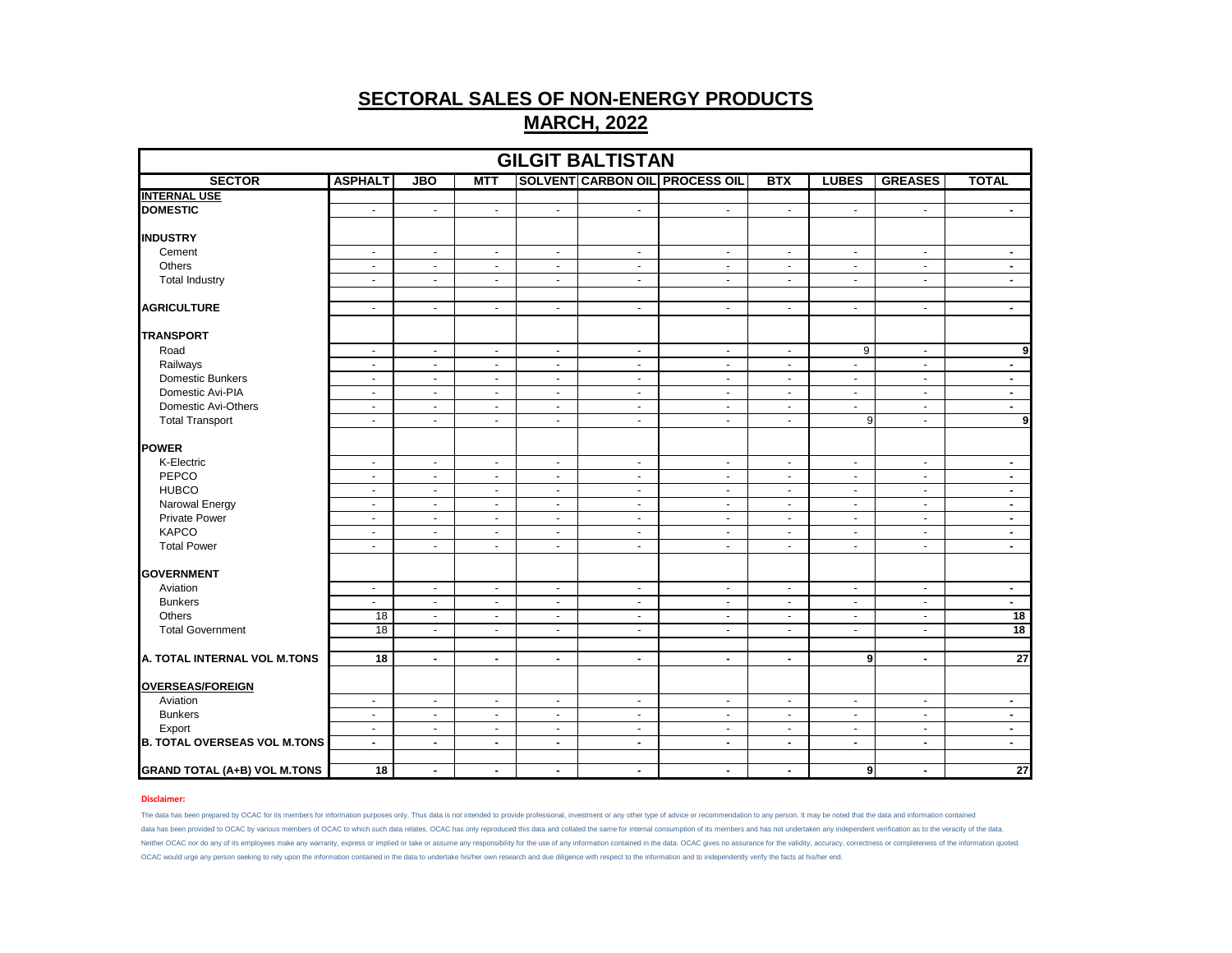| <b>GILGIT BALTISTAN</b>             |                 |                |                |                |                          |                                       |                |                |                |                 |  |
|-------------------------------------|-----------------|----------------|----------------|----------------|--------------------------|---------------------------------------|----------------|----------------|----------------|-----------------|--|
| <b>SECTOR</b>                       | <b>ASPHALT</b>  | <b>JBO</b>     | <b>MTT</b>     |                |                          | <b>SOLVENT CARBON OIL PROCESS OIL</b> | <b>BTX</b>     | <b>LUBES</b>   | <b>GREASES</b> | <b>TOTAL</b>    |  |
| <b>INTERNAL USE</b>                 |                 |                |                |                |                          |                                       |                |                |                |                 |  |
| <b>DOMESTIC</b>                     | $\sim$          | $\blacksquare$ | $\sim$         | $\blacksquare$ | $\blacksquare$           | $\blacksquare$                        | $\blacksquare$ | $\blacksquare$ | $\sim$         | $\sim$          |  |
| <b>INDUSTRY</b>                     |                 |                |                |                |                          |                                       |                |                |                |                 |  |
| Cement                              | $\sim$          | $\blacksquare$ | $\sim$         | $\sim$         | $\blacksquare$           | $\blacksquare$                        | $\blacksquare$ | $\blacksquare$ | $\blacksquare$ | $\blacksquare$  |  |
| Others                              | $\omega$        | $\mathbf{r}$   | $\omega$       | $\omega$       | $\omega$                 | $\omega$                              | $\blacksquare$ | $\omega$       | $\sim$         | $\blacksquare$  |  |
| <b>Total Industry</b>               | $\blacksquare$  | $\blacksquare$ | $\blacksquare$ | $\omega$       | $\blacksquare$           | $\blacksquare$                        | $\blacksquare$ | $\blacksquare$ | $\blacksquare$ | $\blacksquare$  |  |
| <b>AGRICULTURE</b>                  | $\omega$        | $\blacksquare$ | $\sim$         | $\omega$       | $\omega$                 | $\omega$                              | $\omega$       | $\omega$       | $\omega$       | $\blacksquare$  |  |
| <b>TRANSPORT</b>                    |                 |                |                |                |                          |                                       |                |                |                |                 |  |
| Road                                | $\sim$          | $\mathbf{r}$   | $\sim$         | $\sim$         | $\sim$                   | $\sim$                                | $\sim$         | 9              | $\sim$         | 9               |  |
| Railways                            | $\blacksquare$  | $\blacksquare$ | $\blacksquare$ | $\blacksquare$ | $\blacksquare$           | $\blacksquare$                        | $\blacksquare$ | $\blacksquare$ | $\blacksquare$ | $\blacksquare$  |  |
| Domestic Bunkers                    | $\sim$          | $\blacksquare$ | $\sim$         | $\sim$         | $\sim$                   | $\sim$                                | $\blacksquare$ | $\blacksquare$ | $\blacksquare$ | $\sim$          |  |
| Domestic Avi-PIA                    | $\sim$          | $\blacksquare$ | $\omega$       | $\omega$       | $\omega$                 | $\omega$                              | $\blacksquare$ | $\omega$       | $\sim$         | $\blacksquare$  |  |
| Domestic Avi-Others                 | $\blacksquare$  | $\blacksquare$ | $\blacksquare$ | $\blacksquare$ | $\blacksquare$           | $\blacksquare$                        | $\blacksquare$ | $\blacksquare$ | $\blacksquare$ | $\blacksquare$  |  |
| <b>Total Transport</b>              | $\sim$          | $\blacksquare$ | $\sim$         | $\sim$         | $\sim$                   | $\blacksquare$                        | $\blacksquare$ | 9              | $\blacksquare$ | 9               |  |
| <b>POWER</b>                        |                 |                |                |                |                          |                                       |                |                |                |                 |  |
| K-Electric                          | $\blacksquare$  | $\blacksquare$ | $\sim$         | $\sim$         | $\blacksquare$           | $\blacksquare$                        | $\blacksquare$ | $\blacksquare$ | $\blacksquare$ | $\blacksquare$  |  |
| PEPCO                               | $\mathbf{u}$    | $\mathbf{r}$   | $\omega$       | $\omega$       | $\omega$                 | $\omega$                              | $\blacksquare$ | $\omega$       | $\sim$         | $\blacksquare$  |  |
| <b>HUBCO</b>                        | $\sim$          | $\blacksquare$ | $\blacksquare$ | $\blacksquare$ | $\blacksquare$           | $\blacksquare$                        | $\blacksquare$ | $\blacksquare$ | $\blacksquare$ | $\blacksquare$  |  |
| Narowal Energy                      | $\sim$          | $\blacksquare$ | $\sim$         | $\sim$         | $\sim$                   | $\blacksquare$                        | $\blacksquare$ | $\sim$         | $\blacksquare$ | $\sim$          |  |
| <b>Private Power</b>                | $\sim$          | $\blacksquare$ | $\omega$       | $\omega$       | $\omega$                 | $\omega$                              | $\blacksquare$ | $\sim$         | $\sim$         | $\blacksquare$  |  |
| <b>KAPCO</b>                        | $\blacksquare$  | $\blacksquare$ | $\blacksquare$ | $\blacksquare$ | $\blacksquare$           | $\blacksquare$                        | $\blacksquare$ | $\blacksquare$ | $\blacksquare$ | $\blacksquare$  |  |
| <b>Total Power</b>                  | $\sim$          | $\blacksquare$ | $\sim$         | $\blacksquare$ | $\bullet$                | $\blacksquare$                        | $\blacksquare$ | $\blacksquare$ | $\blacksquare$ | $\sim$          |  |
|                                     |                 |                |                |                |                          |                                       |                |                |                |                 |  |
| <b>GOVERNMENT</b>                   |                 |                |                |                |                          |                                       |                |                |                |                 |  |
| Aviation                            | $\sim$          | $\blacksquare$ | $\sim$         | $\sim$         | $\blacksquare$           | $\blacksquare$                        | $\blacksquare$ | $\blacksquare$ | $\blacksquare$ | $\sim$          |  |
| <b>Bunkers</b>                      | $\omega$        | $\mathbf{r}$   | $\omega$       | $\sim$         | $\omega$                 | $\omega$                              | $\blacksquare$ | $\sim$         | $\sim$         | $\sim$          |  |
| Others                              | $\overline{18}$ | $\blacksquare$ | $\blacksquare$ | $\blacksquare$ | $\blacksquare$           | $\blacksquare$                        | $\blacksquare$ | $\blacksquare$ | $\blacksquare$ | 18              |  |
| <b>Total Government</b>             | 18              | $\blacksquare$ | $\sim$         | $\sim$         | $\bullet$                | $\omega$                              | $\blacksquare$ | $\blacksquare$ | $\blacksquare$ | 18              |  |
|                                     |                 |                |                |                |                          |                                       |                |                |                |                 |  |
| A. TOTAL INTERNAL VOL M.TONS        | $\overline{18}$ | $\blacksquare$ | $\blacksquare$ | $\blacksquare$ | $\overline{\phantom{a}}$ | $\blacksquare$                        | $\blacksquare$ | 9              | $\blacksquare$ | $\overline{27}$ |  |
| <b>OVERSEAS/FOREIGN</b>             |                 |                |                |                |                          |                                       |                |                |                |                 |  |
| Aviation                            | $\blacksquare$  | $\blacksquare$ | $\blacksquare$ | $\blacksquare$ | $\sim$                   | $\blacksquare$                        | $\blacksquare$ | $\blacksquare$ | $\blacksquare$ | $\blacksquare$  |  |
| <b>Bunkers</b>                      | $\sim$          | $\sim$         | $\sim$         | $\sim$         | $\sim$                   | $\blacksquare$                        | $\blacksquare$ | $\blacksquare$ | $\blacksquare$ | $\sim$          |  |
| Export                              | $\sim$          | $\blacksquare$ | $\omega$       | $\omega$       | $\omega$                 | $\blacksquare$                        | $\blacksquare$ | $\sim$         | $\sim$         | $\blacksquare$  |  |
| <b>B. TOTAL OVERSEAS VOL M.TONS</b> | $\blacksquare$  | $\blacksquare$ | $\blacksquare$ | $\blacksquare$ | $\overline{\phantom{a}}$ | $\blacksquare$                        | $\blacksquare$ | $\blacksquare$ | $\blacksquare$ | $\blacksquare$  |  |
|                                     |                 |                |                |                |                          |                                       |                |                |                |                 |  |
| <b>GRAND TOTAL (A+B) VOL M.TONS</b> | $\overline{18}$ | $\blacksquare$ | $\blacksquare$ | $\blacksquare$ | $\blacksquare$           | $\sim$                                | $\blacksquare$ | 9              | $\blacksquare$ | 27              |  |

## **Disclaimer:**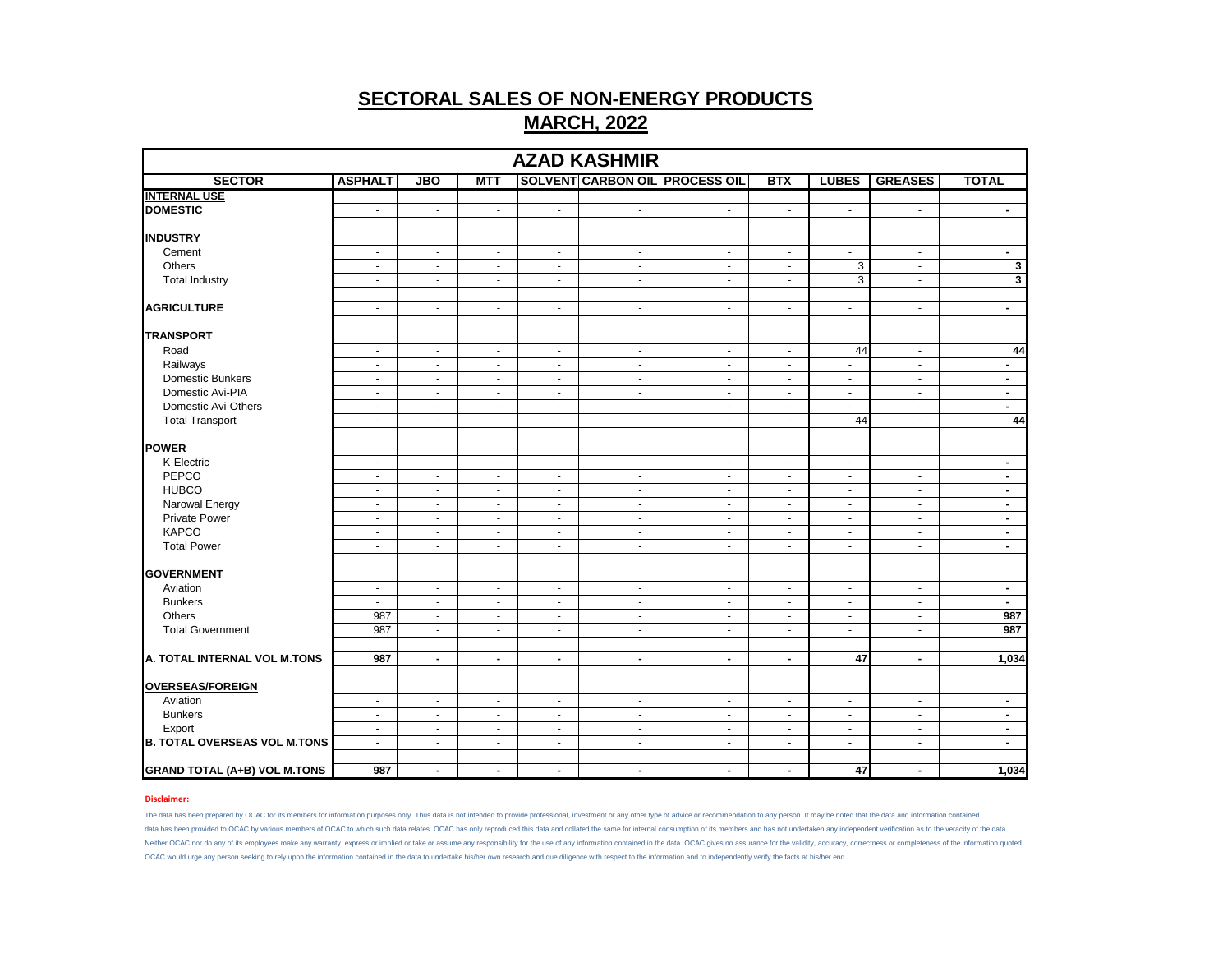| <b>AZAD KASHMIR</b>                 |                          |                          |                |                |                             |                                       |                |                          |                          |                         |
|-------------------------------------|--------------------------|--------------------------|----------------|----------------|-----------------------------|---------------------------------------|----------------|--------------------------|--------------------------|-------------------------|
| <b>SECTOR</b>                       | <b>ASPHALT</b>           | <b>JBO</b>               | <b>MTT</b>     |                |                             | <b>SOLVENT CARBON OIL PROCESS OIL</b> | <b>BTX</b>     | <b>LUBES</b>             | <b>GREASES</b>           | <b>TOTAL</b>            |
| <b>INTERNAL USE</b>                 |                          |                          |                |                |                             |                                       |                |                          |                          |                         |
| <b>DOMESTIC</b>                     | $\sim$                   | $\blacksquare$           | $\blacksquare$ | $\sim$         | $\mathcal{L}_{\mathcal{A}}$ | $\sim$                                | $\sim$         | $\sim$                   | $\sim$                   | $\sim$                  |
|                                     |                          |                          |                |                |                             |                                       |                |                          |                          |                         |
| <b>INDUSTRY</b>                     |                          |                          |                |                |                             |                                       |                |                          |                          |                         |
| Cement                              | $\blacksquare$           | $\sim$                   | $\blacksquare$ | $\sim$         | $\blacksquare$              | $\blacksquare$                        | $\sim$         | $\blacksquare$           | $\blacksquare$           | $\sim$                  |
| Others                              | $\sim$                   | $\blacksquare$           | $\sim$         | $\blacksquare$ | $\blacksquare$              | $\blacksquare$                        | $\sim$         | 3                        | $\sim$                   | $\mathbf 3$             |
| <b>Total Industry</b>               | $\overline{\phantom{a}}$ | $\overline{\phantom{a}}$ | $\blacksquare$ | $\blacksquare$ | $\blacksquare$              | $\blacksquare$                        | $\blacksquare$ | 3                        | $\overline{a}$           | $\overline{\mathbf{3}}$ |
|                                     |                          |                          |                |                |                             |                                       |                |                          |                          |                         |
| <b>AGRICULTURE</b>                  | $\omega$                 | $\blacksquare$           | $\sim$         | $\blacksquare$ | $\blacksquare$              | $\blacksquare$                        | $\sim$         | $\blacksquare$           | $\blacksquare$           | $\sim$                  |
| <b>TRANSPORT</b>                    |                          |                          |                |                |                             |                                       |                |                          |                          |                         |
| Road                                | $\omega$                 | $\omega$                 | $\sim$         | $\sim$         | $\blacksquare$              | $\blacksquare$                        | $\sim$         | 44                       | $\sim$                   | 44                      |
| Railways                            | $\sim$                   | $\blacksquare$           | $\blacksquare$ | $\blacksquare$ | $\blacksquare$              | $\blacksquare$                        | $\blacksquare$ | $\blacksquare$           | $\blacksquare$           | $\blacksquare$          |
| Domestic Bunkers                    | $\sim$                   | $\sim$                   | $\sim$         | $\sim$         | $\mathcal{L}_{\mathcal{A}}$ | $\blacksquare$                        | $\sim$         | $\blacksquare$           | $\sim$                   | $\sim$                  |
| Domestic Avi-PIA                    | $\sim$                   | $\omega$                 | $\omega$       | $\blacksquare$ | $\blacksquare$              | $\blacksquare$                        | $\blacksquare$ | $\blacksquare$           | $\sim$                   | $\blacksquare$          |
| Domestic Avi-Others                 | $\blacksquare$           | $\blacksquare$           | $\blacksquare$ | $\blacksquare$ | $\blacksquare$              | $\blacksquare$                        | $\blacksquare$ | $\blacksquare$           | $\blacksquare$           | $\blacksquare$          |
| <b>Total Transport</b>              | $\sim$                   | $\blacksquare$           | $\sim$         | $\omega$       | $\mathcal{L}_{\mathcal{A}}$ | $\blacksquare$                        | $\blacksquare$ | 44                       | $\blacksquare$           | 44                      |
|                                     |                          |                          |                |                |                             |                                       |                |                          |                          |                         |
| <b>POWER</b>                        |                          |                          |                |                |                             |                                       |                |                          |                          |                         |
| K-Electric                          | $\blacksquare$           | $\blacksquare$           | $\sim$         | $\sim$         | $\blacksquare$              | $\blacksquare$                        | $\sim$         | $\blacksquare$           | $\blacksquare$           | $\sim$                  |
| PEPCO                               | $\sim$                   | $\blacksquare$           | $\sim$         | $\blacksquare$ | $\blacksquare$              | $\blacksquare$                        | $\sim$         | $\blacksquare$           | $\blacksquare$           | $\sim$                  |
| <b>HUBCO</b>                        | $\blacksquare$           | $\blacksquare$           | $\blacksquare$ | $\blacksquare$ | $\blacksquare$              | $\blacksquare$                        | $\blacksquare$ | $\blacksquare$           | $\blacksquare$           | $\blacksquare$          |
| Narowal Energy                      | $\sim$                   | $\blacksquare$           | $\sim$         | $\sim$         | $\sim$                      | $\blacksquare$                        | $\sim$         | $\sim$                   | $\sim$                   | $\sim$                  |
| <b>Private Power</b>                | $\sim$                   | $\blacksquare$           | $\sim$         | $\blacksquare$ | $\blacksquare$              | $\blacksquare$                        | $\blacksquare$ | $\sim$                   | $\sim$                   | $\blacksquare$          |
| <b>KAPCO</b>                        | $\sim$                   | $\blacksquare$           | $\sim$         | $\blacksquare$ | $\blacksquare$              | $\blacksquare$                        | $\sim$         | $\blacksquare$           | $\blacksquare$           | $\blacksquare$          |
| <b>Total Power</b>                  | $\sim$                   | $\blacksquare$           | $\sim$         | $\sim$         | $\blacksquare$              | $\blacksquare$                        | $\sim$         | $\blacksquare$           | $\blacksquare$           | $\sim$                  |
|                                     |                          |                          |                |                |                             |                                       |                |                          |                          |                         |
| <b>GOVERNMENT</b>                   |                          |                          |                |                |                             |                                       |                |                          |                          |                         |
| Aviation                            | $\blacksquare$           | $\blacksquare$           | $\blacksquare$ | $\sim$         | $\blacksquare$              | $\blacksquare$                        | $\sim$         | $\blacksquare$           | $\blacksquare$           | $\sim$                  |
| <b>Bunkers</b>                      | $\sim$                   | $\blacksquare$           | $\sim$         | $\blacksquare$ | $\blacksquare$              | $\blacksquare$                        | $\sim$         | $\overline{\phantom{a}}$ | $\blacksquare$           | $\blacksquare$          |
| <b>Others</b>                       | 987                      | $\blacksquare$           | $\blacksquare$ | $\blacksquare$ | $\blacksquare$              | $\blacksquare$                        | $\blacksquare$ | $\blacksquare$           | $\overline{\phantom{a}}$ | 987                     |
| <b>Total Government</b>             | 987                      | $\blacksquare$           | $\sim$         | $\sim$         | $\mathcal{L}_{\mathcal{A}}$ | $\blacksquare$                        | $\sim$         | $\blacksquare$           | $\blacksquare$           | 987                     |
|                                     |                          |                          |                |                |                             |                                       |                |                          |                          |                         |
| A. TOTAL INTERNAL VOL M.TONS        | 987                      | $\blacksquare$           | $\blacksquare$ | $\blacksquare$ | $\blacksquare$              | $\blacksquare$                        | $\blacksquare$ | 47                       | ۰.                       | 1,034                   |
| <b>OVERSEAS/FOREIGN</b>             |                          |                          |                |                |                             |                                       |                |                          |                          |                         |
| Aviation                            | $\blacksquare$           | $\blacksquare$           | $\blacksquare$ | $\blacksquare$ | $\sim$                      | $\blacksquare$                        | $\blacksquare$ | $\blacksquare$           | $\blacksquare$           | $\blacksquare$          |
| <b>Bunkers</b>                      | $\sim$                   | $\sim$                   | $\sim$         | $\sim$         | $\mathcal{L}_{\mathcal{A}}$ | $\blacksquare$                        | $\sim$         | $\blacksquare$           | $\sim$                   | $\sim$                  |
| Export                              | $\sim$                   | $\sim$                   | $\sim$         | $\blacksquare$ | $\blacksquare$              | $\blacksquare$                        | $\sim$         | $\blacksquare$           | $\sim$                   | $\blacksquare$          |
| <b>B. TOTAL OVERSEAS VOL M.TONS</b> | $\sim$                   | $\blacksquare$           | $\blacksquare$ | $\sim$         | $\blacksquare$              | $\blacksquare$                        | $\blacksquare$ | $\blacksquare$           | $\blacksquare$           |                         |
|                                     |                          |                          |                |                |                             |                                       |                |                          |                          |                         |
| <b>GRAND TOTAL (A+B) VOL M.TONS</b> | 987                      | $\blacksquare$           | $\blacksquare$ | $\blacksquare$ | $\blacksquare$              | $\blacksquare$                        | $\blacksquare$ | 47                       | $\blacksquare$           | 1,034                   |

## **Disclaimer:**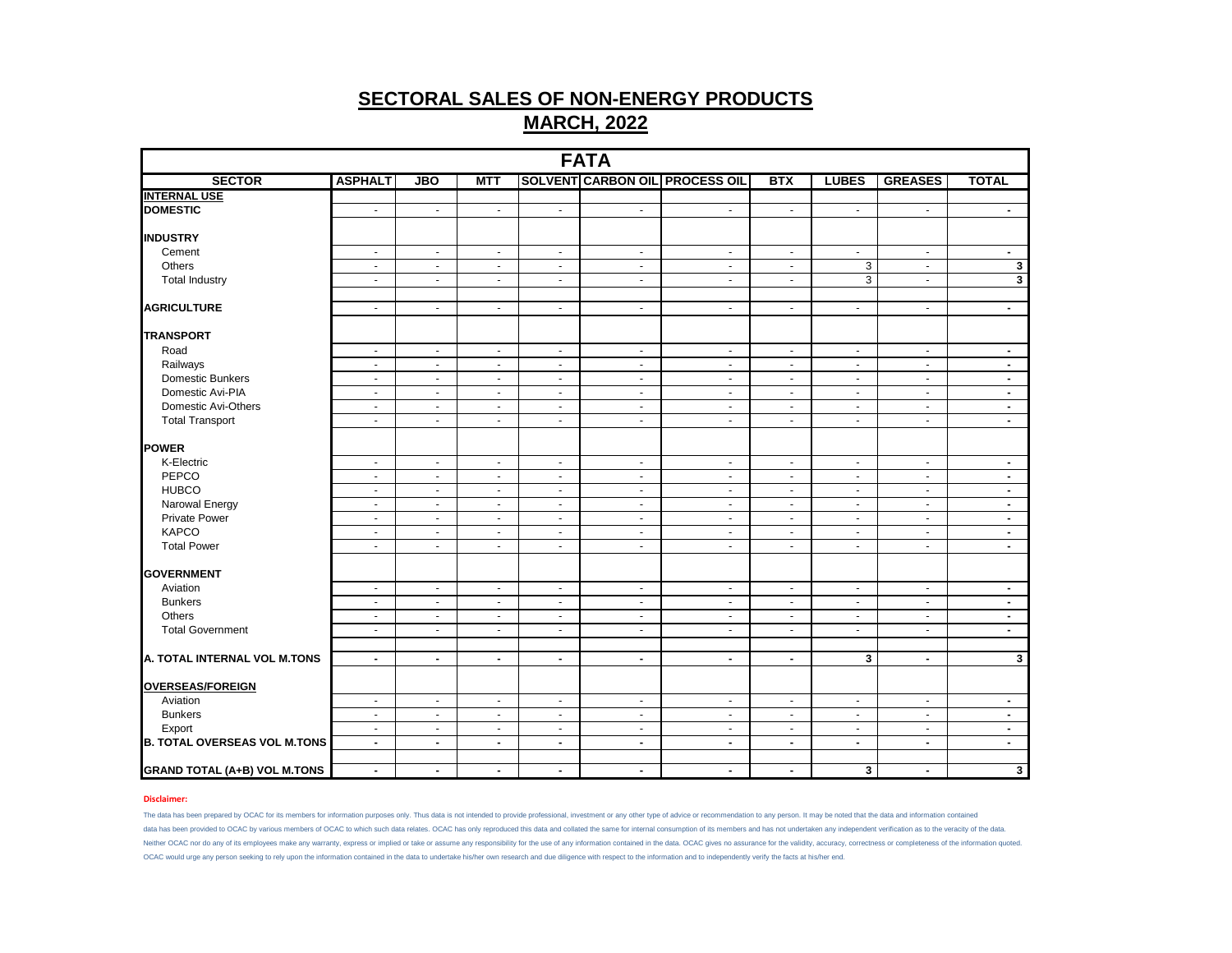| <b>FATA</b>                         |                          |                          |                |                             |                          |                                       |                |                |                          |                         |  |
|-------------------------------------|--------------------------|--------------------------|----------------|-----------------------------|--------------------------|---------------------------------------|----------------|----------------|--------------------------|-------------------------|--|
| <b>SECTOR</b>                       | <b>ASPHALT</b>           | <b>JBO</b>               | <b>MTT</b>     |                             |                          | <b>SOLVENT CARBON OIL PROCESS OIL</b> | <b>BTX</b>     | <b>LUBES</b>   | <b>GREASES</b>           | <b>TOTAL</b>            |  |
| <b>INTERNAL USE</b>                 |                          |                          |                |                             |                          |                                       |                |                |                          |                         |  |
| <b>DOMESTIC</b>                     | $\sim$                   | $\blacksquare$           | $\omega$       | $\mathcal{L}_{\mathcal{A}}$ | $\sim$                   | $\blacksquare$                        | $\blacksquare$ | $\blacksquare$ | $\sim$                   | $\blacksquare$          |  |
| <b>INDUSTRY</b>                     |                          |                          |                |                             |                          |                                       |                |                |                          |                         |  |
| Cement                              | $\sim$                   | $\blacksquare$           | $\sim$         | $\blacksquare$              | $\sim$                   | $\blacksquare$                        | $\sim$         | $\omega$       | $\sim$                   | $\blacksquare$          |  |
| Others                              | $\overline{\phantom{a}}$ | $\sim$                   | $\blacksquare$ | $\sim$                      | $\overline{\phantom{a}}$ | $\overline{\phantom{a}}$              | $\blacksquare$ | 3              | $\sim$                   | $\mathbf{3}$            |  |
| <b>Total Industry</b>               | $\blacksquare$           | $\blacksquare$           | $\sim$         | $\sim$                      | $\mathbf{u}$             | $\blacksquare$                        | $\sim$         | $\overline{3}$ | $\overline{\phantom{a}}$ | $\mathbf{3}$            |  |
| <b>AGRICULTURE</b>                  | $\blacksquare$           | $\blacksquare$           | $\blacksquare$ | $\blacksquare$              | $\blacksquare$           | $\blacksquare$                        | $\blacksquare$ | $\blacksquare$ | $\blacksquare$           | $\blacksquare$          |  |
| <b>TRANSPORT</b>                    |                          |                          |                |                             |                          |                                       |                |                |                          |                         |  |
| Road                                | $\sim$                   | $\omega$                 | $\sim$         | $\sim$                      | $\omega$                 | $\blacksquare$                        | $\sim$         | $\omega$       | $\sim$                   | $\blacksquare$          |  |
| Railways                            | $\blacksquare$           | $\blacksquare$           | $\blacksquare$ | $\sim$                      | $\blacksquare$           | $\blacksquare$                        | $\sim$         | $\blacksquare$ | $\sim$                   | $\blacksquare$          |  |
| Domestic Bunkers                    | $\sim$                   | $\blacksquare$           | $\sim$         | $\sim$                      | $\sim$                   | $\blacksquare$                        | $\blacksquare$ | $\blacksquare$ | $\sim$                   | $\sim$                  |  |
| Domestic Avi-PIA                    | $\sim$                   | $\omega$                 | $\sim$         | $\sim$                      | $\blacksquare$           | $\blacksquare$                        | $\blacksquare$ | $\blacksquare$ | $\sim$                   | $\blacksquare$          |  |
| Domestic Avi-Others                 | $\blacksquare$           | $\blacksquare$           | $\blacksquare$ | $\blacksquare$              | $\blacksquare$           | $\blacksquare$                        | $\blacksquare$ | $\blacksquare$ | $\sim$                   | $\blacksquare$          |  |
| <b>Total Transport</b>              | $\blacksquare$           | $\blacksquare$           | $\sim$         | $\omega$                    | $\sim$                   | $\overline{\phantom{a}}$              | $\omega$       | $\omega$       | $\sim$                   | $\sim$                  |  |
| <b>POWER</b>                        |                          |                          |                |                             |                          |                                       |                |                |                          |                         |  |
| K-Electric                          | $\blacksquare$           | $\blacksquare$           | $\sim$         | $\sim$                      | $\sim$                   | $\blacksquare$                        | $\sigma$       | $\bullet$      | $\sim$                   | $\sim$                  |  |
| PEPCO                               | $\blacksquare$           | $\blacksquare$           | $\blacksquare$ | $\blacksquare$              | $\sim$                   | $\blacksquare$                        | $\blacksquare$ | $\blacksquare$ | $\sim$                   | $\sim$                  |  |
| <b>HUBCO</b>                        | $\omega$                 | $\omega$                 | $\mathbf{r}$   | $\sim$                      | $\mathbf{r}$             | $\mathbf{r}$                          | $\omega$       | $\sim$         | $\sim$                   | $\blacksquare$          |  |
| Narowal Energy                      | $\sim$                   | $\blacksquare$           | $\sim$         | $\sim$                      | $\sim$                   | $\overline{\phantom{a}}$              | $\sim$         | $\blacksquare$ | $\sim$                   | $\sim$                  |  |
| <b>Private Power</b>                | $\blacksquare$           | $\overline{\phantom{a}}$ | $\sim$         | $\blacksquare$              | $\blacksquare$           | $\mathbf{r}$                          | $\sim$         | $\blacksquare$ | $\sim$                   | $\blacksquare$          |  |
| <b>KAPCO</b>                        | $\sim$                   | $\overline{\phantom{a}}$ | $\blacksquare$ | $\sim$                      | $\sim$                   | $\mathbf{r}$                          | $\blacksquare$ | $\blacksquare$ | $\sim$                   | $\blacksquare$          |  |
| <b>Total Power</b>                  | $\blacksquare$           | $\blacksquare$           | $\blacksquare$ | $\blacksquare$              | $\blacksquare$           | $\overline{\phantom{a}}$              | $\sim$         | $\blacksquare$ | $\sim$                   | $\sim$                  |  |
| <b>GOVERNMENT</b>                   |                          |                          |                |                             |                          |                                       |                |                |                          |                         |  |
| Aviation                            | $\sim$                   | $\blacksquare$           | $\sim$         | $\blacksquare$              | $\blacksquare$           | $\blacksquare$                        | $\sim$         | $\blacksquare$ | $\sim$                   | $\sim$                  |  |
| <b>Bunkers</b>                      | $\blacksquare$           | $\blacksquare$           | $\sim$         | $\blacksquare$              | $\blacksquare$           | $\mathbf{r}$                          | $\blacksquare$ | $\blacksquare$ | $\sim$                   | $\sim$                  |  |
| Others                              | $\sim$                   | $\blacksquare$           | $\blacksquare$ | $\blacksquare$              | $\omega$                 | $\blacksquare$                        | $\blacksquare$ | $\blacksquare$ | $\sim$                   | $\blacksquare$          |  |
| <b>Total Government</b>             | $\blacksquare$           | $\omega$                 | $\sim$         | $\omega$                    | $\blacksquare$           | $\blacksquare$                        | $\blacksquare$ | $\omega$       | $\sim$                   | $\blacksquare$          |  |
|                                     |                          |                          |                |                             |                          |                                       |                |                |                          |                         |  |
| A. TOTAL INTERNAL VOL M.TONS        | $\blacksquare$           | $\blacksquare$           | $\blacksquare$ | $\blacksquare$              | $\blacksquare$           | $\blacksquare$                        | $\blacksquare$ | 3              | $\blacksquare$           | $\mathbf{3}$            |  |
| <b>OVERSEAS/FOREIGN</b>             |                          |                          |                |                             |                          |                                       |                |                |                          |                         |  |
| Aviation                            | $\sim$                   | $\blacksquare$           | $\omega$       | $\omega$                    | $\omega$                 | $\sim$                                | $\omega$       | $\omega$       | $\sim$                   | $\blacksquare$          |  |
| <b>Bunkers</b>                      | $\blacksquare$           | $\blacksquare$           | $\blacksquare$ | $\blacksquare$              | $\sim$                   | $\blacksquare$                        | $\blacksquare$ | $\blacksquare$ | $\sim$                   | $\blacksquare$          |  |
| Export                              | $\sim$                   | $\blacksquare$           | $\sim$         | $\blacksquare$              | $\sim$                   | $\overline{\phantom{a}}$              | $\blacksquare$ | $\blacksquare$ | $\sim$                   | $\sim$                  |  |
| <b>B. TOTAL OVERSEAS VOL M.TONS</b> | $\sim$                   | $\blacksquare$           | $\sim$         | $\blacksquare$              | $\sim$                   | $\blacksquare$                        | $\blacksquare$ | $\blacksquare$ | $\sim$                   | $\sim$                  |  |
| <b>GRAND TOTAL (A+B) VOL M.TONS</b> | $\blacksquare$           | $\sim$                   | $\blacksquare$ | $\blacksquare$              | $\blacksquare$           | $\blacksquare$                        | $\sim$         | 3              | $\blacksquare$           | $\overline{\mathbf{3}}$ |  |

## **Disclaimer:**